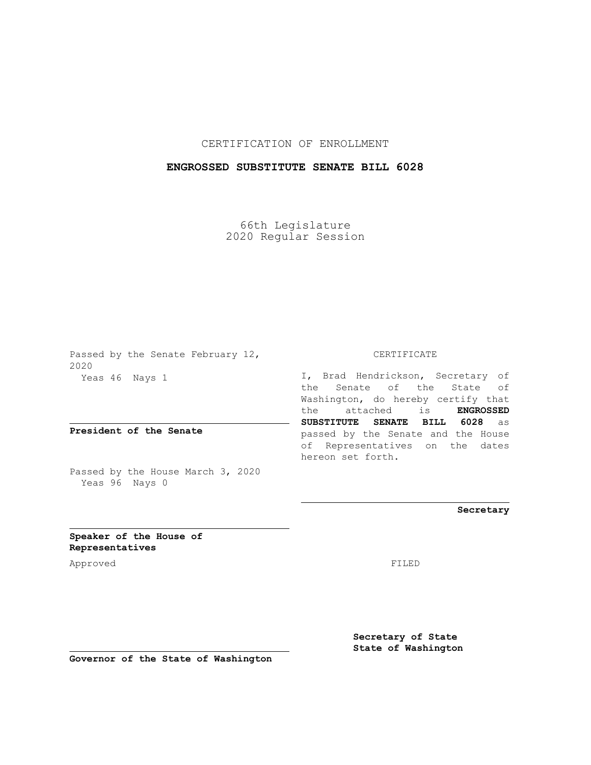### CERTIFICATION OF ENROLLMENT

### **ENGROSSED SUBSTITUTE SENATE BILL 6028**

66th Legislature 2020 Regular Session

Passed by the Senate February 12, 2020 Yeas 46 Nays 1

**President of the Senate**

Passed by the House March 3, 2020 Yeas 96 Nays 0

#### CERTIFICATE

I, Brad Hendrickson, Secretary of the Senate of the State of Washington, do hereby certify that the attached is **ENGROSSED SUBSTITUTE SENATE BILL 6028** as passed by the Senate and the House of Representatives on the dates hereon set forth.

**Secretary**

**Speaker of the House of Representatives**

Approved FILED

**Secretary of State State of Washington**

**Governor of the State of Washington**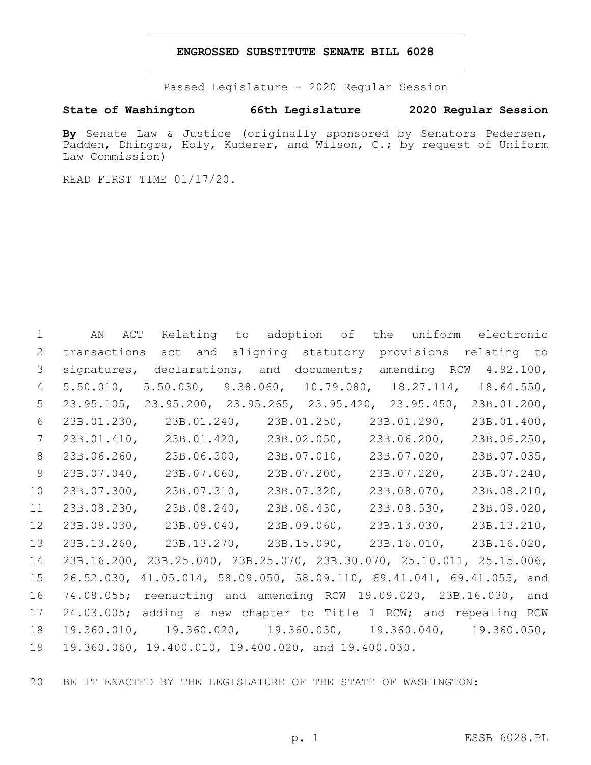#### **ENGROSSED SUBSTITUTE SENATE BILL 6028**

Passed Legislature - 2020 Regular Session

#### **State of Washington 66th Legislature 2020 Regular Session**

By Senate Law & Justice (originally sponsored by Senators Pedersen, Padden, Dhingra, Holy, Kuderer, and Wilson, C.; by request of Uniform Law Commission)

READ FIRST TIME 01/17/20.

 AN ACT Relating to adoption of the uniform electronic transactions act and aligning statutory provisions relating to signatures, declarations, and documents; amending RCW 4.92.100, 5.50.010, 5.50.030, 9.38.060, 10.79.080, 18.27.114, 18.64.550, 23.95.105, 23.95.200, 23.95.265, 23.95.420, 23.95.450, 23B.01.200, 23B.01.230, 23B.01.240, 23B.01.250, 23B.01.290, 23B.01.400, 23B.01.410, 23B.01.420, 23B.02.050, 23B.06.200, 23B.06.250, 23B.06.260, 23B.06.300, 23B.07.010, 23B.07.020, 23B.07.035, 23B.07.040, 23B.07.060, 23B.07.200, 23B.07.220, 23B.07.240, 23B.07.300, 23B.07.310, 23B.07.320, 23B.08.070, 23B.08.210, 23B.08.230, 23B.08.240, 23B.08.430, 23B.08.530, 23B.09.020, 23B.09.030, 23B.09.040, 23B.09.060, 23B.13.030, 23B.13.210, 23B.13.260, 23B.13.270, 23B.15.090, 23B.16.010, 23B.16.020, 23B.16.200, 23B.25.040, 23B.25.070, 23B.30.070, 25.10.011, 25.15.006, 26.52.030, 41.05.014, 58.09.050, 58.09.110, 69.41.041, 69.41.055, and 74.08.055; reenacting and amending RCW 19.09.020, 23B.16.030, and 24.03.005; adding a new chapter to Title 1 RCW; and repealing RCW 19.360.010, 19.360.020, 19.360.030, 19.360.040, 19.360.050, 19.360.060, 19.400.010, 19.400.020, and 19.400.030.

BE IT ENACTED BY THE LEGISLATURE OF THE STATE OF WASHINGTON: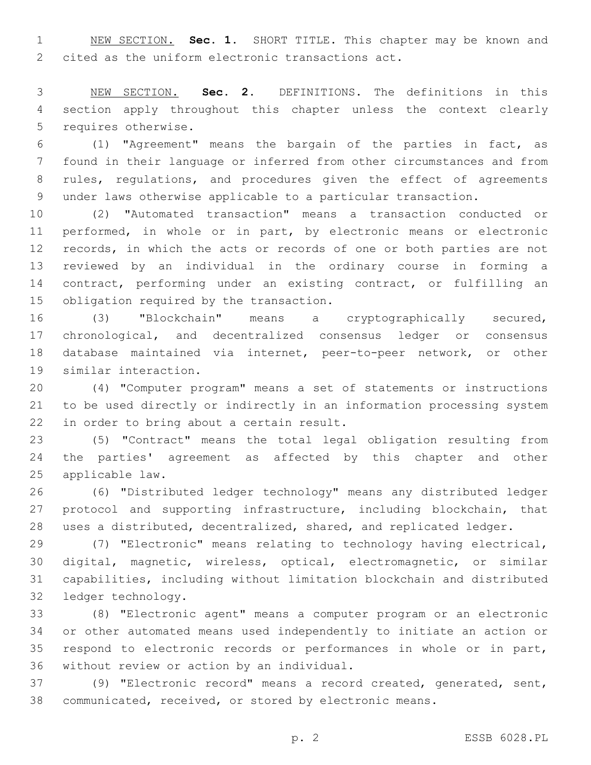NEW SECTION. **Sec. 1.** SHORT TITLE. This chapter may be known and cited as the uniform electronic transactions act.

 NEW SECTION. **Sec. 2.** DEFINITIONS. The definitions in this section apply throughout this chapter unless the context clearly requires otherwise.

 (1) "Agreement" means the bargain of the parties in fact, as found in their language or inferred from other circumstances and from rules, regulations, and procedures given the effect of agreements under laws otherwise applicable to a particular transaction.

 (2) "Automated transaction" means a transaction conducted or performed, in whole or in part, by electronic means or electronic records, in which the acts or records of one or both parties are not reviewed by an individual in the ordinary course in forming a contract, performing under an existing contract, or fulfilling an 15 obligation required by the transaction.

 (3) "Blockchain" means a cryptographically secured, chronological, and decentralized consensus ledger or consensus database maintained via internet, peer-to-peer network, or other 19 similar interaction.

 (4) "Computer program" means a set of statements or instructions to be used directly or indirectly in an information processing system 22 in order to bring about a certain result.

 (5) "Contract" means the total legal obligation resulting from the parties' agreement as affected by this chapter and other applicable law.25

 (6) "Distributed ledger technology" means any distributed ledger protocol and supporting infrastructure, including blockchain, that uses a distributed, decentralized, shared, and replicated ledger.

 (7) "Electronic" means relating to technology having electrical, digital, magnetic, wireless, optical, electromagnetic, or similar capabilities, including without limitation blockchain and distributed 32 ledger technology.

 (8) "Electronic agent" means a computer program or an electronic or other automated means used independently to initiate an action or respond to electronic records or performances in whole or in part, 36 without review or action by an individual.

 (9) "Electronic record" means a record created, generated, sent, communicated, received, or stored by electronic means.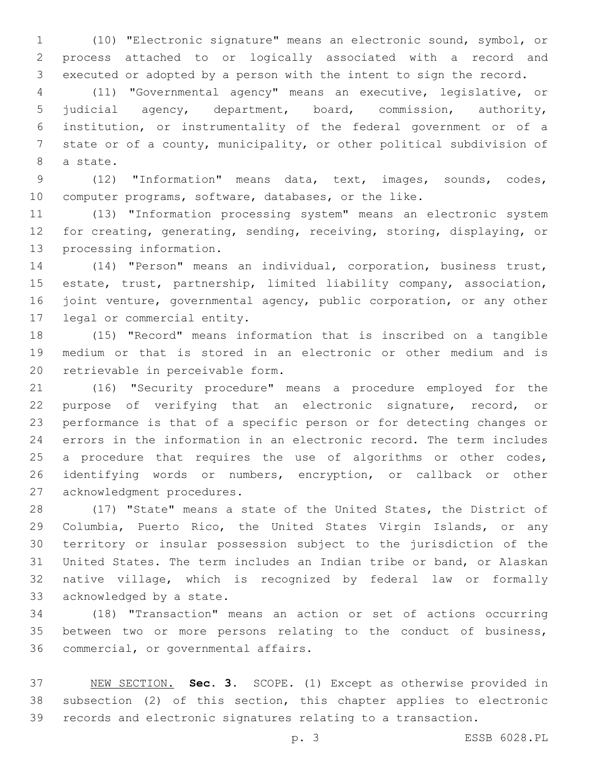(10) "Electronic signature" means an electronic sound, symbol, or process attached to or logically associated with a record and executed or adopted by a person with the intent to sign the record.

 (11) "Governmental agency" means an executive, legislative, or judicial agency, department, board, commission, authority, institution, or instrumentality of the federal government or of a state or of a county, municipality, or other political subdivision of 8 a state.

 (12) "Information" means data, text, images, sounds, codes, computer programs, software, databases, or the like.

 (13) "Information processing system" means an electronic system for creating, generating, sending, receiving, storing, displaying, or 13 processing information.

 (14) "Person" means an individual, corporation, business trust, estate, trust, partnership, limited liability company, association, joint venture, governmental agency, public corporation, or any other 17 legal or commercial entity.

 (15) "Record" means information that is inscribed on a tangible medium or that is stored in an electronic or other medium and is 20 retrievable in perceivable form.

 (16) "Security procedure" means a procedure employed for the purpose of verifying that an electronic signature, record, or performance is that of a specific person or for detecting changes or errors in the information in an electronic record. The term includes 25 a procedure that requires the use of algorithms or other codes, identifying words or numbers, encryption, or callback or other 27 acknowledgment procedures.

 (17) "State" means a state of the United States, the District of Columbia, Puerto Rico, the United States Virgin Islands, or any territory or insular possession subject to the jurisdiction of the United States. The term includes an Indian tribe or band, or Alaskan native village, which is recognized by federal law or formally 33 acknowledged by a state.

 (18) "Transaction" means an action or set of actions occurring between two or more persons relating to the conduct of business, 36 commercial, or governmental affairs.

 NEW SECTION. **Sec. 3.** SCOPE. (1) Except as otherwise provided in subsection (2) of this section, this chapter applies to electronic records and electronic signatures relating to a transaction.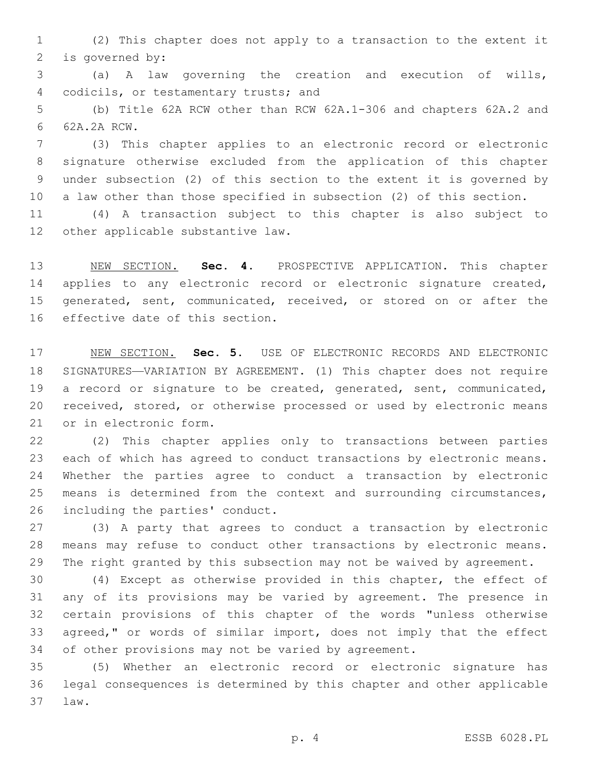(2) This chapter does not apply to a transaction to the extent it 2 is governed by:

 (a) A law governing the creation and execution of wills, 4 codicils, or testamentary trusts; and

 (b) Title 62A RCW other than RCW 62A.1-306 and chapters 62A.2 and 62A.2A RCW.6

 (3) This chapter applies to an electronic record or electronic signature otherwise excluded from the application of this chapter under subsection (2) of this section to the extent it is governed by a law other than those specified in subsection (2) of this section.

 (4) A transaction subject to this chapter is also subject to 12 other applicable substantive law.

 NEW SECTION. **Sec. 4.** PROSPECTIVE APPLICATION. This chapter 14 applies to any electronic record or electronic signature created, generated, sent, communicated, received, or stored on or after the effective date of this section.

 NEW SECTION. **Sec. 5.** USE OF ELECTRONIC RECORDS AND ELECTRONIC SIGNATURES—VARIATION BY AGREEMENT. (1) This chapter does not require a record or signature to be created, generated, sent, communicated, received, stored, or otherwise processed or used by electronic means or in electronic form.

 (2) This chapter applies only to transactions between parties each of which has agreed to conduct transactions by electronic means. Whether the parties agree to conduct a transaction by electronic means is determined from the context and surrounding circumstances, 26 including the parties' conduct.

 (3) A party that agrees to conduct a transaction by electronic means may refuse to conduct other transactions by electronic means. The right granted by this subsection may not be waived by agreement.

 (4) Except as otherwise provided in this chapter, the effect of any of its provisions may be varied by agreement. The presence in certain provisions of this chapter of the words "unless otherwise agreed," or words of similar import, does not imply that the effect of other provisions may not be varied by agreement.

 (5) Whether an electronic record or electronic signature has legal consequences is determined by this chapter and other applicable law.37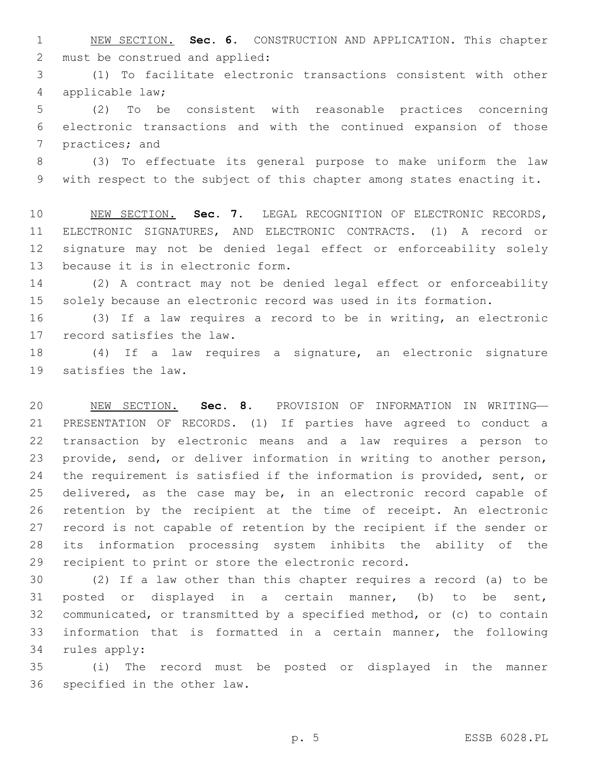NEW SECTION. **Sec. 6.** CONSTRUCTION AND APPLICATION. This chapter must be construed and applied:

 (1) To facilitate electronic transactions consistent with other 4 applicable law;

 (2) To be consistent with reasonable practices concerning electronic transactions and with the continued expansion of those 7 practices; and

 (3) To effectuate its general purpose to make uniform the law with respect to the subject of this chapter among states enacting it.

 NEW SECTION. **Sec. 7.** LEGAL RECOGNITION OF ELECTRONIC RECORDS, ELECTRONIC SIGNATURES, AND ELECTRONIC CONTRACTS. (1) A record or signature may not be denied legal effect or enforceability solely because it is in electronic form.

 (2) A contract may not be denied legal effect or enforceability solely because an electronic record was used in its formation.

 (3) If a law requires a record to be in writing, an electronic 17 record satisfies the law.

 (4) If a law requires a signature, an electronic signature 19 satisfies the law.

 NEW SECTION. **Sec. 8.** PROVISION OF INFORMATION IN WRITING— PRESENTATION OF RECORDS. (1) If parties have agreed to conduct a transaction by electronic means and a law requires a person to provide, send, or deliver information in writing to another person, the requirement is satisfied if the information is provided, sent, or delivered, as the case may be, in an electronic record capable of retention by the recipient at the time of receipt. An electronic record is not capable of retention by the recipient if the sender or its information processing system inhibits the ability of the recipient to print or store the electronic record.

 (2) If a law other than this chapter requires a record (a) to be posted or displayed in a certain manner, (b) to be sent, communicated, or transmitted by a specified method, or (c) to contain information that is formatted in a certain manner, the following 34 rules apply:

 (i) The record must be posted or displayed in the manner 36 specified in the other law.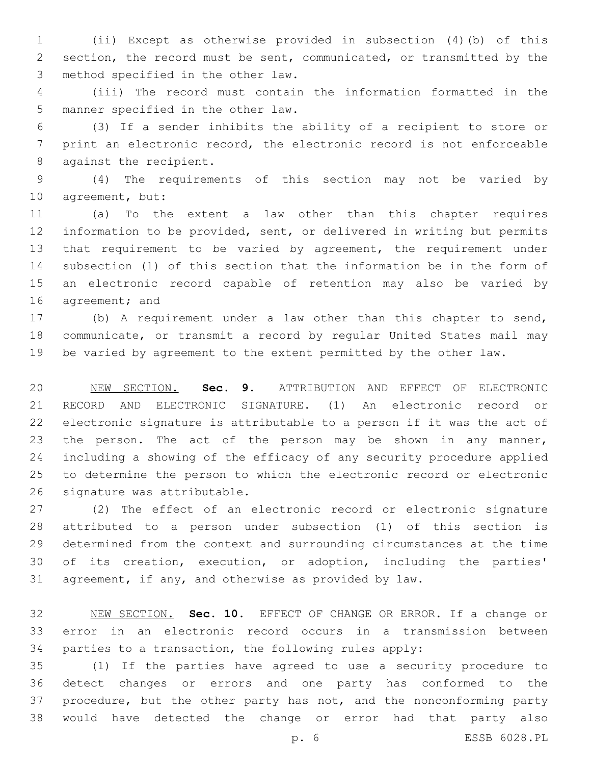(ii) Except as otherwise provided in subsection (4)(b) of this section, the record must be sent, communicated, or transmitted by the 3 method specified in the other law.

 (iii) The record must contain the information formatted in the 5 manner specified in the other law.

 (3) If a sender inhibits the ability of a recipient to store or print an electronic record, the electronic record is not enforceable 8 against the recipient.

 (4) The requirements of this section may not be varied by 10 agreement, but:

 (a) To the extent a law other than this chapter requires information to be provided, sent, or delivered in writing but permits 13 that requirement to be varied by agreement, the requirement under subsection (1) of this section that the information be in the form of an electronic record capable of retention may also be varied by 16 agreement; and

 (b) A requirement under a law other than this chapter to send, communicate, or transmit a record by regular United States mail may be varied by agreement to the extent permitted by the other law.

 NEW SECTION. **Sec. 9.** ATTRIBUTION AND EFFECT OF ELECTRONIC RECORD AND ELECTRONIC SIGNATURE. (1) An electronic record or electronic signature is attributable to a person if it was the act of the person. The act of the person may be shown in any manner, including a showing of the efficacy of any security procedure applied to determine the person to which the electronic record or electronic signature was attributable.

 (2) The effect of an electronic record or electronic signature attributed to a person under subsection (1) of this section is determined from the context and surrounding circumstances at the time of its creation, execution, or adoption, including the parties' agreement, if any, and otherwise as provided by law.

 NEW SECTION. **Sec. 10.** EFFECT OF CHANGE OR ERROR. If a change or error in an electronic record occurs in a transmission between parties to a transaction, the following rules apply:

 (1) If the parties have agreed to use a security procedure to detect changes or errors and one party has conformed to the 37 procedure, but the other party has not, and the nonconforming party would have detected the change or error had that party also

p. 6 ESSB 6028.PL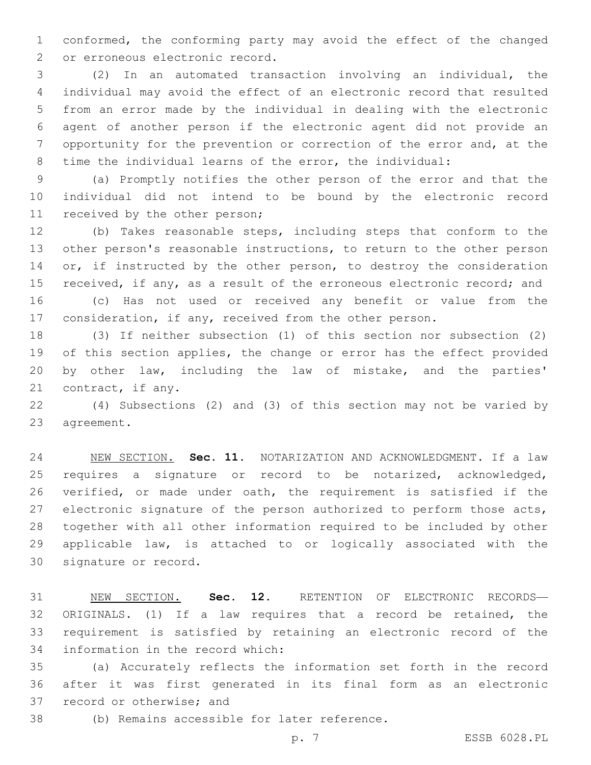conformed, the conforming party may avoid the effect of the changed 2 or erroneous electronic record.

 (2) In an automated transaction involving an individual, the individual may avoid the effect of an electronic record that resulted from an error made by the individual in dealing with the electronic agent of another person if the electronic agent did not provide an opportunity for the prevention or correction of the error and, at the time the individual learns of the error, the individual:

 (a) Promptly notifies the other person of the error and that the individual did not intend to be bound by the electronic record 11 received by the other person;

 (b) Takes reasonable steps, including steps that conform to the other person's reasonable instructions, to return to the other person 14 or, if instructed by the other person, to destroy the consideration 15 received, if any, as a result of the erroneous electronic record; and

 (c) Has not used or received any benefit or value from the consideration, if any, received from the other person.

 (3) If neither subsection (1) of this section nor subsection (2) of this section applies, the change or error has the effect provided by other law, including the law of mistake, and the parties' 21 contract, if any.

 (4) Subsections (2) and (3) of this section may not be varied by 23 agreement.

 NEW SECTION. **Sec. 11.** NOTARIZATION AND ACKNOWLEDGMENT. If a law requires a signature or record to be notarized, acknowledged, verified, or made under oath, the requirement is satisfied if the 27 electronic signature of the person authorized to perform those acts, together with all other information required to be included by other applicable law, is attached to or logically associated with the signature or record.

 NEW SECTION. **Sec. 12.** RETENTION OF ELECTRONIC RECORDS— ORIGINALS. (1) If a law requires that a record be retained, the requirement is satisfied by retaining an electronic record of the information in the record which:

 (a) Accurately reflects the information set forth in the record after it was first generated in its final form as an electronic 37 record or otherwise; and

38 (b) Remains accessible for later reference.

p. 7 ESSB 6028.PL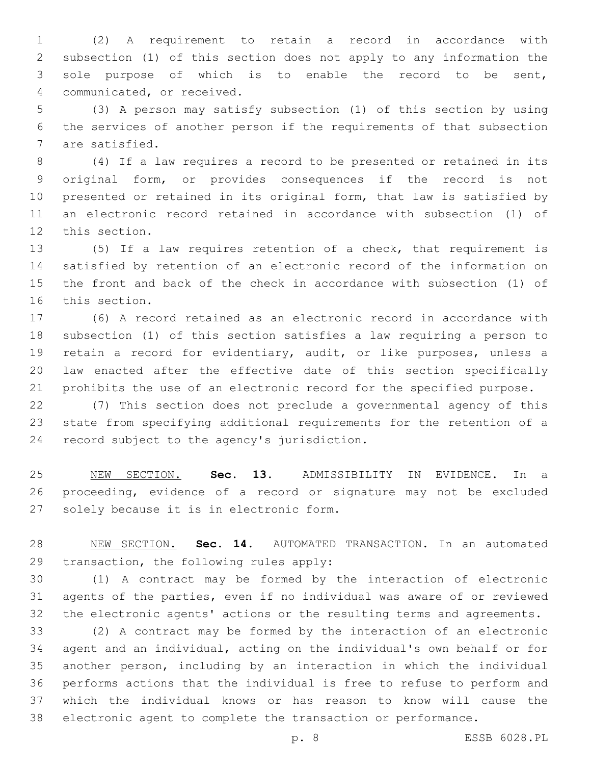(2) A requirement to retain a record in accordance with subsection (1) of this section does not apply to any information the sole purpose of which is to enable the record to be sent, 4 communicated, or received.

 (3) A person may satisfy subsection (1) of this section by using the services of another person if the requirements of that subsection 7 are satisfied.

 (4) If a law requires a record to be presented or retained in its original form, or provides consequences if the record is not presented or retained in its original form, that law is satisfied by an electronic record retained in accordance with subsection (1) of 12 this section.

 (5) If a law requires retention of a check, that requirement is satisfied by retention of an electronic record of the information on the front and back of the check in accordance with subsection (1) of 16 this section.

 (6) A record retained as an electronic record in accordance with subsection (1) of this section satisfies a law requiring a person to retain a record for evidentiary, audit, or like purposes, unless a law enacted after the effective date of this section specifically prohibits the use of an electronic record for the specified purpose.

 (7) This section does not preclude a governmental agency of this state from specifying additional requirements for the retention of a 24 record subject to the agency's jurisdiction.

 NEW SECTION. **Sec. 13.** ADMISSIBILITY IN EVIDENCE. In a proceeding, evidence of a record or signature may not be excluded solely because it is in electronic form.

 NEW SECTION. **Sec. 14.** AUTOMATED TRANSACTION. In an automated transaction, the following rules apply:

 (1) A contract may be formed by the interaction of electronic agents of the parties, even if no individual was aware of or reviewed the electronic agents' actions or the resulting terms and agreements.

 (2) A contract may be formed by the interaction of an electronic agent and an individual, acting on the individual's own behalf or for another person, including by an interaction in which the individual performs actions that the individual is free to refuse to perform and which the individual knows or has reason to know will cause the electronic agent to complete the transaction or performance.

p. 8 ESSB 6028.PL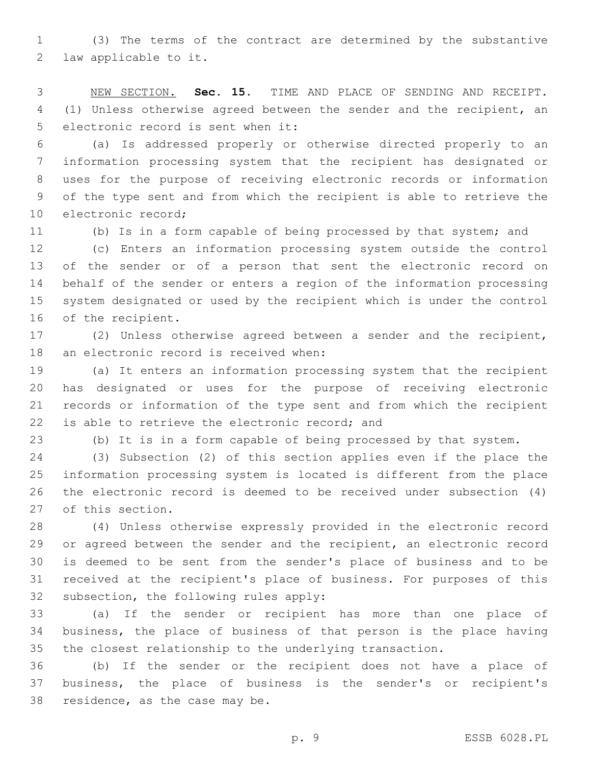(3) The terms of the contract are determined by the substantive 2 law applicable to it.

 NEW SECTION. **Sec. 15.** TIME AND PLACE OF SENDING AND RECEIPT. (1) Unless otherwise agreed between the sender and the recipient, an electronic record is sent when it:

 (a) Is addressed properly or otherwise directed properly to an information processing system that the recipient has designated or uses for the purpose of receiving electronic records or information of the type sent and from which the recipient is able to retrieve the 10 electronic record;

(b) Is in a form capable of being processed by that system; and

 (c) Enters an information processing system outside the control of the sender or of a person that sent the electronic record on behalf of the sender or enters a region of the information processing system designated or used by the recipient which is under the control 16 of the recipient.

 (2) Unless otherwise agreed between a sender and the recipient, 18 an electronic record is received when:

 (a) It enters an information processing system that the recipient has designated or uses for the purpose of receiving electronic records or information of the type sent and from which the recipient 22 is able to retrieve the electronic record; and

(b) It is in a form capable of being processed by that system.

 (3) Subsection (2) of this section applies even if the place the information processing system is located is different from the place the electronic record is deemed to be received under subsection (4) 27 of this section.

 (4) Unless otherwise expressly provided in the electronic record or agreed between the sender and the recipient, an electronic record is deemed to be sent from the sender's place of business and to be received at the recipient's place of business. For purposes of this 32 subsection, the following rules apply:

 (a) If the sender or recipient has more than one place of business, the place of business of that person is the place having the closest relationship to the underlying transaction.

 (b) If the sender or the recipient does not have a place of business, the place of business is the sender's or recipient's 38 residence, as the case may be.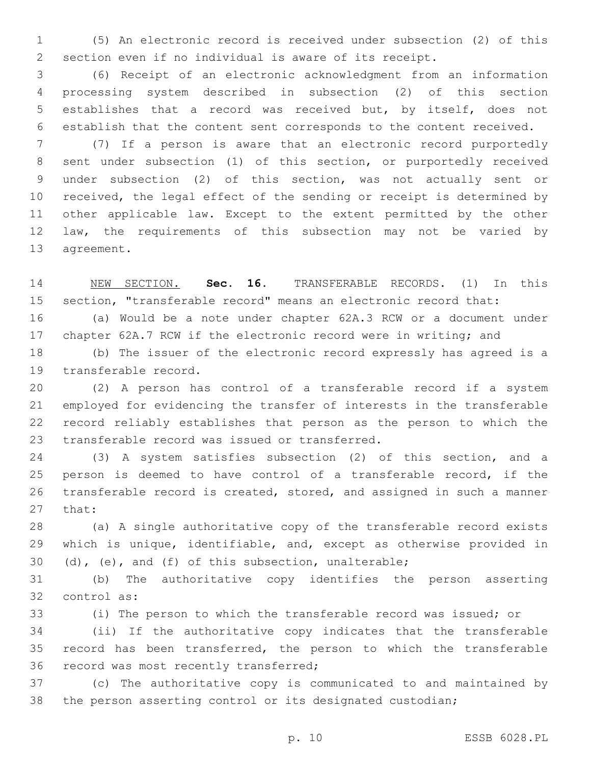(5) An electronic record is received under subsection (2) of this section even if no individual is aware of its receipt.

 (6) Receipt of an electronic acknowledgment from an information processing system described in subsection (2) of this section establishes that a record was received but, by itself, does not establish that the content sent corresponds to the content received.

 (7) If a person is aware that an electronic record purportedly sent under subsection (1) of this section, or purportedly received under subsection (2) of this section, was not actually sent or received, the legal effect of the sending or receipt is determined by other applicable law. Except to the extent permitted by the other law, the requirements of this subsection may not be varied by 13 agreement.

 NEW SECTION. **Sec. 16.** TRANSFERABLE RECORDS. (1) In this section, "transferable record" means an electronic record that:

 (a) Would be a note under chapter 62A.3 RCW or a document under chapter 62A.7 RCW if the electronic record were in writing; and

 (b) The issuer of the electronic record expressly has agreed is a 19 transferable record.

 (2) A person has control of a transferable record if a system employed for evidencing the transfer of interests in the transferable record reliably establishes that person as the person to which the 23 transferable record was issued or transferred.

 (3) A system satisfies subsection (2) of this section, and a person is deemed to have control of a transferable record, if the transferable record is created, stored, and assigned in such a manner 27 that:

 (a) A single authoritative copy of the transferable record exists which is unique, identifiable, and, except as otherwise provided in (d), (e), and (f) of this subsection, unalterable;

 (b) The authoritative copy identifies the person asserting 32 control as:

(i) The person to which the transferable record was issued; or

 (ii) If the authoritative copy indicates that the transferable record has been transferred, the person to which the transferable 36 record was most recently transferred;

 (c) The authoritative copy is communicated to and maintained by the person asserting control or its designated custodian;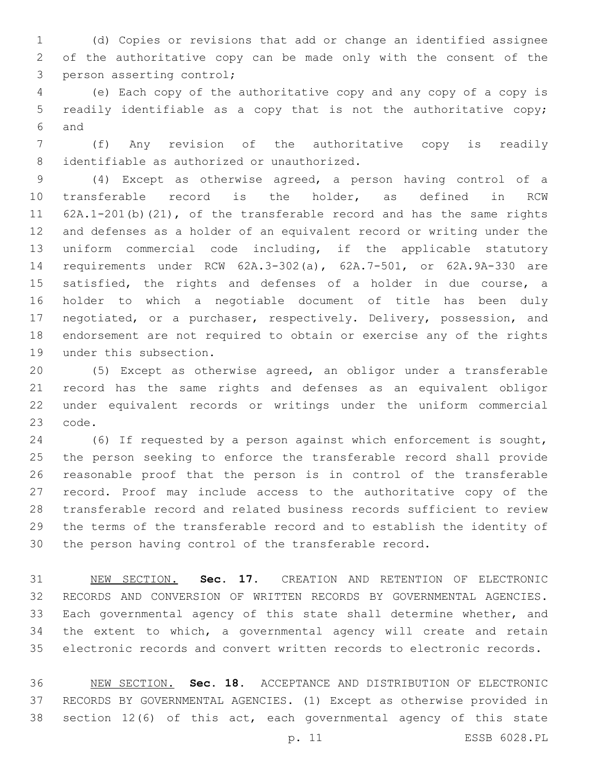(d) Copies or revisions that add or change an identified assignee of the authoritative copy can be made only with the consent of the 3 person asserting control;

 (e) Each copy of the authoritative copy and any copy of a copy is readily identifiable as a copy that is not the authoritative copy; and6

 (f) Any revision of the authoritative copy is readily 8 identifiable as authorized or unauthorized.

 (4) Except as otherwise agreed, a person having control of a transferable record is the holder, as defined in RCW 62A.1-201(b)(21), of the transferable record and has the same rights and defenses as a holder of an equivalent record or writing under the uniform commercial code including, if the applicable statutory requirements under RCW 62A.3-302(a), 62A.7-501, or 62A.9A-330 are satisfied, the rights and defenses of a holder in due course, a holder to which a negotiable document of title has been duly negotiated, or a purchaser, respectively. Delivery, possession, and endorsement are not required to obtain or exercise any of the rights 19 under this subsection.

 (5) Except as otherwise agreed, an obligor under a transferable record has the same rights and defenses as an equivalent obligor under equivalent records or writings under the uniform commercial 23 code.

 (6) If requested by a person against which enforcement is sought, the person seeking to enforce the transferable record shall provide reasonable proof that the person is in control of the transferable record. Proof may include access to the authoritative copy of the transferable record and related business records sufficient to review the terms of the transferable record and to establish the identity of the person having control of the transferable record.

 NEW SECTION. **Sec. 17.** CREATION AND RETENTION OF ELECTRONIC RECORDS AND CONVERSION OF WRITTEN RECORDS BY GOVERNMENTAL AGENCIES. Each governmental agency of this state shall determine whether, and the extent to which, a governmental agency will create and retain electronic records and convert written records to electronic records.

 NEW SECTION. **Sec. 18.** ACCEPTANCE AND DISTRIBUTION OF ELECTRONIC RECORDS BY GOVERNMENTAL AGENCIES. (1) Except as otherwise provided in section 12(6) of this act, each governmental agency of this state

p. 11 ESSB 6028.PL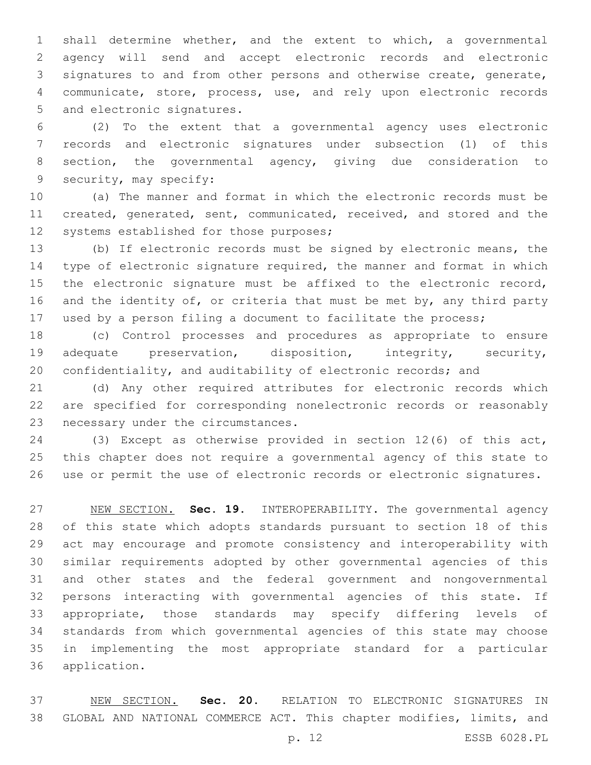shall determine whether, and the extent to which, a governmental agency will send and accept electronic records and electronic signatures to and from other persons and otherwise create, generate, communicate, store, process, use, and rely upon electronic records 5 and electronic signatures.

 (2) To the extent that a governmental agency uses electronic records and electronic signatures under subsection (1) of this section, the governmental agency, giving due consideration to 9 security, may specify:

 (a) The manner and format in which the electronic records must be created, generated, sent, communicated, received, and stored and the 12 systems established for those purposes;

 (b) If electronic records must be signed by electronic means, the type of electronic signature required, the manner and format in which 15 the electronic signature must be affixed to the electronic record, 16 and the identity of, or criteria that must be met by, any third party used by a person filing a document to facilitate the process;

 (c) Control processes and procedures as appropriate to ensure adequate preservation, disposition, integrity, security, confidentiality, and auditability of electronic records; and

 (d) Any other required attributes for electronic records which are specified for corresponding nonelectronic records or reasonably 23 necessary under the circumstances.

 (3) Except as otherwise provided in section 12(6) of this act, this chapter does not require a governmental agency of this state to use or permit the use of electronic records or electronic signatures.

 NEW SECTION. **Sec. 19.** INTEROPERABILITY. The governmental agency of this state which adopts standards pursuant to section 18 of this act may encourage and promote consistency and interoperability with similar requirements adopted by other governmental agencies of this and other states and the federal government and nongovernmental persons interacting with governmental agencies of this state. If appropriate, those standards may specify differing levels of standards from which governmental agencies of this state may choose in implementing the most appropriate standard for a particular application.

 NEW SECTION. **Sec. 20.** RELATION TO ELECTRONIC SIGNATURES IN GLOBAL AND NATIONAL COMMERCE ACT. This chapter modifies, limits, and

p. 12 ESSB 6028.PL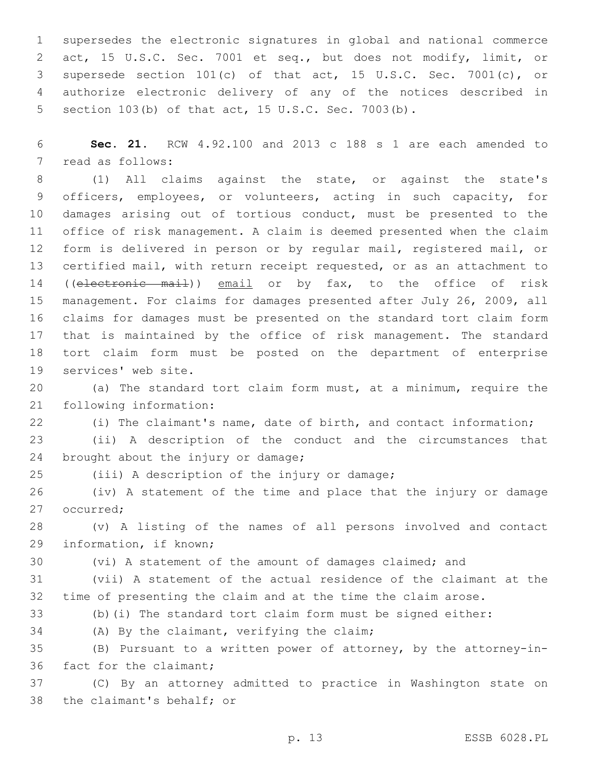supersedes the electronic signatures in global and national commerce act, 15 U.S.C. Sec. 7001 et seq., but does not modify, limit, or supersede section 101(c) of that act, 15 U.S.C. Sec. 7001(c), or authorize electronic delivery of any of the notices described in section 103(b) of that act, 15 U.S.C. Sec. 7003(b).

 **Sec. 21.** RCW 4.92.100 and 2013 c 188 s 1 are each amended to 7 read as follows:

 (1) All claims against the state, or against the state's officers, employees, or volunteers, acting in such capacity, for damages arising out of tortious conduct, must be presented to the office of risk management. A claim is deemed presented when the claim form is delivered in person or by regular mail, registered mail, or certified mail, with return receipt requested, or as an attachment to 14 ((electronic mail)) email or by fax, to the office of risk management. For claims for damages presented after July 26, 2009, all claims for damages must be presented on the standard tort claim form that is maintained by the office of risk management. The standard tort claim form must be posted on the department of enterprise 19 services' web site.

 (a) The standard tort claim form must, at a minimum, require the 21 following information:

(i) The claimant's name, date of birth, and contact information;

 (ii) A description of the conduct and the circumstances that 24 brought about the injury or damage;

25 (iii) A description of the injury or damage;

 (iv) A statement of the time and place that the injury or damage 27 occurred;

 (v) A listing of the names of all persons involved and contact 29 information, if known;

(vi) A statement of the amount of damages claimed; and

 (vii) A statement of the actual residence of the claimant at the time of presenting the claim and at the time the claim arose.

(b)(i) The standard tort claim form must be signed either:

34 (A) By the claimant, verifying the claim;

 (B) Pursuant to a written power of attorney, by the attorney-in-36 fact for the claimant;

 (C) By an attorney admitted to practice in Washington state on 38 the claimant's behalf; or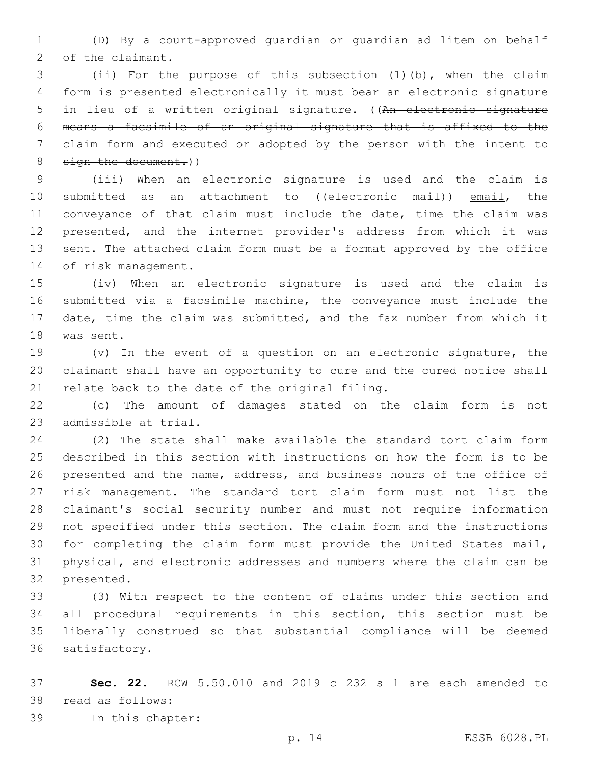(D) By a court-approved guardian or guardian ad litem on behalf 2 of the claimant.

 (ii) For the purpose of this subsection (1)(b), when the claim form is presented electronically it must bear an electronic signature 5 in lieu of a written original signature. ((An electronic signature means a facsimile of an original signature that is affixed to the claim form and executed or adopted by the person with the intent to 8 sign the document.))

 (iii) When an electronic signature is used and the claim is 10 submitted as an attachment to ((electronic mail)) email, the conveyance of that claim must include the date, time the claim was presented, and the internet provider's address from which it was sent. The attached claim form must be a format approved by the office 14 of risk management.

 (iv) When an electronic signature is used and the claim is submitted via a facsimile machine, the conveyance must include the date, time the claim was submitted, and the fax number from which it 18 was sent.

 (v) In the event of a question on an electronic signature, the claimant shall have an opportunity to cure and the cured notice shall 21 relate back to the date of the original filing.

 (c) The amount of damages stated on the claim form is not 23 admissible at trial.

 (2) The state shall make available the standard tort claim form described in this section with instructions on how the form is to be presented and the name, address, and business hours of the office of risk management. The standard tort claim form must not list the claimant's social security number and must not require information not specified under this section. The claim form and the instructions for completing the claim form must provide the United States mail, physical, and electronic addresses and numbers where the claim can be 32 presented.

 (3) With respect to the content of claims under this section and all procedural requirements in this section, this section must be liberally construed so that substantial compliance will be deemed 36 satisfactory.

 **Sec. 22.** RCW 5.50.010 and 2019 c 232 s 1 are each amended to 38 read as follows:

39 In this chapter: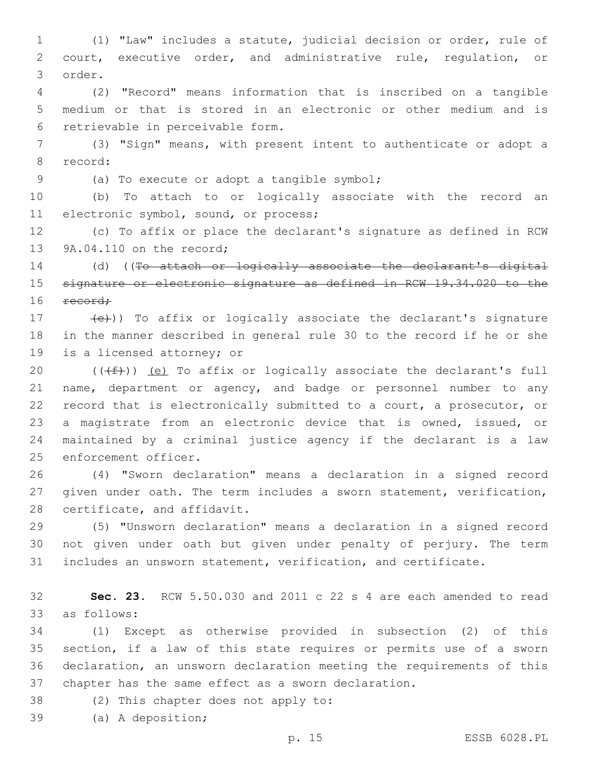1 (1) "Law" includes a statute, judicial decision or order, rule of 2 court, executive order, and administrative rule, regulation, or 3 order.

4 (2) "Record" means information that is inscribed on a tangible 5 medium or that is stored in an electronic or other medium and is 6 retrievable in perceivable form.

7 (3) "Sign" means, with present intent to authenticate or adopt a 8 record:

(a) To execute or adopt a tangible symbol;9

10 (b) To attach to or logically associate with the record an 11 electronic symbol, sound, or process;

12 (c) To affix or place the declarant's signature as defined in RCW 13 9A.04.110 on the record;

14 (d) ((To attach or logically associate the declarant's digital 15 signature or electronic signature as defined in RCW 19.34.020 to the 16 record:

17  $(e)$ )) To affix or logically associate the declarant's signature 18 in the manner described in general rule 30 to the record if he or she 19 is a licensed attorney; or

 $((\text{#}))$  (e) To affix or logically associate the declarant's full 21 name, department or agency, and badge or personnel number to any record that is electronically submitted to a court, a prosecutor, or a magistrate from an electronic device that is owned, issued, or maintained by a criminal justice agency if the declarant is a law 25 enforcement officer.

26 (4) "Sworn declaration" means a declaration in a signed record 27 given under oath. The term includes a sworn statement, verification, 28 certificate, and affidavit.

29 (5) "Unsworn declaration" means a declaration in a signed record 30 not given under oath but given under penalty of perjury. The term 31 includes an unsworn statement, verification, and certificate.

32 **Sec. 23.** RCW 5.50.030 and 2011 c 22 s 4 are each amended to read 33 as follows:

 (1) Except as otherwise provided in subsection (2) of this section, if a law of this state requires or permits use of a sworn declaration, an unsworn declaration meeting the requirements of this chapter has the same effect as a sworn declaration.

38 (2) This chapter does not apply to:

39 (a) A deposition;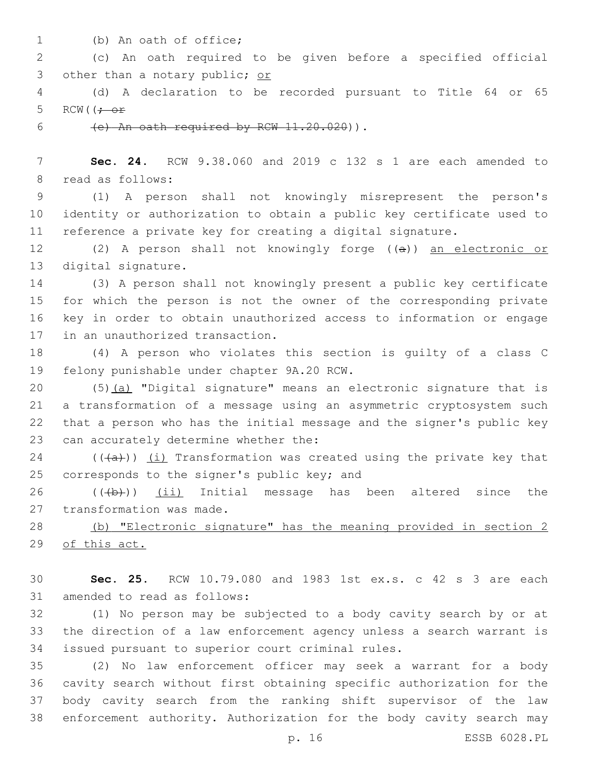- 
- 1 (b) An oath of office;

2 (c) An oath required to be given before a specified official 3 other than a notary public; or

4 (d) A declaration to be recorded pursuant to Title 64 or 65 5 RCW( $\left(\frac{1}{\epsilon_0}\right)$ 

 $(e)$  An oath required by RCW  $11.20.020)$ ).

7 **Sec. 24.** RCW 9.38.060 and 2019 c 132 s 1 are each amended to 8 read as follows:

9 (1) A person shall not knowingly misrepresent the person's 10 identity or authorization to obtain a public key certificate used to 11 reference a private key for creating a digital signature.

12 (2) A person shall not knowingly forge ((a)) an electronic or 13 digital signature.

 (3) A person shall not knowingly present a public key certificate for which the person is not the owner of the corresponding private key in order to obtain unauthorized access to information or engage 17 in an unauthorized transaction.

18 (4) A person who violates this section is guilty of a class C 19 felony punishable under chapter 9A.20 RCW.

 (5)(a) "Digital signature" means an electronic signature that is a transformation of a message using an asymmetric cryptosystem such that a person who has the initial message and the signer's public key 23 can accurately determine whether the:

24  $((+a))$   $(i)$  Transformation was created using the private key that 25 corresponds to the signer's public key; and

26  $((+b))$   $(i)$  Initial message has been altered since the 27 transformation was made.

28 (b) "Electronic signature" has the meaning provided in section 2 29 of this act.

30 **Sec. 25.** RCW 10.79.080 and 1983 1st ex.s. c 42 s 3 are each 31 amended to read as follows:

32 (1) No person may be subjected to a body cavity search by or at 33 the direction of a law enforcement agency unless a search warrant is 34 issued pursuant to superior court criminal rules.

 (2) No law enforcement officer may seek a warrant for a body cavity search without first obtaining specific authorization for the body cavity search from the ranking shift supervisor of the law enforcement authority. Authorization for the body cavity search may

p. 16 ESSB 6028.PL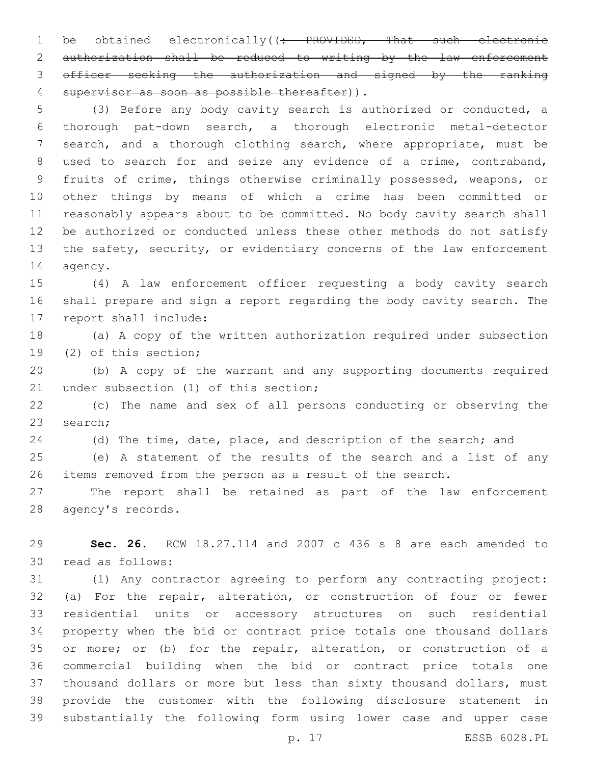1 be obtained electronically((: PROVIDED, That such electronic authorization shall be reduced to writing by the law enforcement officer seeking the authorization and signed by the ranking 4 supervisor as soon as possible thereafter)).

 (3) Before any body cavity search is authorized or conducted, a thorough pat-down search, a thorough electronic metal-detector search, and a thorough clothing search, where appropriate, must be used to search for and seize any evidence of a crime, contraband, fruits of crime, things otherwise criminally possessed, weapons, or other things by means of which a crime has been committed or reasonably appears about to be committed. No body cavity search shall be authorized or conducted unless these other methods do not satisfy the safety, security, or evidentiary concerns of the law enforcement 14 agency.

 (4) A law enforcement officer requesting a body cavity search shall prepare and sign a report regarding the body cavity search. The 17 report shall include:

 (a) A copy of the written authorization required under subsection 19 (2) of this section;

 (b) A copy of the warrant and any supporting documents required 21 under subsection (1) of this section;

 (c) The name and sex of all persons conducting or observing the 23 search;

(d) The time, date, place, and description of the search; and

 (e) A statement of the results of the search and a list of any items removed from the person as a result of the search.

 The report shall be retained as part of the law enforcement 28 agency's records.

 **Sec. 26.** RCW 18.27.114 and 2007 c 436 s 8 are each amended to 30 read as follows:

 (1) Any contractor agreeing to perform any contracting project: (a) For the repair, alteration, or construction of four or fewer residential units or accessory structures on such residential property when the bid or contract price totals one thousand dollars or more; or (b) for the repair, alteration, or construction of a commercial building when the bid or contract price totals one thousand dollars or more but less than sixty thousand dollars, must provide the customer with the following disclosure statement in substantially the following form using lower case and upper case

p. 17 ESSB 6028.PL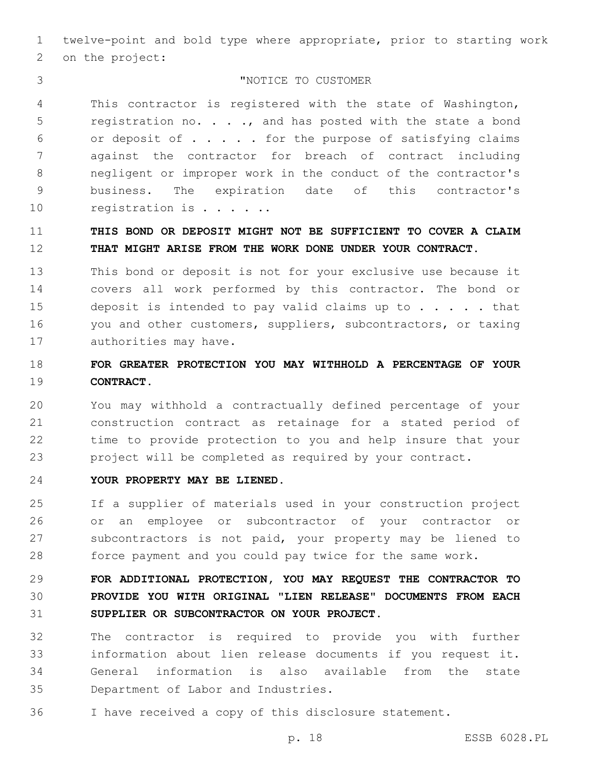twelve-point and bold type where appropriate, prior to starting work 2 on the project:

## 3 STRINGER TO CUSTOMER TO CUSTOMER

 This contractor is registered with the state of Washington, registration no. . . ., and has posted with the state a bond or deposit of . . . . . for the purpose of satisfying claims against the contractor for breach of contract including negligent or improper work in the conduct of the contractor's business. The expiration date of this contractor's 10 registration is . . . . . .

# **THIS BOND OR DEPOSIT MIGHT NOT BE SUFFICIENT TO COVER A CLAIM THAT MIGHT ARISE FROM THE WORK DONE UNDER YOUR CONTRACT.**

 This bond or deposit is not for your exclusive use because it covers all work performed by this contractor. The bond or deposit is intended to pay valid claims up to . . . . . that 16 you and other customers, suppliers, subcontractors, or taxing 17 authorities may have.

## **FOR GREATER PROTECTION YOU MAY WITHHOLD A PERCENTAGE OF YOUR CONTRACT.**

 You may withhold a contractually defined percentage of your construction contract as retainage for a stated period of time to provide protection to you and help insure that your project will be completed as required by your contract.

### **YOUR PROPERTY MAY BE LIENED.**

 If a supplier of materials used in your construction project or an employee or subcontractor of your contractor or subcontractors is not paid, your property may be liened to force payment and you could pay twice for the same work.

 **FOR ADDITIONAL PROTECTION, YOU MAY REQUEST THE CONTRACTOR TO PROVIDE YOU WITH ORIGINAL "LIEN RELEASE" DOCUMENTS FROM EACH SUPPLIER OR SUBCONTRACTOR ON YOUR PROJECT.**

 The contractor is required to provide you with further information about lien release documents if you request it. General information is also available from the state 35 Department of Labor and Industries.

I have received a copy of this disclosure statement.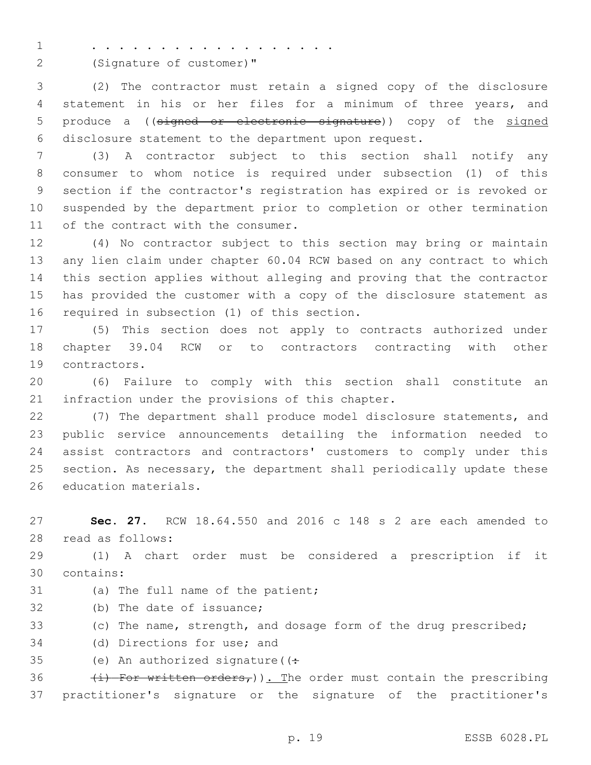. . . . . . . . . . . . . . . . . .1

(Signature of customer)"2

 (2) The contractor must retain a signed copy of the disclosure statement in his or her files for a minimum of three years, and 5 produce a ((signed or electronic signature)) copy of the signed disclosure statement to the department upon request.

 (3) A contractor subject to this section shall notify any consumer to whom notice is required under subsection (1) of this section if the contractor's registration has expired or is revoked or suspended by the department prior to completion or other termination 11 of the contract with the consumer.

 (4) No contractor subject to this section may bring or maintain any lien claim under chapter 60.04 RCW based on any contract to which this section applies without alleging and proving that the contractor has provided the customer with a copy of the disclosure statement as 16 required in subsection (1) of this section.

17 (5) This section does not apply to contracts authorized under 18 chapter 39.04 RCW or to contractors contracting with other 19 contractors.

20 (6) Failure to comply with this section shall constitute an 21 infraction under the provisions of this chapter.

22 (7) The department shall produce model disclosure statements, and 23 public service announcements detailing the information needed to 24 assist contractors and contractors' customers to comply under this 25 section. As necessary, the department shall periodically update these 26 education materials.

27 **Sec. 27.** RCW 18.64.550 and 2016 c 148 s 2 are each amended to 28 read as follows:

29 (1) A chart order must be considered a prescription if it contains:30

- 31 (a) The full name of the patient;
- 32 (b) The date of issuance;

33 (c) The name, strength, and dosage form of the drug prescribed;

34 (d) Directions for use; and

35 (e) An authorized signature ( $\left( \div \right)$ 

36  $(i)$  For written orders,  $(i)$ . The order must contain the prescribing 37 practitioner's signature or the signature of the practitioner's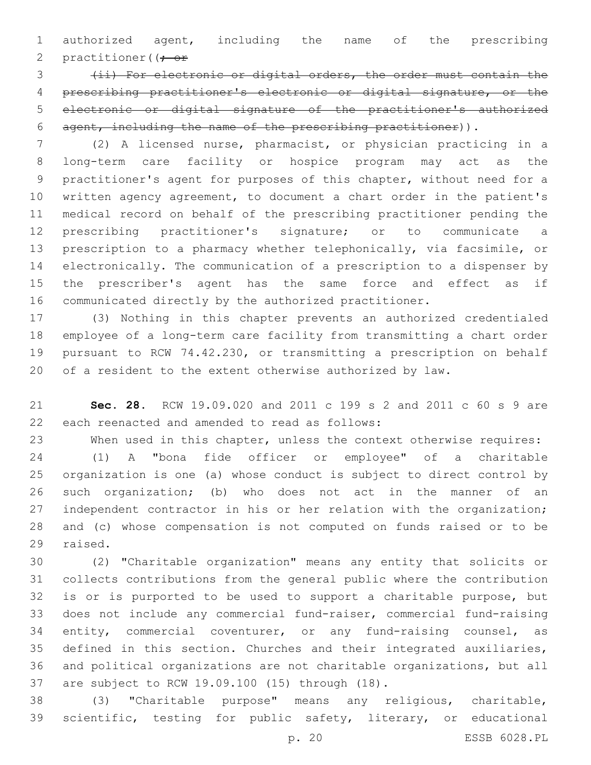authorized agent, including the name of the prescribing 2 practitioner( $\rightarrow$  or

 (ii) For electronic or digital orders, the order must contain the prescribing practitioner's electronic or digital signature, or the electronic or digital signature of the practitioner's authorized agent, including the name of the prescribing practitioner)).

 (2) A licensed nurse, pharmacist, or physician practicing in a long-term care facility or hospice program may act as the practitioner's agent for purposes of this chapter, without need for a written agency agreement, to document a chart order in the patient's medical record on behalf of the prescribing practitioner pending the prescribing practitioner's signature; or to communicate a prescription to a pharmacy whether telephonically, via facsimile, or electronically. The communication of a prescription to a dispenser by the prescriber's agent has the same force and effect as if communicated directly by the authorized practitioner.

 (3) Nothing in this chapter prevents an authorized credentialed employee of a long-term care facility from transmitting a chart order pursuant to RCW 74.42.230, or transmitting a prescription on behalf of a resident to the extent otherwise authorized by law.

 **Sec. 28.** RCW 19.09.020 and 2011 c 199 s 2 and 2011 c 60 s 9 are 22 each reenacted and amended to read as follows:

 When used in this chapter, unless the context otherwise requires: (1) A "bona fide officer or employee" of a charitable organization is one (a) whose conduct is subject to direct control by such organization; (b) who does not act in the manner of an 27 independent contractor in his or her relation with the organization; and (c) whose compensation is not computed on funds raised or to be

29 raised.

 (2) "Charitable organization" means any entity that solicits or collects contributions from the general public where the contribution is or is purported to be used to support a charitable purpose, but does not include any commercial fund-raiser, commercial fund-raising entity, commercial coventurer, or any fund-raising counsel, as defined in this section. Churches and their integrated auxiliaries, and political organizations are not charitable organizations, but all 37 are subject to RCW 19.09.100 (15) through (18).

 (3) "Charitable purpose" means any religious, charitable, scientific, testing for public safety, literary, or educational

p. 20 ESSB 6028.PL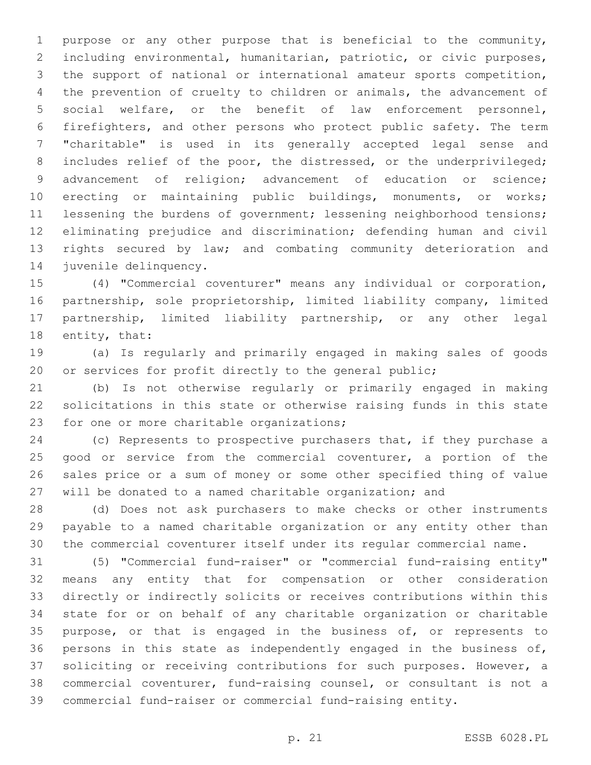purpose or any other purpose that is beneficial to the community, including environmental, humanitarian, patriotic, or civic purposes, the support of national or international amateur sports competition, the prevention of cruelty to children or animals, the advancement of social welfare, or the benefit of law enforcement personnel, firefighters, and other persons who protect public safety. The term "charitable" is used in its generally accepted legal sense and 8 includes relief of the poor, the distressed, or the underprivileged; advancement of religion; advancement of education or science; erecting or maintaining public buildings, monuments, or works; 11 lessening the burdens of government; lessening neighborhood tensions; eliminating prejudice and discrimination; defending human and civil rights secured by law; and combating community deterioration and 14 juvenile delinquency.

 (4) "Commercial coventurer" means any individual or corporation, partnership, sole proprietorship, limited liability company, limited partnership, limited liability partnership, or any other legal 18 entity, that:

 (a) Is regularly and primarily engaged in making sales of goods 20 or services for profit directly to the general public;

 (b) Is not otherwise regularly or primarily engaged in making solicitations in this state or otherwise raising funds in this state 23 for one or more charitable organizations;

 (c) Represents to prospective purchasers that, if they purchase a 25 good or service from the commercial coventurer, a portion of the sales price or a sum of money or some other specified thing of value will be donated to a named charitable organization; and

 (d) Does not ask purchasers to make checks or other instruments payable to a named charitable organization or any entity other than the commercial coventurer itself under its regular commercial name.

 (5) "Commercial fund-raiser" or "commercial fund-raising entity" means any entity that for compensation or other consideration directly or indirectly solicits or receives contributions within this state for or on behalf of any charitable organization or charitable purpose, or that is engaged in the business of, or represents to 36 persons in this state as independently engaged in the business of, soliciting or receiving contributions for such purposes. However, a commercial coventurer, fund-raising counsel, or consultant is not a commercial fund-raiser or commercial fund-raising entity.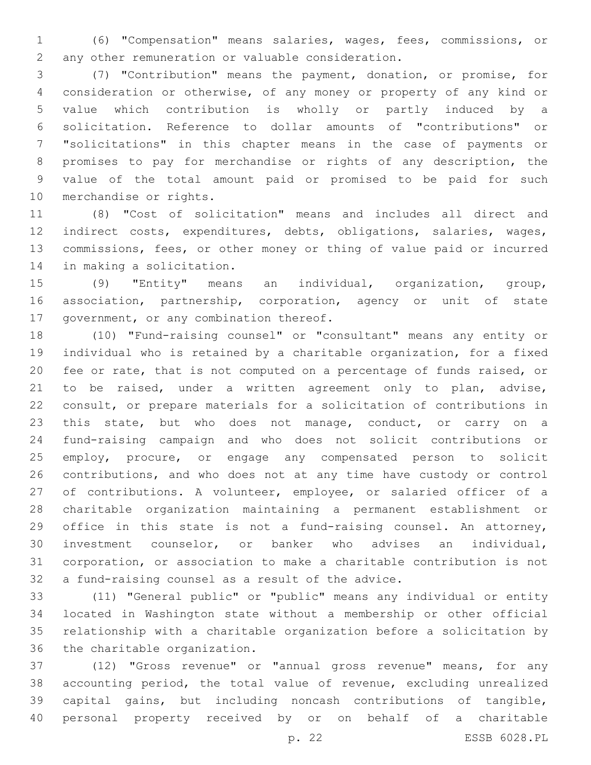(6) "Compensation" means salaries, wages, fees, commissions, or any other remuneration or valuable consideration.2

 (7) "Contribution" means the payment, donation, or promise, for consideration or otherwise, of any money or property of any kind or value which contribution is wholly or partly induced by a solicitation. Reference to dollar amounts of "contributions" or "solicitations" in this chapter means in the case of payments or promises to pay for merchandise or rights of any description, the value of the total amount paid or promised to be paid for such 10 merchandise or rights.

 (8) "Cost of solicitation" means and includes all direct and indirect costs, expenditures, debts, obligations, salaries, wages, commissions, fees, or other money or thing of value paid or incurred 14 in making a solicitation.

 (9) "Entity" means an individual, organization, group, association, partnership, corporation, agency or unit of state 17 government, or any combination thereof.

 (10) "Fund-raising counsel" or "consultant" means any entity or individual who is retained by a charitable organization, for a fixed fee or rate, that is not computed on a percentage of funds raised, or to be raised, under a written agreement only to plan, advise, consult, or prepare materials for a solicitation of contributions in 23 this state, but who does not manage, conduct, or carry on a fund-raising campaign and who does not solicit contributions or employ, procure, or engage any compensated person to solicit contributions, and who does not at any time have custody or control 27 of contributions. A volunteer, employee, or salaried officer of a charitable organization maintaining a permanent establishment or office in this state is not a fund-raising counsel. An attorney, investment counselor, or banker who advises an individual, corporation, or association to make a charitable contribution is not 32 a fund-raising counsel as a result of the advice.

 (11) "General public" or "public" means any individual or entity located in Washington state without a membership or other official relationship with a charitable organization before a solicitation by 36 the charitable organization.

 (12) "Gross revenue" or "annual gross revenue" means, for any accounting period, the total value of revenue, excluding unrealized capital gains, but including noncash contributions of tangible, personal property received by or on behalf of a charitable

p. 22 ESSB 6028.PL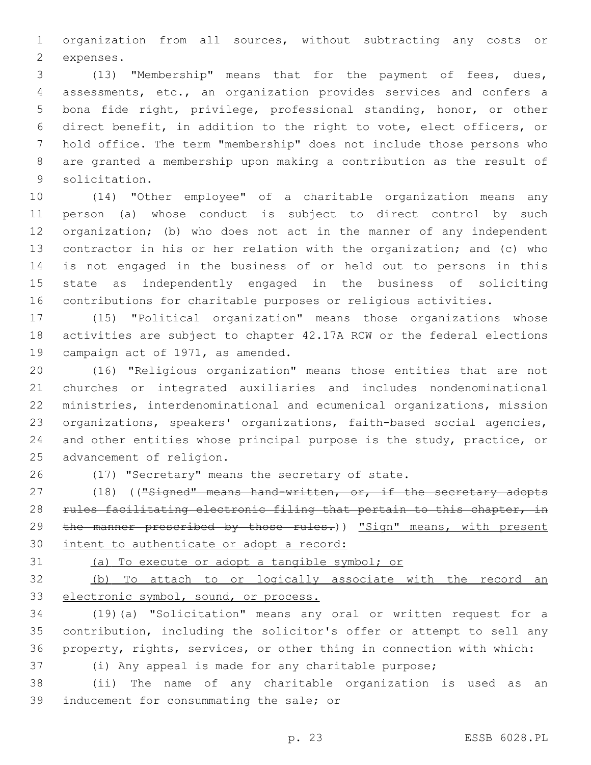organization from all sources, without subtracting any costs or 2 expenses.

 (13) "Membership" means that for the payment of fees, dues, assessments, etc., an organization provides services and confers a bona fide right, privilege, professional standing, honor, or other direct benefit, in addition to the right to vote, elect officers, or hold office. The term "membership" does not include those persons who are granted a membership upon making a contribution as the result of 9 solicitation.

 (14) "Other employee" of a charitable organization means any person (a) whose conduct is subject to direct control by such organization; (b) who does not act in the manner of any independent contractor in his or her relation with the organization; and (c) who is not engaged in the business of or held out to persons in this state as independently engaged in the business of soliciting contributions for charitable purposes or religious activities.

 (15) "Political organization" means those organizations whose activities are subject to chapter 42.17A RCW or the federal elections 19 campaign act of 1971, as amended.

 (16) "Religious organization" means those entities that are not churches or integrated auxiliaries and includes nondenominational ministries, interdenominational and ecumenical organizations, mission organizations, speakers' organizations, faith-based social agencies, and other entities whose principal purpose is the study, practice, or 25 advancement of religion.

(17) "Secretary" means the secretary of state.

27 (18) (("Signed" means hand-written, or, if the secretary adopts 28 rules facilitating electronic filing that pertain to this chapter, in 29 the manner prescribed by those rules.)) "Sign" means, with present intent to authenticate or adopt a record:

(a) To execute or adopt a tangible symbol; or

 (b) To attach to or logically associate with the record an electronic symbol, sound, or process.

 (19)(a) "Solicitation" means any oral or written request for a contribution, including the solicitor's offer or attempt to sell any property, rights, services, or other thing in connection with which:

(i) Any appeal is made for any charitable purpose;

 (ii) The name of any charitable organization is used as an 39 inducement for consummating the sale; or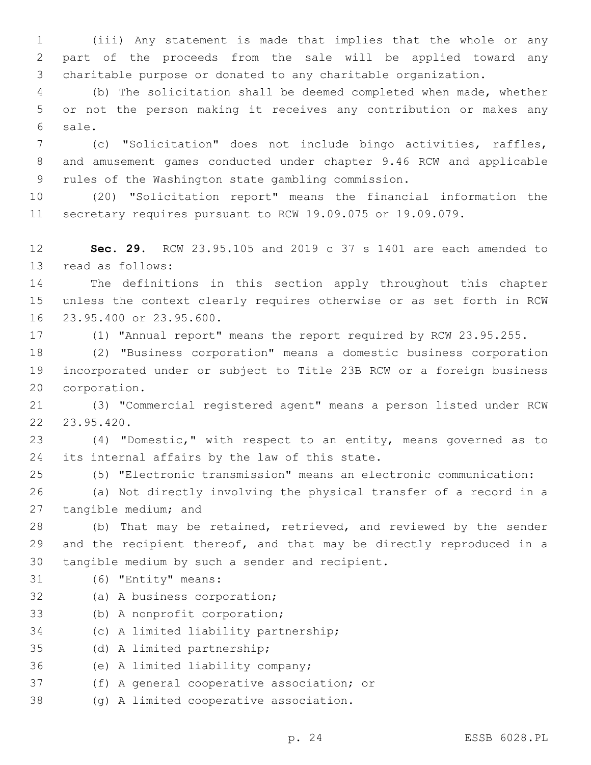1 (iii) Any statement is made that implies that the whole or any 2 part of the proceeds from the sale will be applied toward any 3 charitable purpose or donated to any charitable organization.

4 (b) The solicitation shall be deemed completed when made, whether 5 or not the person making it receives any contribution or makes any 6 sale.

7 (c) "Solicitation" does not include bingo activities, raffles, 8 and amusement games conducted under chapter 9.46 RCW and applicable 9 rules of the Washington state gambling commission.

10 (20) "Solicitation report" means the financial information the 11 secretary requires pursuant to RCW 19.09.075 or 19.09.079.

12 **Sec. 29.** RCW 23.95.105 and 2019 c 37 s 1401 are each amended to 13 read as follows:

14 The definitions in this section apply throughout this chapter 15 unless the context clearly requires otherwise or as set forth in RCW 16 23.95.400 or 23.95.600.

17 (1) "Annual report" means the report required by RCW 23.95.255.

18 (2) "Business corporation" means a domestic business corporation 19 incorporated under or subject to Title 23B RCW or a foreign business 20 corporation.

21 (3) "Commercial registered agent" means a person listed under RCW 23.95.420.22

23 (4) "Domestic," with respect to an entity, means governed as to 24 its internal affairs by the law of this state.

25 (5) "Electronic transmission" means an electronic communication:

26 (a) Not directly involving the physical transfer of a record in a 27 tangible medium; and

28 (b) That may be retained, retrieved, and reviewed by the sender 29 and the recipient thereof, and that may be directly reproduced in a 30 tangible medium by such a sender and recipient.

- 31 (6) "Entity" means:
- 32 (a) A business corporation;
- 33 (b) A nonprofit corporation;
- 34 (c) A limited liability partnership;
- 35 (d) A limited partnership;
- 36 (e) A limited liability company;
- 37 (f) A general cooperative association; or
- 38 (g) A limited cooperative association.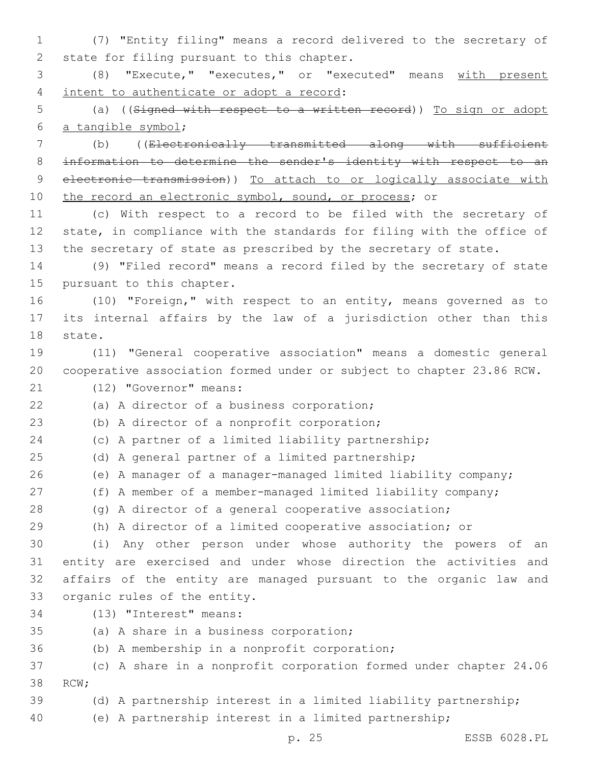1 (7) "Entity filing" means a record delivered to the secretary of 2 state for filing pursuant to this chapter.

3 (8) "Execute," "executes," or "executed" means with present 4 intent to authenticate or adopt a record:

5 (a) ((Signed with respect to a written record)) To sign or adopt a tangible symbol;6

7 (b) ((Electronically transmitted along with sufficient 8 information to determine the sender's identity with respect to an 9 electronic transmission)) To attach to or logically associate with 10 the record an electronic symbol, sound, or process; or

11 (c) With respect to a record to be filed with the secretary of 12 state, in compliance with the standards for filing with the office of 13 the secretary of state as prescribed by the secretary of state.

14 (9) "Filed record" means a record filed by the secretary of state 15 pursuant to this chapter.

16 (10) "Foreign," with respect to an entity, means governed as to 17 its internal affairs by the law of a jurisdiction other than this 18 state.

19 (11) "General cooperative association" means a domestic general 20 cooperative association formed under or subject to chapter 23.86 RCW.

21 (12) "Governor" means:

22 (a) A director of a business corporation;

23 (b) A director of a nonprofit corporation;

24 (c) A partner of a limited liability partnership;

25 (d) A general partner of a limited partnership;

26 (e) A manager of a manager-managed limited liability company;

27 (f) A member of a member-managed limited liability company;

28 (g) A director of a general cooperative association;

29 (h) A director of a limited cooperative association; or

 (i) Any other person under whose authority the powers of an entity are exercised and under whose direction the activities and affairs of the entity are managed pursuant to the organic law and 33 organic rules of the entity.

- 34 (13) "Interest" means:
- 35 (a) A share in a business corporation;
- 36 (b) A membership in a nonprofit corporation;

37 (c) A share in a nonprofit corporation formed under chapter 24.06 38 RCW;

- 39 (d) A partnership interest in a limited liability partnership;
- 40 (e) A partnership interest in a limited partnership;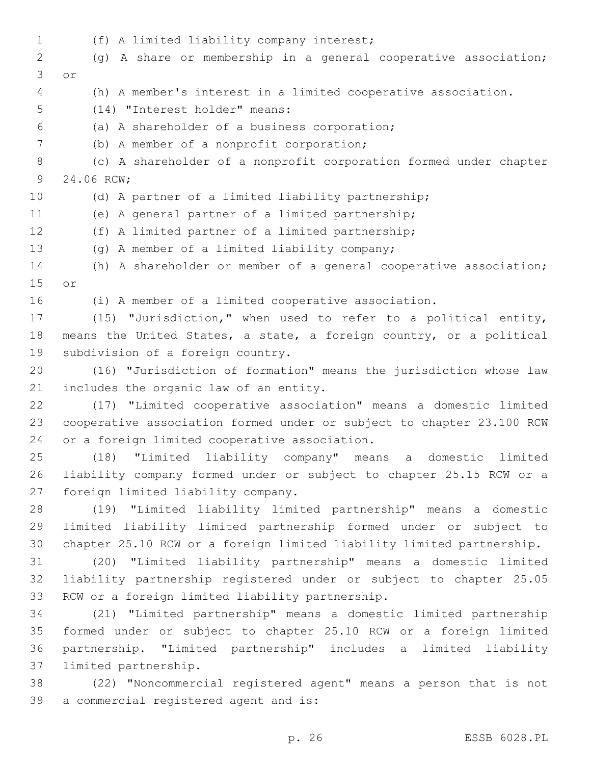(f) A limited liability company interest;1 (g) A share or membership in a general cooperative association; 3 or (h) A member's interest in a limited cooperative association. 5 (14) "Interest holder" means: (a) A shareholder of a business corporation;6 (b) A member of a nonprofit corporation;7 (c) A shareholder of a nonprofit corporation formed under chapter 9 24.06 RCW: (d) A partner of a limited liability partnership; (e) A general partner of a limited partnership; (f) A limited partner of a limited partnership; 13 (g) A member of a limited liability company; (h) A shareholder or member of a general cooperative association; 15 or (i) A member of a limited cooperative association. (15) "Jurisdiction," when used to refer to a political entity, means the United States, a state, a foreign country, or a political 19 subdivision of a foreign country. (16) "Jurisdiction of formation" means the jurisdiction whose law 21 includes the organic law of an entity. (17) "Limited cooperative association" means a domestic limited cooperative association formed under or subject to chapter 23.100 RCW 24 or a foreign limited cooperative association. (18) "Limited liability company" means a domestic limited liability company formed under or subject to chapter 25.15 RCW or a 27 foreign limited liability company. (19) "Limited liability limited partnership" means a domestic limited liability limited partnership formed under or subject to chapter 25.10 RCW or a foreign limited liability limited partnership. (20) "Limited liability partnership" means a domestic limited liability partnership registered under or subject to chapter 25.05 33 RCW or a foreign limited liability partnership. (21) "Limited partnership" means a domestic limited partnership formed under or subject to chapter 25.10 RCW or a foreign limited partnership. "Limited partnership" includes a limited liability 37 limited partnership. (22) "Noncommercial registered agent" means a person that is not 39 a commercial registered agent and is: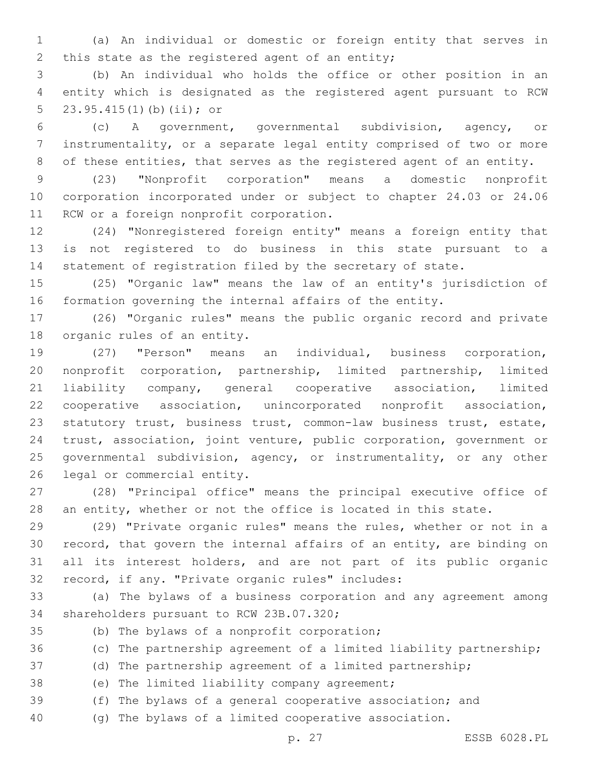(a) An individual or domestic or foreign entity that serves in 2 this state as the registered agent of an entity;

 (b) An individual who holds the office or other position in an entity which is designated as the registered agent pursuant to RCW 5  $23.95.415(1)(b)(ii);$  or

 (c) A government, governmental subdivision, agency, or instrumentality, or a separate legal entity comprised of two or more of these entities, that serves as the registered agent of an entity.

 (23) "Nonprofit corporation" means a domestic nonprofit corporation incorporated under or subject to chapter 24.03 or 24.06 11 RCW or a foreign nonprofit corporation.

 (24) "Nonregistered foreign entity" means a foreign entity that is not registered to do business in this state pursuant to a statement of registration filed by the secretary of state.

 (25) "Organic law" means the law of an entity's jurisdiction of formation governing the internal affairs of the entity.

 (26) "Organic rules" means the public organic record and private 18 organic rules of an entity.

 (27) "Person" means an individual, business corporation, nonprofit corporation, partnership, limited partnership, limited liability company, general cooperative association, limited cooperative association, unincorporated nonprofit association, statutory trust, business trust, common-law business trust, estate, trust, association, joint venture, public corporation, government or governmental subdivision, agency, or instrumentality, or any other 26 legal or commercial entity.

 (28) "Principal office" means the principal executive office of an entity, whether or not the office is located in this state.

 (29) "Private organic rules" means the rules, whether or not in a record, that govern the internal affairs of an entity, are binding on all its interest holders, and are not part of its public organic 32 record, if any. "Private organic rules" includes:

 (a) The bylaws of a business corporation and any agreement among 34 shareholders pursuant to RCW 23B.07.320;

35 (b) The bylaws of a nonprofit corporation;

(c) The partnership agreement of a limited liability partnership;

(d) The partnership agreement of a limited partnership;

38 (e) The limited liability company agreement;

(f) The bylaws of a general cooperative association; and

(g) The bylaws of a limited cooperative association.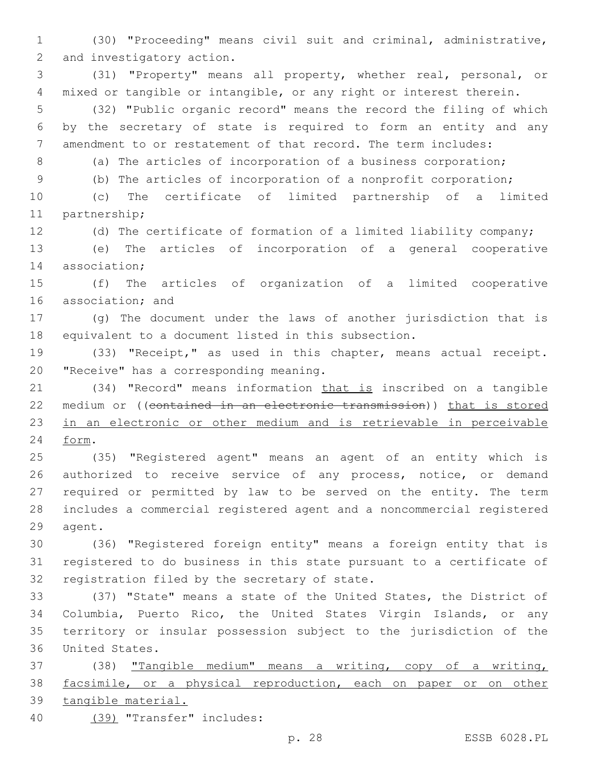(30) "Proceeding" means civil suit and criminal, administrative, 2 and investigatory action.

 (31) "Property" means all property, whether real, personal, or mixed or tangible or intangible, or any right or interest therein.

 (32) "Public organic record" means the record the filing of which by the secretary of state is required to form an entity and any amendment to or restatement of that record. The term includes:

(a) The articles of incorporation of a business corporation;

(b) The articles of incorporation of a nonprofit corporation;

 (c) The certificate of limited partnership of a limited 11 partnership;

(d) The certificate of formation of a limited liability company;

 (e) The articles of incorporation of a general cooperative 14 association;

 (f) The articles of organization of a limited cooperative 16 association; and

 (g) The document under the laws of another jurisdiction that is equivalent to a document listed in this subsection.

 (33) "Receipt," as used in this chapter, means actual receipt. 20 "Receive" has a corresponding meaning.

21 (34) "Record" means information that is inscribed on a tangible medium or ((contained in an electronic transmission)) that is stored in an electronic or other medium and is retrievable in perceivable form.24

 (35) "Registered agent" means an agent of an entity which is authorized to receive service of any process, notice, or demand required or permitted by law to be served on the entity. The term includes a commercial registered agent and a noncommercial registered 29 agent.

 (36) "Registered foreign entity" means a foreign entity that is registered to do business in this state pursuant to a certificate of 32 registration filed by the secretary of state.

 (37) "State" means a state of the United States, the District of Columbia, Puerto Rico, the United States Virgin Islands, or any territory or insular possession subject to the jurisdiction of the 36 United States.

 (38) "Tangible medium" means a writing, copy of a writing, 38 facsimile, or a physical reproduction, each on paper or on other tangible material. (39) "Transfer" includes:40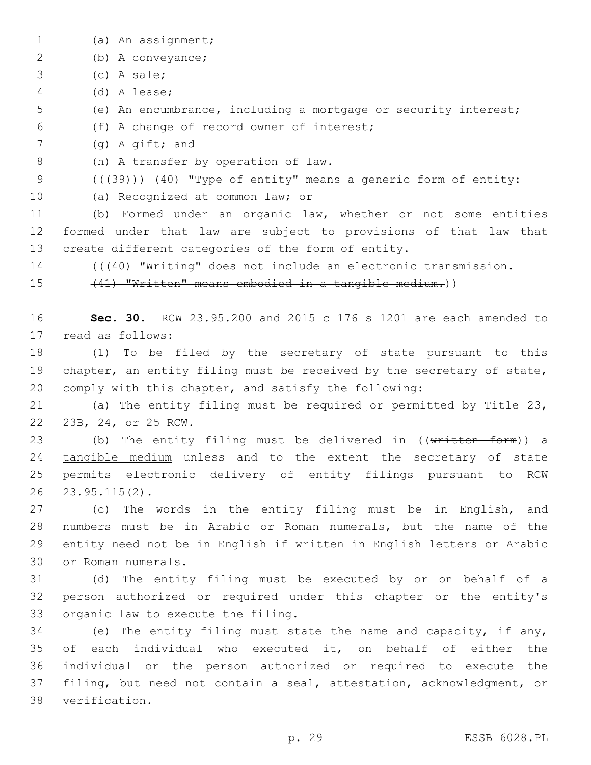- (a) An assignment;1
- 2 (b) A conveyance;
- 3 (c) A sale;
- (d) A lease;4
- 5 (e) An encumbrance, including a mortgage or security interest;
- (f) A change of record owner of interest;6
- $7$  (g) A gift; and
- 8 (h) A transfer by operation of law.
- 9 (( $(39)$ )) (40) "Type of entity" means a generic form of entity:
- 10 (a) Recognized at common law; or

11 (b) Formed under an organic law, whether or not some entities 12 formed under that law are subject to provisions of that law that 13 create different categories of the form of entity.

14 (((40) "Writing" does not include an electronic transmission.

15 (41) "Written" means embodied in a tangible medium.))

16 **Sec. 30.** RCW 23.95.200 and 2015 c 176 s 1201 are each amended to 17 read as follows:

18 (1) To be filed by the secretary of state pursuant to this 19 chapter, an entity filing must be received by the secretary of state, 20 comply with this chapter, and satisfy the following:

21 (a) The entity filing must be required or permitted by Title 23, 22 23B, 24, or 25 RCW.

23 (b) The entity filing must be delivered in ((written form)) a 24 tangible medium unless and to the extent the secretary of state 25 permits electronic delivery of entity filings pursuant to RCW 23.95.115(2).26

 (c) The words in the entity filing must be in English, and numbers must be in Arabic or Roman numerals, but the name of the entity need not be in English if written in English letters or Arabic 30 or Roman numerals.

31 (d) The entity filing must be executed by or on behalf of a 32 person authorized or required under this chapter or the entity's 33 organic law to execute the filing.

 (e) The entity filing must state the name and capacity, if any, of each individual who executed it, on behalf of either the individual or the person authorized or required to execute the filing, but need not contain a seal, attestation, acknowledgment, or verification.38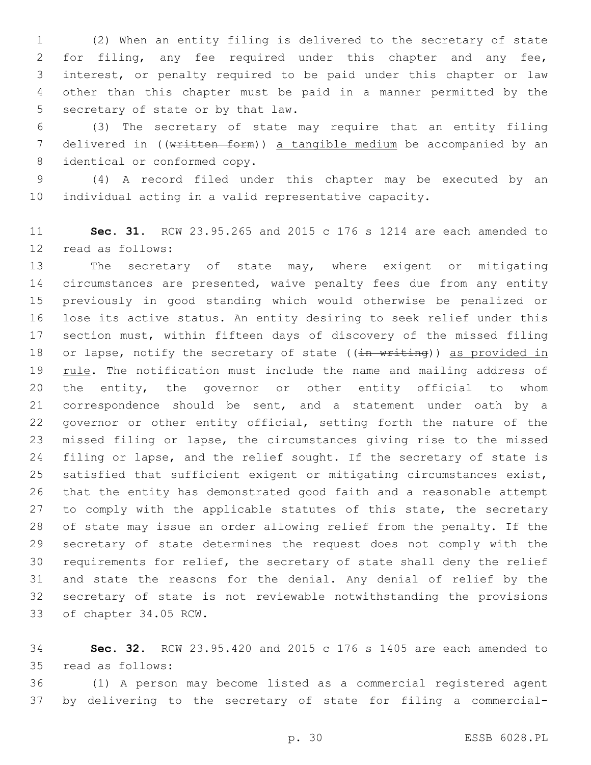(2) When an entity filing is delivered to the secretary of state for filing, any fee required under this chapter and any fee, interest, or penalty required to be paid under this chapter or law other than this chapter must be paid in a manner permitted by the 5 secretary of state or by that law.

 (3) The secretary of state may require that an entity filing 7 delivered in ((written form)) a tangible medium be accompanied by an 8 identical or conformed copy.

 (4) A record filed under this chapter may be executed by an individual acting in a valid representative capacity.

 **Sec. 31.** RCW 23.95.265 and 2015 c 176 s 1214 are each amended to 12 read as follows:

 The secretary of state may, where exigent or mitigating circumstances are presented, waive penalty fees due from any entity previously in good standing which would otherwise be penalized or lose its active status. An entity desiring to seek relief under this section must, within fifteen days of discovery of the missed filing 18 or lapse, notify the secretary of state ((in writing)) as provided in 19 rule. The notification must include the name and mailing address of the entity, the governor or other entity official to whom correspondence should be sent, and a statement under oath by a governor or other entity official, setting forth the nature of the missed filing or lapse, the circumstances giving rise to the missed 24 filing or lapse, and the relief sought. If the secretary of state is satisfied that sufficient exigent or mitigating circumstances exist, that the entity has demonstrated good faith and a reasonable attempt 27 to comply with the applicable statutes of this state, the secretary of state may issue an order allowing relief from the penalty. If the secretary of state determines the request does not comply with the requirements for relief, the secretary of state shall deny the relief and state the reasons for the denial. Any denial of relief by the secretary of state is not reviewable notwithstanding the provisions 33 of chapter 34.05 RCW.

 **Sec. 32.** RCW 23.95.420 and 2015 c 176 s 1405 are each amended to 35 read as follows:

 (1) A person may become listed as a commercial registered agent by delivering to the secretary of state for filing a commercial-

p. 30 ESSB 6028.PL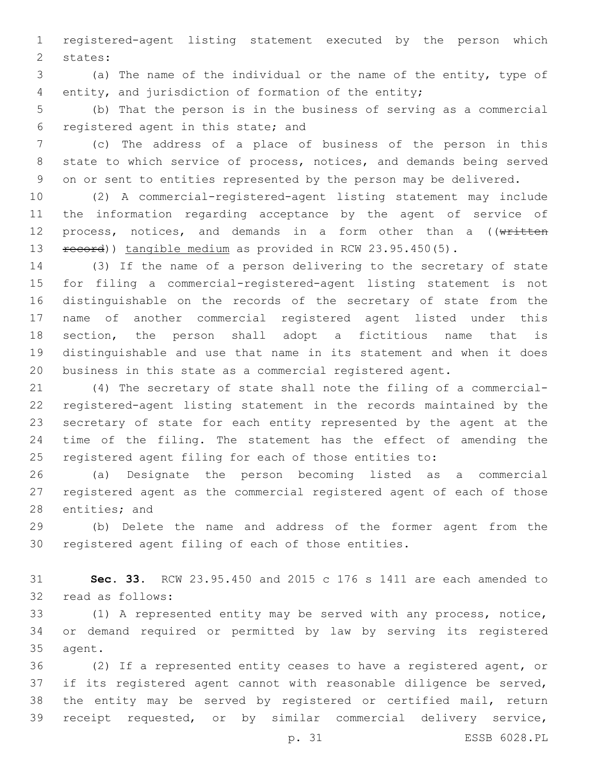registered-agent listing statement executed by the person which 2 states:

 (a) The name of the individual or the name of the entity, type of entity, and jurisdiction of formation of the entity;

 (b) That the person is in the business of serving as a commercial registered agent in this state; and6

 (c) The address of a place of business of the person in this state to which service of process, notices, and demands being served on or sent to entities represented by the person may be delivered.

 (2) A commercial-registered-agent listing statement may include the information regarding acceptance by the agent of service of 12 process, notices, and demands in a form other than a ((written 13 record)) tangible medium as provided in RCW 23.95.450(5).

 (3) If the name of a person delivering to the secretary of state for filing a commercial-registered-agent listing statement is not distinguishable on the records of the secretary of state from the name of another commercial registered agent listed under this section, the person shall adopt a fictitious name that is distinguishable and use that name in its statement and when it does business in this state as a commercial registered agent.

 (4) The secretary of state shall note the filing of a commercial- registered-agent listing statement in the records maintained by the secretary of state for each entity represented by the agent at the time of the filing. The statement has the effect of amending the registered agent filing for each of those entities to:

 (a) Designate the person becoming listed as a commercial registered agent as the commercial registered agent of each of those 28 entities; and

 (b) Delete the name and address of the former agent from the registered agent filing of each of those entities.

 **Sec. 33.** RCW 23.95.450 and 2015 c 176 s 1411 are each amended to 32 read as follows:

 (1) A represented entity may be served with any process, notice, or demand required or permitted by law by serving its registered 35 agent.

 (2) If a represented entity ceases to have a registered agent, or if its registered agent cannot with reasonable diligence be served, the entity may be served by registered or certified mail, return receipt requested, or by similar commercial delivery service,

p. 31 ESSB 6028.PL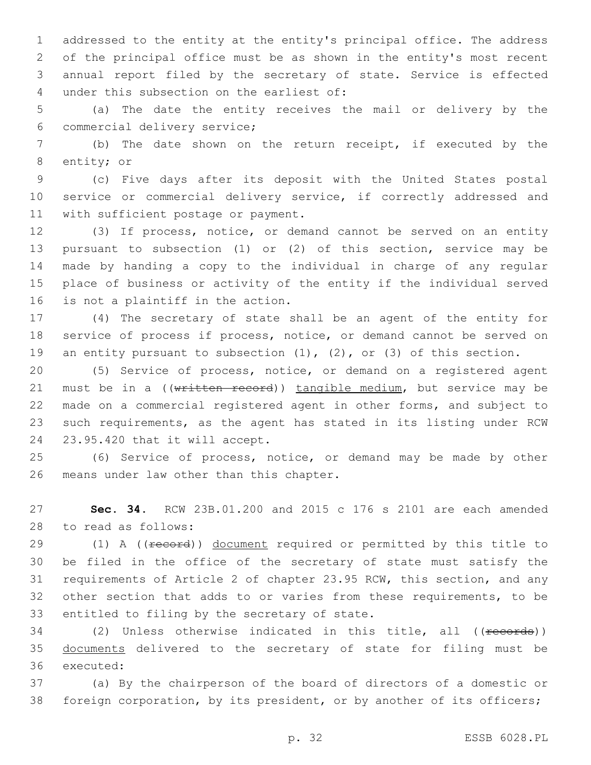addressed to the entity at the entity's principal office. The address of the principal office must be as shown in the entity's most recent annual report filed by the secretary of state. Service is effected 4 under this subsection on the earliest of:

5 (a) The date the entity receives the mail or delivery by the commercial delivery service;6

7 (b) The date shown on the return receipt, if executed by the 8 entity; or

9 (c) Five days after its deposit with the United States postal 10 service or commercial delivery service, if correctly addressed and 11 with sufficient postage or payment.

 (3) If process, notice, or demand cannot be served on an entity pursuant to subsection (1) or (2) of this section, service may be made by handing a copy to the individual in charge of any regular place of business or activity of the entity if the individual served 16 is not a plaintiff in the action.

17 (4) The secretary of state shall be an agent of the entity for 18 service of process if process, notice, or demand cannot be served on 19 an entity pursuant to subsection  $(1)$ ,  $(2)$ , or  $(3)$  of this section.

20 (5) Service of process, notice, or demand on a registered agent 21 must be in a ((written record)) tangible medium, but service may be 22 made on a commercial registered agent in other forms, and subject to 23 such requirements, as the agent has stated in its listing under RCW 23.95.420 that it will accept.24

25 (6) Service of process, notice, or demand may be made by other 26 means under law other than this chapter.

27 **Sec. 34.** RCW 23B.01.200 and 2015 c 176 s 2101 are each amended to read as follows:28

29 (1) A ((record)) document required or permitted by this title to 30 be filed in the office of the secretary of state must satisfy the 31 requirements of Article 2 of chapter 23.95 RCW, this section, and any 32 other section that adds to or varies from these requirements, to be 33 entitled to filing by the secretary of state.

34 (2) Unless otherwise indicated in this title, all ((<del>records</del>)) 35 documents delivered to the secretary of state for filing must be 36 executed:

37 (a) By the chairperson of the board of directors of a domestic or 38 foreign corporation, by its president, or by another of its officers;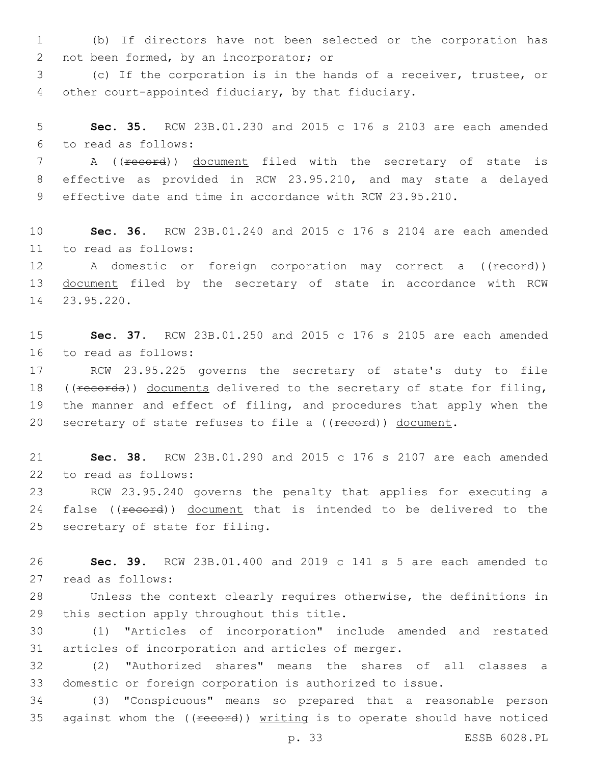1 (b) If directors have not been selected or the corporation has 2 not been formed, by an incorporator; or

3 (c) If the corporation is in the hands of a receiver, trustee, or 4 other court-appointed fiduciary, by that fiduciary.

5 **Sec. 35.** RCW 23B.01.230 and 2015 c 176 s 2103 are each amended to read as follows:6

7 A ((record)) document filed with the secretary of state is 8 effective as provided in RCW 23.95.210, and may state a delayed 9 effective date and time in accordance with RCW 23.95.210.

10 **Sec. 36.** RCW 23B.01.240 and 2015 c 176 s 2104 are each amended 11 to read as follows:

12 A domestic or foreign corporation may correct a ((record)) 13 document filed by the secretary of state in accordance with RCW 14 23.95.220.

15 **Sec. 37.** RCW 23B.01.250 and 2015 c 176 s 2105 are each amended 16 to read as follows:

17 RCW 23.95.225 governs the secretary of state's duty to file 18 ((records)) documents delivered to the secretary of state for filing, 19 the manner and effect of filing, and procedures that apply when the 20 secretary of state refuses to file a ((record)) document.

21 **Sec. 38.** RCW 23B.01.290 and 2015 c 176 s 2107 are each amended 22 to read as follows:

23 RCW 23.95.240 governs the penalty that applies for executing a 24 false ((record)) document that is intended to be delivered to the 25 secretary of state for filing.

26 **Sec. 39.** RCW 23B.01.400 and 2019 c 141 s 5 are each amended to read as follows:27

28 Unless the context clearly requires otherwise, the definitions in 29 this section apply throughout this title.

30 (1) "Articles of incorporation" include amended and restated 31 articles of incorporation and articles of merger.

32 (2) "Authorized shares" means the shares of all classes a 33 domestic or foreign corporation is authorized to issue.

34 (3) "Conspicuous" means so prepared that a reasonable person 35 against whom the ((record)) writing is to operate should have noticed

p. 33 ESSB 6028.PL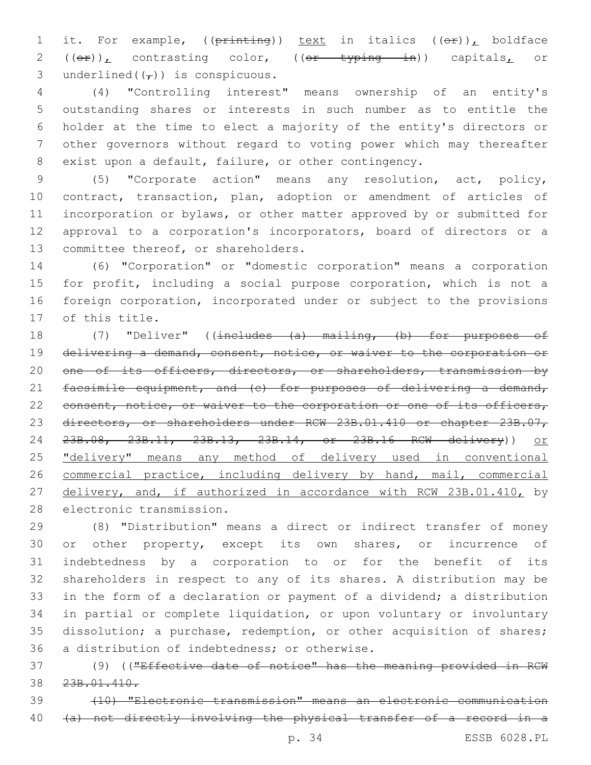1 it. For example, ((printing)) text in italics ((or)), boldface  $2((\theta \hat{r}))$ , contrasting color,  $((\theta \hat{r} + \theta \hat{r})$  capitals, or 3 underlined( $(\tau)$ ) is conspicuous.

 (4) "Controlling interest" means ownership of an entity's outstanding shares or interests in such number as to entitle the holder at the time to elect a majority of the entity's directors or other governors without regard to voting power which may thereafter exist upon a default, failure, or other contingency.

 (5) "Corporate action" means any resolution, act, policy, contract, transaction, plan, adoption or amendment of articles of incorporation or bylaws, or other matter approved by or submitted for approval to a corporation's incorporators, board of directors or a 13 committee thereof, or shareholders.

 (6) "Corporation" or "domestic corporation" means a corporation for profit, including a social purpose corporation, which is not a foreign corporation, incorporated under or subject to the provisions 17 of this title.

18 (7) "Deliver" ((<del>includes (a) mailing, (b) for purposes of</del> 19 delivering a demand, consent, notice, or waiver to the corporation or 20 one of its officers, directors, or shareholders, transmission by 21 facsimile equipment, and (c) for purposes of delivering a demand, 22 consent, notice, or waiver to the corporation or one of its officers, 23 directors, or shareholders under RCW 23B.01.410 or chapter 23B.07, 24 23B.08, 23B.11, 23B.13, 23B.14, or 23B.16 RCW delivery)) or 25 "delivery" means any method of delivery used in conventional 26 commercial practice, including delivery by hand, mail, commercial 27 delivery, and, if authorized in accordance with RCW 23B.01.410, by 28 electronic transmission.

 (8) "Distribution" means a direct or indirect transfer of money 30 or other property, except its own shares, or incurrence of indebtedness by a corporation to or for the benefit of its shareholders in respect to any of its shares. A distribution may be in the form of a declaration or payment of a dividend; a distribution in partial or complete liquidation, or upon voluntary or involuntary dissolution; a purchase, redemption, or other acquisition of shares; 36 a distribution of indebtedness; or otherwise.

37 (9) (("Effective date of notice" has the meaning provided in RCW 38 23B.01.410.

39 (10) "Electronic transmission" means an electronic communication 40 (a) not directly involving the physical transfer of a record in a

p. 34 ESSB 6028.PL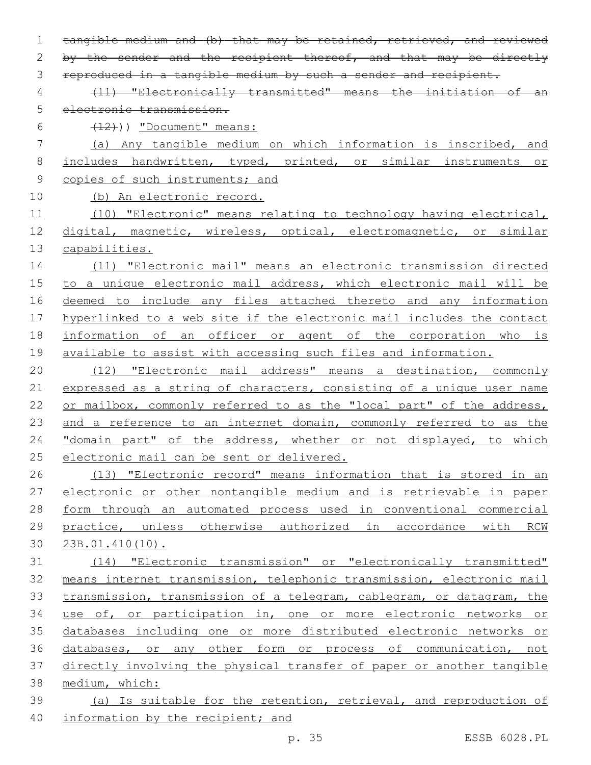tangible medium and (b) that may be retained, retrieved, and reviewed 2 by the sender and the recipient thereof, and that may be directly 3 reproduced in a tangible medium by such a sender and recipient. (11) "Electronically transmitted" means the initiation of an electronic transmission.  $(12)$ )) "Document" means: (a) Any tangible medium on which information is inscribed, and includes handwritten, typed, printed, or similar instruments or copies of such instruments; and (b) An electronic record. (10) "Electronic" means relating to technology having electrical, digital, magnetic, wireless, optical, electromagnetic, or similar capabilities. (11) "Electronic mail" means an electronic transmission directed to a unique electronic mail address, which electronic mail will be deemed to include any files attached thereto and any information 17 hyperlinked to a web site if the electronic mail includes the contact information of an officer or agent of the corporation who is 19 available to assist with accessing such files and information. (12) "Electronic mail address" means a destination, commonly expressed as a string of characters, consisting of a unique user name or mailbox, commonly referred to as the "local part" of the address, 23 and a reference to an internet domain, commonly referred to as the 24 "domain part" of the address, whether or not displayed, to which 25 electronic mail can be sent or delivered. (13) "Electronic record" means information that is stored in an electronic or other nontangible medium and is retrievable in paper form through an automated process used in conventional commercial practice, unless otherwise authorized in accordance with RCW 23B.01.410(10). (14) "Electronic transmission" or "electronically transmitted" means internet transmission, telephonic transmission, electronic mail transmission, transmission of a telegram, cablegram, or datagram, the use of, or participation in, one or more electronic networks or databases including one or more distributed electronic networks or databases, or any other form or process of communication, not directly involving the physical transfer of paper or another tangible medium, which: (a) Is suitable for the retention, retrieval, and reproduction of 40 information by the recipient; and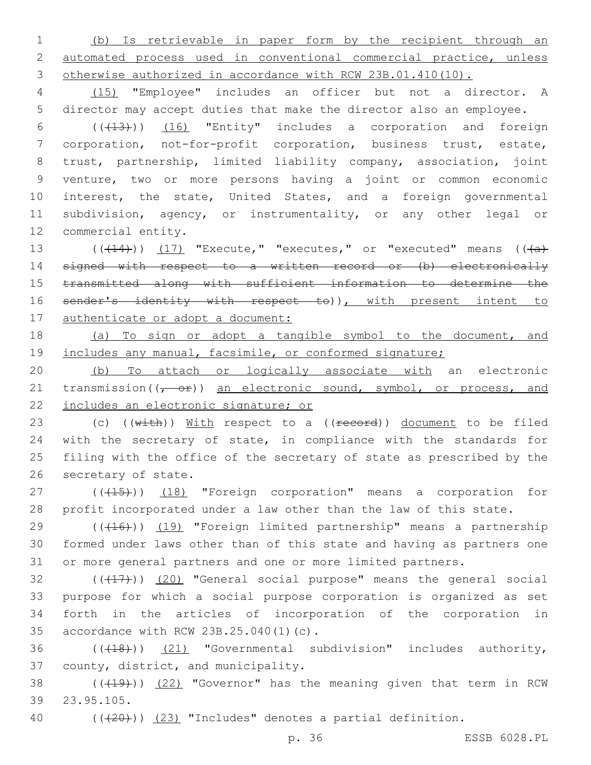1 (b) Is retrievable in paper form by the recipient through an 2 automated process used in conventional commercial practice, unless 3 otherwise authorized in accordance with RCW 23B.01.410(10).

4 (15) "Employee" includes an officer but not a director. A 5 director may accept duties that make the director also an employee.

 $((+13))$   $(16)$  "Entity" includes a corporation and foreign corporation, not-for-profit corporation, business trust, estate, trust, partnership, limited liability company, association, joint venture, two or more persons having a joint or common economic interest, the state, United States, and a foreign governmental subdivision, agency, or instrumentality, or any other legal or 12 commercial entity.

13  $((+14))$   $(17)$  "Execute," "executes," or "executed" means  $((+a)^2)$ 14 signed with respect to a written record or (b) electronically 15 transmitted along with sufficient information to determine the 16 sender's identity with respect to)), with present intent to 17 authenticate or adopt a document:

18 (a) To sign or adopt a tangible symbol to the document, and 19 includes any manual, facsimile, or conformed signature;

20 (b) To attach or logically associate with an electronic 21 transmission((, or)) an electronic sound, symbol, or process, and 22 includes an electronic signature; or

23 (c) (( $\text{with}$ ) With respect to a (( $\text{recept}$ )) document to be filed 24 with the secretary of state, in compliance with the standards for 25 filing with the office of the secretary of state as prescribed by the 26 secretary of state.

27 (((415))) (18) "Foreign corporation" means a corporation for 28 profit incorporated under a law other than the law of this state.

29 (((416)) (19) "Foreign limited partnership" means a partnership 30 formed under laws other than of this state and having as partners one 31 or more general partners and one or more limited partners.

 ( $(\overline{+17})$ )  $(20)$  "General social purpose" means the general social purpose for which a social purpose corporation is organized as set forth in the articles of incorporation of the corporation in 35 accordance with RCW 23B.25.040(1)(c).

36 (((18))) (21) "Governmental subdivision" includes authority, 37 county, district, and municipality.

38 (((419))) (22) "Governor" has the meaning given that term in RCW 23.95.105.39

40 (( $(20)$ )) (23) "Includes" denotes a partial definition.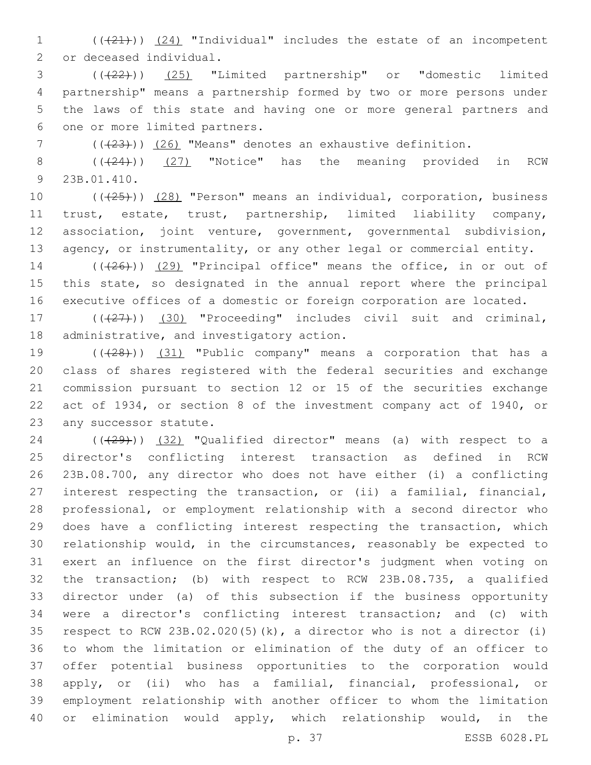1 (((21))) (24) "Individual" includes the estate of an incompetent 2 or deceased individual.

 (((22))) (25) "Limited partnership" or "domestic limited partnership" means a partnership formed by two or more persons under the laws of this state and having one or more general partners and 6 one or more limited partners.

(((23))) (26) "Means" denotes an exhaustive definition.

8 (( $(24)$ )) (27) "Notice" has the meaning provided in RCW 9 23B.01.410.

10 (( $\left(\frac{25}{10}\right)$ ) (28) "Person" means an individual, corporation, business trust, estate, trust, partnership, limited liability company, association, joint venture, government, governmental subdivision, 13 agency, or instrumentality, or any other legal or commercial entity.

14 (( $(26)$ )) (29) "Principal office" means the office, in or out of this state, so designated in the annual report where the principal executive offices of a domestic or foreign corporation are located.

17 (((27))) (30) "Proceeding" includes civil suit and criminal, 18 administrative, and investigatory action.

19 (((28))) (31) "Public company" means a corporation that has a class of shares registered with the federal securities and exchange commission pursuant to section 12 or 15 of the securities exchange act of 1934, or section 8 of the investment company act of 1940, or 23 any successor statute.

 $(1)$  ( $(29)$ )) (32) "Qualified director" means (a) with respect to a director's conflicting interest transaction as defined in RCW 23B.08.700, any director who does not have either (i) a conflicting interest respecting the transaction, or (ii) a familial, financial, professional, or employment relationship with a second director who does have a conflicting interest respecting the transaction, which relationship would, in the circumstances, reasonably be expected to exert an influence on the first director's judgment when voting on the transaction; (b) with respect to RCW 23B.08.735, a qualified director under (a) of this subsection if the business opportunity were a director's conflicting interest transaction; and (c) with respect to RCW 23B.02.020(5)(k), a director who is not a director (i) to whom the limitation or elimination of the duty of an officer to offer potential business opportunities to the corporation would apply, or (ii) who has a familial, financial, professional, or employment relationship with another officer to whom the limitation or elimination would apply, which relationship would, in the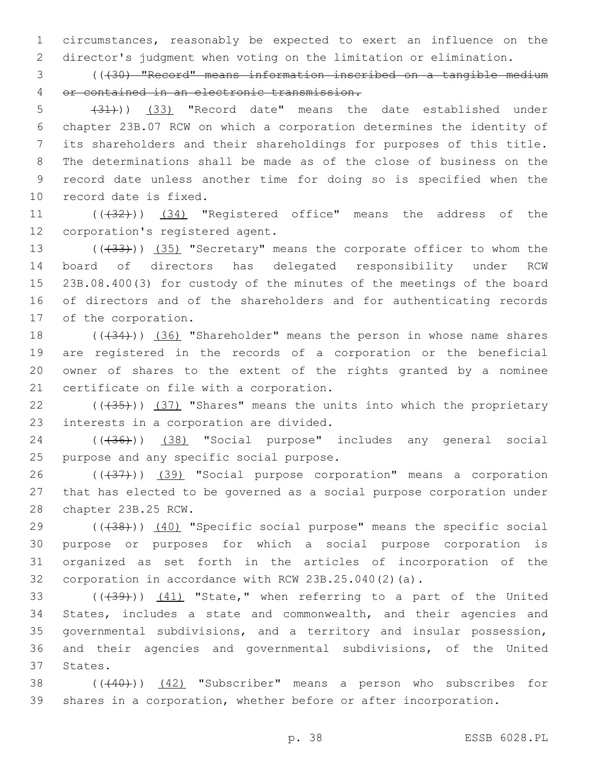1 circumstances, reasonably be expected to exert an influence on the 2 director's judgment when voting on the limitation or elimination.

3 (((30) "Record" means information inscribed on a tangible medium 4 or contained in an electronic transmission.

 (31))) (33) "Record date" means the date established under chapter 23B.07 RCW on which a corporation determines the identity of its shareholders and their shareholdings for purposes of this title. The determinations shall be made as of the close of business on the record date unless another time for doing so is specified when the 10 record date is fixed.

11 ((432))) (34) "Registered office" means the address of the 12 corporation's registered agent.

13 (( $(33)$ )) (35) "Secretary" means the corporate officer to whom the 14 board of directors has delegated responsibility under RCW 15 23B.08.400(3) for custody of the minutes of the meetings of the board 16 of directors and of the shareholders and for authenticating records 17 of the corporation.

18 (((434))) (36) "Shareholder" means the person in whose name shares 19 are registered in the records of a corporation or the beneficial 20 owner of shares to the extent of the rights granted by a nominee 21 certificate on file with a corporation.

22  $((435))$   $(37)$  "Shares" means the units into which the proprietary 23 interests in a corporation are divided.

24 (((36)) (38) "Social purpose" includes any general social 25 purpose and any specific social purpose.

26 (((37))) (39) "Social purpose corporation" means a corporation 27 that has elected to be governed as a social purpose corporation under 28 chapter 23B.25 RCW.

29 (((438))) (40) "Specific social purpose" means the specific social purpose or purposes for which a social purpose corporation is organized as set forth in the articles of incorporation of the corporation in accordance with RCW 23B.25.040(2)(a).

33 (((439))) (41) "State," when referring to a part of the United 34 States, includes a state and commonwealth, and their agencies and 35 governmental subdivisions, and a territory and insular possession, 36 and their agencies and governmental subdivisions, of the United 37 States.

38 (((40))) (42) "Subscriber" means a person who subscribes for 39 shares in a corporation, whether before or after incorporation.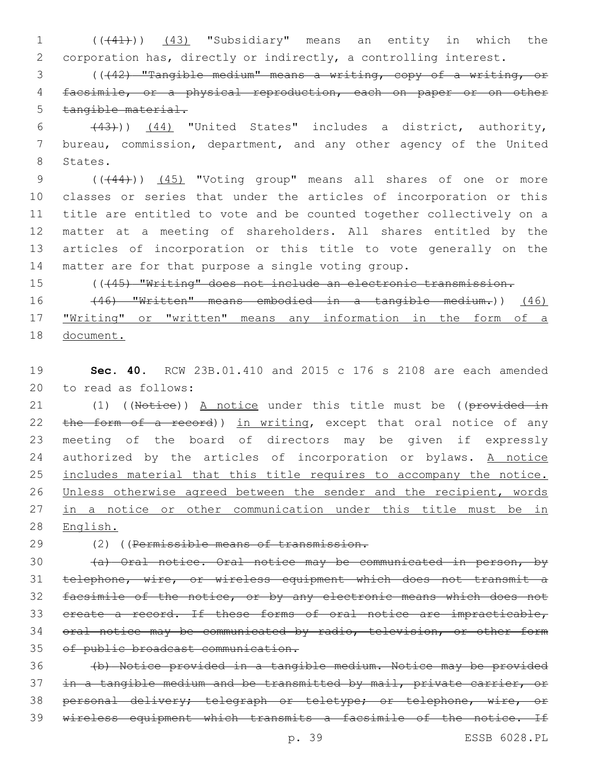1 (( $(41)$ )) (43) "Subsidiary" means an entity in which the corporation has, directly or indirectly, a controlling interest.

 (((42) "Tangible medium" means a writing, copy of a writing, or facsimile, or a physical reproduction, each on paper or on other tangible material.

6  $(43)$ ))  $(44)$  "United States" includes a district, authority, bureau, commission, department, and any other agency of the United 8 States.

9 (( $(44)$ )) (45) "Voting group" means all shares of one or more classes or series that under the articles of incorporation or this title are entitled to vote and be counted together collectively on a matter at a meeting of shareholders. All shares entitled by the articles of incorporation or this title to vote generally on the matter are for that purpose a single voting group.

15 ((445) "Writing" does not include an electronic transmission. (46) "Written" means embodied in a tangible medium.)) (46) "Writing" or "written" means any information in the form of a document.

 **Sec. 40.** RCW 23B.01.410 and 2015 c 176 s 2108 are each amended 20 to read as follows:

21 (1) ((Notice)) A notice under this title must be ((provided in 22 the form of a record)) in writing, except that oral notice of any meeting of the board of directors may be given if expressly 24 authorized by the articles of incorporation or bylaws. A notice 25 includes material that this title requires to accompany the notice. Unless otherwise agreed between the sender and the recipient, words 27 in a notice or other communication under this title must be in English.

(2) ((Permissible means of transmission.

 (a) Oral notice. Oral notice may be communicated in person, by telephone, wire, or wireless equipment which does not transmit a facsimile of the notice, or by any electronic means which does not 33 create a record. If these forms of oral notice are impracticable, oral notice may be communicated by radio, television, or other form 35 of public broadcast communication.

 (b) Notice provided in a tangible medium. Notice may be provided in a tangible medium and be transmitted by mail, private carrier, or personal delivery; telegraph or teletype; or telephone, wire, or wireless equipment which transmits a facsimile of the notice. If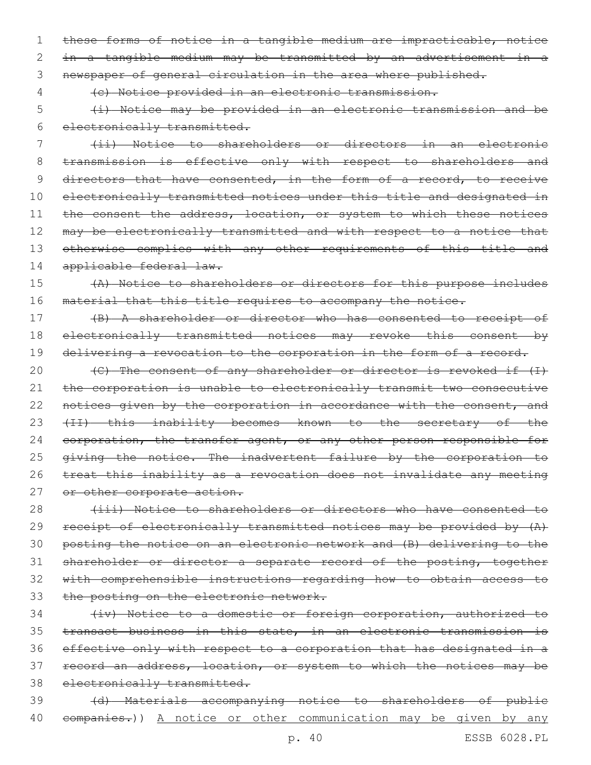1 these forms of notice in a tangible medium are impracticable, notice 2 in a tangible medium may be transmitted by an advertisement in a

3 newspaper of general circulation in the area where published.

4 (c) Notice provided in an electronic transmission.

5 (i) Notice may be provided in an electronic transmission and be 6 electronically transmitted.

7 (ii) Notice to shareholders or directors in an electronic 8 transmission is effective only with respect to shareholders and 9 directors that have consented, in the form of a record, to receive 10 electronically transmitted notices under this title and designated in 11 the consent the address, location, or system to which these notices 12 may be electronically transmitted and with respect to a notice that 13 otherwise complies with any other requirements of this title and 14 applicable federal law.

15 (A) Notice to shareholders or directors for this purpose includes 16 material that this title requires to accompany the notice.

17 (B) A shareholder or director who has consented to receipt of 18 electronically transmitted notices may revoke this consent by 19 delivering a revocation to the corporation in the form of a record.

20 (C) The consent of any shareholder or director is revoked if (I) 21 the corporation is unable to electronically transmit two consecutive 22 notices given by the corporation in accordance with the consent, and 23 (II) this inability becomes known to the secretary of the 24 corporation, the transfer agent, or any other person responsible for 25 giving the notice. The inadvertent failure by the corporation to 26 treat this inability as a revocation does not invalidate any meeting 27 or other corporate action.

 (iii) Notice to shareholders or directors who have consented to receipt of electronically transmitted notices may be provided by (A) posting the notice on an electronic network and (B) delivering to the shareholder or director a separate record of the posting, together with comprehensible instructions regarding how to obtain access to 33 the posting on the electronic network.

 (iv) Notice to a domestic or foreign corporation, authorized to transact business in this state, in an electronic transmission is effective only with respect to a corporation that has designated in a 37 record an address, location, or system to which the notices may be electronically transmitted.

39 (d) Materials accompanying notice to shareholders of public 40 companies.)) A notice or other communication may be given by any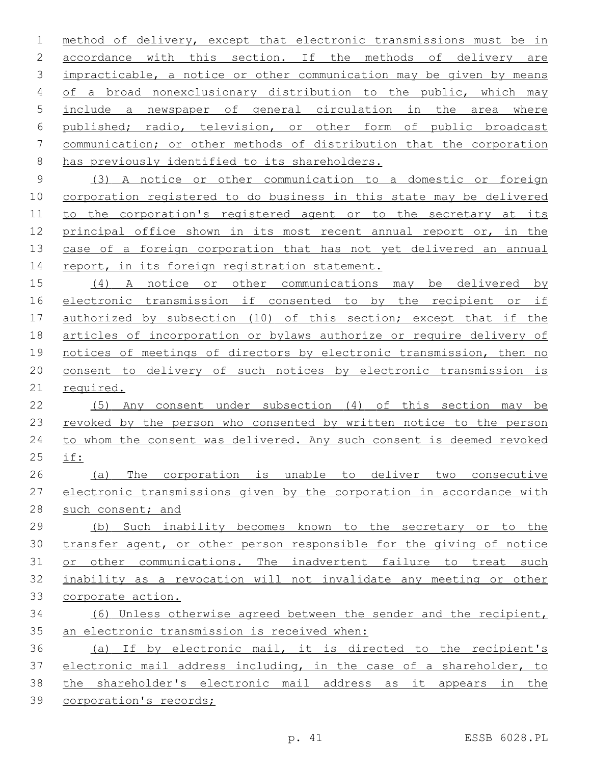method of delivery, except that electronic transmissions must be in 2 accordance with this section. If the methods of delivery are 3 impracticable, a notice or other communication may be given by means of a broad nonexclusionary distribution to the public, which may include a newspaper of general circulation in the area where published; radio, television, or other form of public broadcast communication; or other methods of distribution that the corporation 8 has previously identified to its shareholders.

 (3) A notice or other communication to a domestic or foreign corporation registered to do business in this state may be delivered to the corporation's registered agent or to the secretary at its 12 principal office shown in its most recent annual report or, in the 13 case of a foreign corporation that has not yet delivered an annual 14 report, in its foreign registration statement.

15 (4) A notice or other communications may be delivered by electronic transmission if consented to by the recipient or if authorized by subsection (10) of this section; except that if the articles of incorporation or bylaws authorize or require delivery of notices of meetings of directors by electronic transmission, then no consent to delivery of such notices by electronic transmission is required.

 (5) Any consent under subsection (4) of this section may be revoked by the person who consented by written notice to the person 24 to whom the consent was delivered. Any such consent is deemed revoked if:

 (a) The corporation is unable to deliver two consecutive electronic transmissions given by the corporation in accordance with 28 such consent; and

 (b) Such inability becomes known to the secretary or to the transfer agent, or other person responsible for the giving of notice or other communications. The inadvertent failure to treat such inability as a revocation will not invalidate any meeting or other corporate action.

## (6) Unless otherwise agreed between the sender and the recipient, an electronic transmission is received when:

 (a) If by electronic mail, it is directed to the recipient's 37 electronic mail address including, in the case of a shareholder, to the shareholder's electronic mail address as it appears in the corporation's records;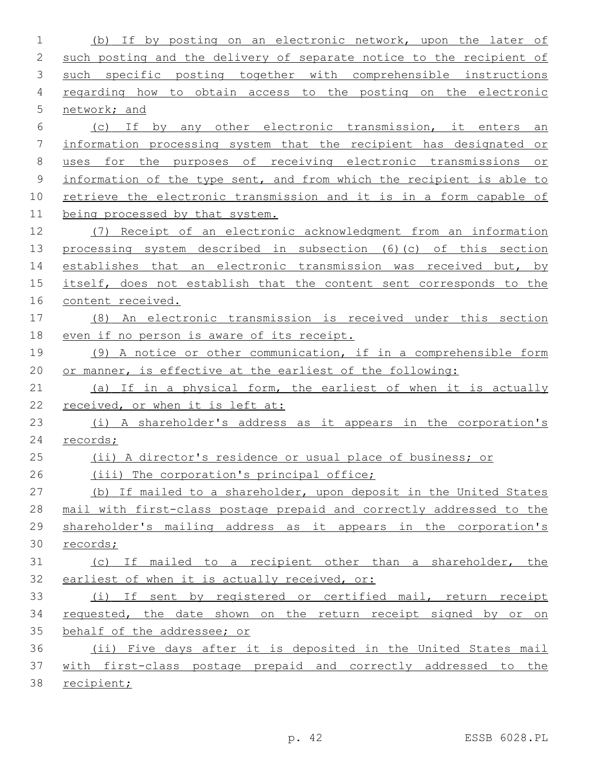| 1            | (b) If by posting on an electronic network, upon the later of         |
|--------------|-----------------------------------------------------------------------|
| $\mathbf{2}$ | such posting and the delivery of separate notice to the recipient of  |
| 3            | such specific posting together with comprehensible instructions       |
| 4            | regarding how to obtain access to the posting on the electronic       |
| 5            | network; and                                                          |
| 6            | (c) If by any other electronic transmission, it enters an             |
| 7            | information processing system that the recipient has designated or    |
| 8            | uses for the purposes of receiving electronic transmissions or        |
| 9            | information of the type sent, and from which the recipient is able to |
| 10           | retrieve the electronic transmission and it is in a form capable of   |
| 11           | being processed by that system.                                       |
| 12           | (7) Receipt of an electronic acknowledgment from an information       |
| 13           | processing system described in subsection (6)(c) of this section      |
| 14           | establishes that an electronic transmission was received but, by      |
| 15           | itself, does not establish that the content sent corresponds to the   |
| 16           | content received.                                                     |
| 17           | (8) An electronic transmission is received under this section         |
| 18           | even if no person is aware of its receipt.                            |
| 19           | (9) A notice or other communication, if in a comprehensible form      |
| 20           | or manner, is effective at the earliest of the following:             |
| 21           | (a) If in a physical form, the earliest of when it is actually        |
| 22           | received, or when it is left at:                                      |
| 23           | (i) A shareholder's address as it appears in the corporation's        |
| 24           | records;                                                              |
| 25           | (ii) A director's residence or usual place of business; or            |
| 26           | (iii) The corporation's principal office;                             |
| 27           | (b) If mailed to a shareholder, upon deposit in the United States     |
| 28           | mail with first-class postage prepaid and correctly addressed to the  |
| 29           | shareholder's mailing address as it appears in the corporation's      |
| 30           | records;                                                              |
| 31           | (c) If mailed to a recipient other than a shareholder, the            |
| 32           | earliest of when it is actually received, or:                         |
| 33           | (i) If sent by registered or certified mail, return receipt           |
| 34           | requested, the date shown on the return receipt signed by or on       |
| 35           | behalf of the addressee; or                                           |
| 36           |                                                                       |
|              | (ii) Five days after it is deposited in the United States mail        |
| 37           | with first-class postage prepaid and correctly addressed to the       |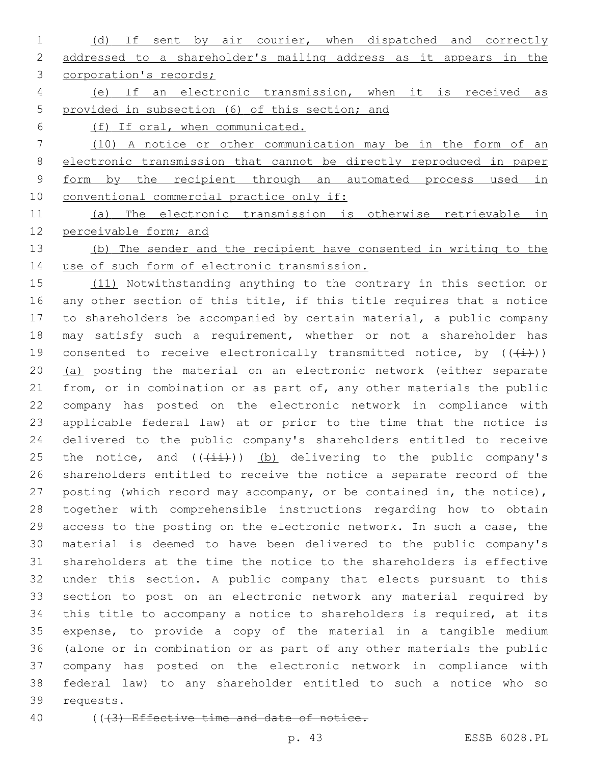(d) If sent by air courier, when dispatched and correctly addressed to a shareholder's mailing address as it appears in the corporation's records; (e) If an electronic transmission, when it is received as

provided in subsection (6) of this section; and

(f) If oral, when communicated.

 (10) A notice or other communication may be in the form of an electronic transmission that cannot be directly reproduced in paper form by the recipient through an automated process used in 10 conventional commercial practice only if:

 (a) The electronic transmission is otherwise retrievable in perceivable form; and

 (b) The sender and the recipient have consented in writing to the use of such form of electronic transmission.

 (11) Notwithstanding anything to the contrary in this section or any other section of this title, if this title requires that a notice to shareholders be accompanied by certain material, a public company may satisfy such a requirement, whether or not a shareholder has 19 consented to receive electronically transmitted notice, by  $((+\frac{1}{2}))$ 20 (a) posting the material on an electronic network (either separate from, or in combination or as part of, any other materials the public company has posted on the electronic network in compliance with applicable federal law) at or prior to the time that the notice is delivered to the public company's shareholders entitled to receive 25 the notice, and  $((+i+1))$  (b) delivering to the public company's shareholders entitled to receive the notice a separate record of the posting (which record may accompany, or be contained in, the notice), together with comprehensible instructions regarding how to obtain access to the posting on the electronic network. In such a case, the material is deemed to have been delivered to the public company's shareholders at the time the notice to the shareholders is effective under this section. A public company that elects pursuant to this section to post on an electronic network any material required by this title to accompany a notice to shareholders is required, at its expense, to provide a copy of the material in a tangible medium (alone or in combination or as part of any other materials the public company has posted on the electronic network in compliance with federal law) to any shareholder entitled to such a notice who so 39 requests.

40 ((43) Effective time and date of notice.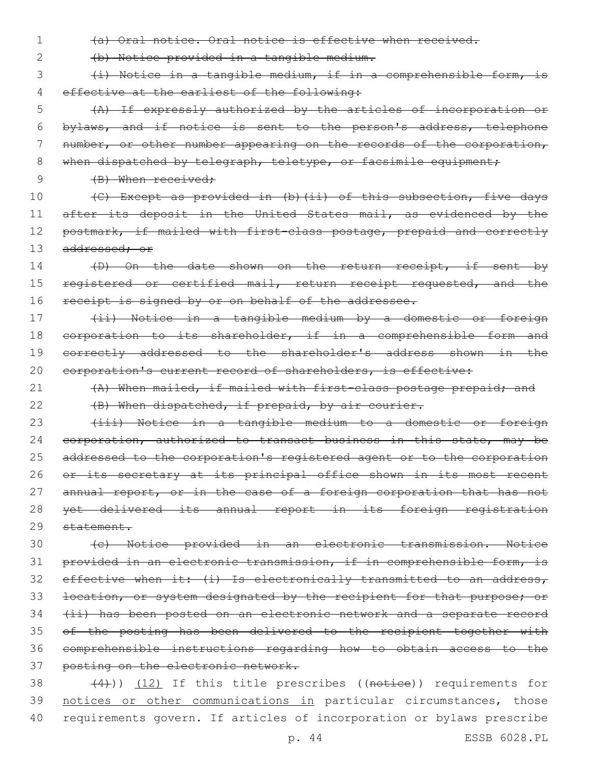1 (a) Oral notice. Oral notice is effective when received.

2 (b) Notice provided in a tangible medium.

3 (i) Notice in a tangible medium, if in a comprehensible form, is 4 effective at the earliest of the following:

5 (A) If expressly authorized by the articles of incorporation or 6 bylaws, and if notice is sent to the person's address, telephone 7 number, or other number appearing on the records of the corporation, 8 when dispatched by telegraph, teletype, or facsimile equipment;

9 (B) When received;

10 (C) Except as provided in (b)(ii) of this subsection, five days 11 after its deposit in the United States mail, as evidenced by the 12 postmark, if mailed with first-class postage, prepaid and correctly 13 addressed; or

14 (D) On the date shown on the return receipt, if sent by 15 registered or certified mail, return receipt requested, and the 16 receipt is signed by or on behalf of the addressee.

17 (ii) Notice in a tangible medium by a domestic or foreign 18 corporation to its shareholder, if in a comprehensible form and 19 correctly addressed to the shareholder's address shown in the 20 corporation's current record of shareholders, is effective:

21 (A) When mailed, if mailed with first-class postage prepaid; and

22 (B) When dispatched, if prepaid, by air courier.

23 (iii) Notice in a tangible medium to a domestic or foreign 24 corporation, authorized to transact business in this state, may be 25 addressed to the corporation's registered agent or to the corporation 26 or its secretary at its principal office shown in its most recent 27 annual report, or in the case of a foreign corporation that has not 28 yet delivered its annual report in its foreign registration 29 statement.

 (c) Notice provided in an electronic transmission. Notice provided in an electronic transmission, if in comprehensible form, is 32 effective when it:  $(i)$  Is electronically transmitted to an address, location, or system designated by the recipient for that purpose; or (ii) has been posted on an electronic network and a separate record 35 of the posting has been delivered to the recipient together with comprehensible instructions regarding how to obtain access to the 37 posting on the electronic network.

38  $(4)$ ))  $(12)$  If this title prescribes ((notice)) requirements for 39 notices or other communications in particular circumstances, those 40 requirements govern. If articles of incorporation or bylaws prescribe

p. 44 ESSB 6028.PL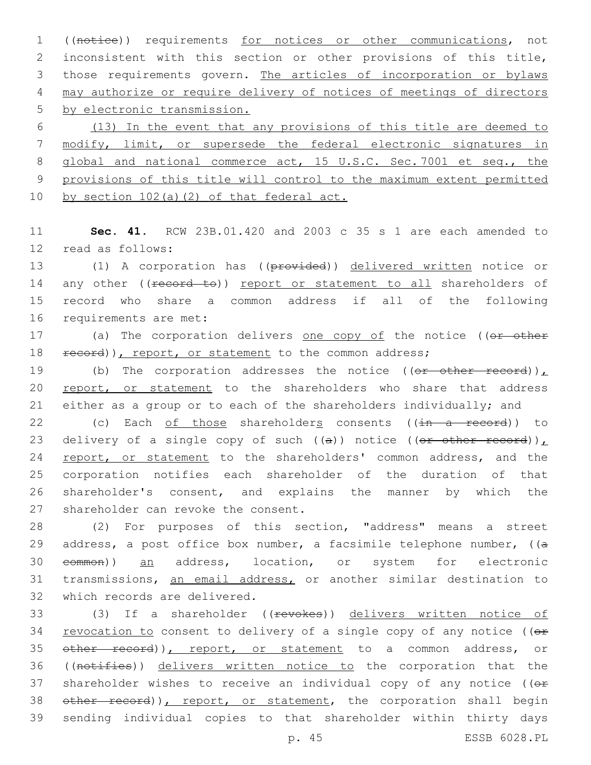((notice)) requirements for notices or other communications, not inconsistent with this section or other provisions of this title, those requirements govern. The articles of incorporation or bylaws may authorize or require delivery of notices of meetings of directors by electronic transmission.

6 (13) In the event that any provisions of this title are deemed to 7 modify, limit, or supersede the federal electronic signatures in 8 global and national commerce act, 15 U.S.C. Sec. 7001 et seq., the 9 provisions of this title will control to the maximum extent permitted 10 by section 102(a)(2) of that federal act.

11 **Sec. 41.** RCW 23B.01.420 and 2003 c 35 s 1 are each amended to 12 read as follows:

13 (1) A corporation has ((provided)) delivered written notice or 14 any other ((record to)) report or statement to all shareholders of 15 record who share a common address if all of the following 16 requirements are met:

17 (a) The corporation delivers one copy of the notice ((or other 18 record)), report, or statement to the common address;

19 (b) The corporation addresses the notice (( $e^+$  other record)), 20 report, or statement to the shareholders who share that address 21 either as a group or to each of the shareholders individually; and

22 (c) Each of those shareholders consents ((in a record)) to 23 delivery of a single copy of such  $((a))$  notice  $((or -other - record))_{L}$ 24 report, or statement to the shareholders' common address, and the 25 corporation notifies each shareholder of the duration of that 26 shareholder's consent, and explains the manner by which the 27 shareholder can revoke the consent.

28 (2) For purposes of this section, "address" means a street 29 address, a post office box number, a facsimile telephone number,  $((a + b)^2)$ 30 eommon)) an address, location, or system for electronic 31 transmissions, an email address, or another similar destination to 32 which records are delivered.

33 (3) If a shareholder ((revokes)) delivers written notice of 34 revocation to consent to delivery of a single copy of any notice ((or 35 other record)), report, or statement to a common address, or 36 ((notifies)) delivers written notice to the corporation that the 37 shareholder wishes to receive an individual copy of any notice ( $(e<sup>F</sup>)$ 38 other record)), report, or statement, the corporation shall begin 39 sending individual copies to that shareholder within thirty days

p. 45 ESSB 6028.PL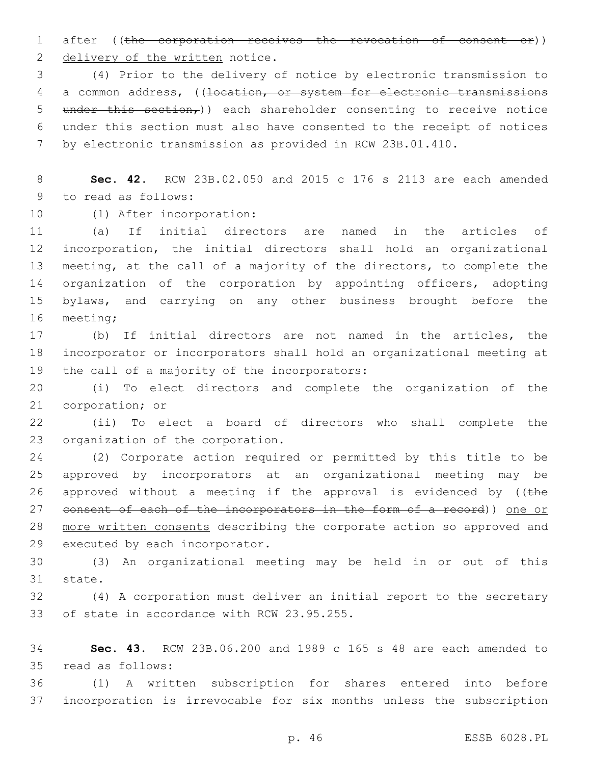1 after ((the corporation receives the revocation of consent or)) 2 delivery of the written notice.

3 (4) Prior to the delivery of notice by electronic transmission to 4 a common address, ((location, or system for electronic transmissions 5 under this section,)) each shareholder consenting to receive notice 6 under this section must also have consented to the receipt of notices 7 by electronic transmission as provided in RCW 23B.01.410.

8 **Sec. 42.** RCW 23B.02.050 and 2015 c 176 s 2113 are each amended 9 to read as follows:

10 (1) After incorporation:

 (a) If initial directors are named in the articles of incorporation, the initial directors shall hold an organizational meeting, at the call of a majority of the directors, to complete the organization of the corporation by appointing officers, adopting bylaws, and carrying on any other business brought before the 16 meeting;

17 (b) If initial directors are not named in the articles, the 18 incorporator or incorporators shall hold an organizational meeting at 19 the call of a majority of the incorporators:

20 (i) To elect directors and complete the organization of the 21 corporation; or

22 (ii) To elect a board of directors who shall complete the 23 organization of the corporation.

24 (2) Corporate action required or permitted by this title to be 25 approved by incorporators at an organizational meeting may be 26 approved without a meeting if the approval is evidenced by  $($  (the 27 consent of each of the incorporators in the form of a record)) one or 28 more written consents describing the corporate action so approved and 29 executed by each incorporator.

30 (3) An organizational meeting may be held in or out of this 31 state.

32 (4) A corporation must deliver an initial report to the secretary 33 of state in accordance with RCW 23.95.255.

34 **Sec. 43.** RCW 23B.06.200 and 1989 c 165 s 48 are each amended to 35 read as follows:

36 (1) A written subscription for shares entered into before 37 incorporation is irrevocable for six months unless the subscription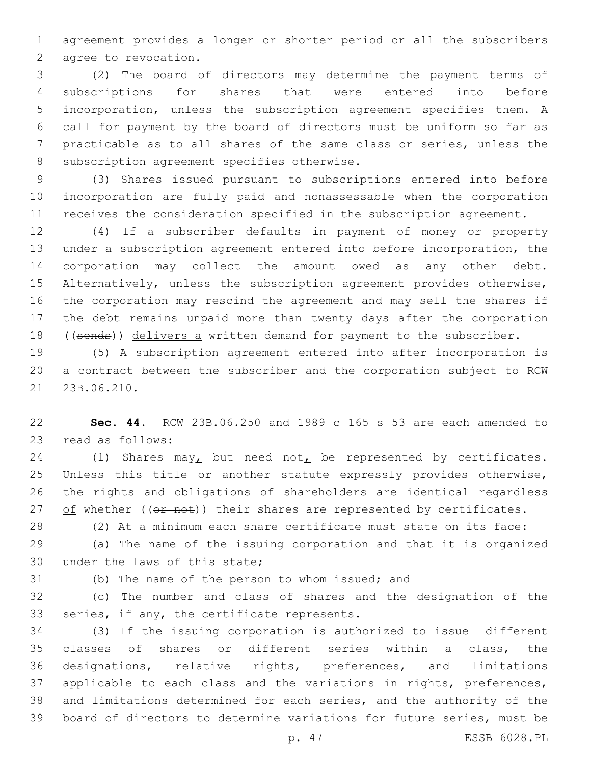agreement provides a longer or shorter period or all the subscribers 2 agree to revocation.

 (2) The board of directors may determine the payment terms of subscriptions for shares that were entered into before incorporation, unless the subscription agreement specifies them. A call for payment by the board of directors must be uniform so far as practicable as to all shares of the same class or series, unless the 8 subscription agreement specifies otherwise.

 (3) Shares issued pursuant to subscriptions entered into before incorporation are fully paid and nonassessable when the corporation receives the consideration specified in the subscription agreement.

 (4) If a subscriber defaults in payment of money or property under a subscription agreement entered into before incorporation, the corporation may collect the amount owed as any other debt. Alternatively, unless the subscription agreement provides otherwise, the corporation may rescind the agreement and may sell the shares if the debt remains unpaid more than twenty days after the corporation 18 ((sends)) delivers a written demand for payment to the subscriber.

 (5) A subscription agreement entered into after incorporation is a contract between the subscriber and the corporation subject to RCW 21 23B.06.210.

 **Sec. 44.** RCW 23B.06.250 and 1989 c 165 s 53 are each amended to 23 read as follows:

24 (1) Shares may, but need not, be represented by certificates. Unless this title or another statute expressly provides otherwise, 26 the rights and obligations of shareholders are identical regardless 27 of whether ((or not)) their shares are represented by certificates.

(2) At a minimum each share certificate must state on its face:

 (a) The name of the issuing corporation and that it is organized 30 under the laws of this state;

(b) The name of the person to whom issued; and

 (c) The number and class of shares and the designation of the 33 series, if any, the certificate represents.

 (3) If the issuing corporation is authorized to issue different classes of shares or different series within a class, the designations, relative rights, preferences, and limitations applicable to each class and the variations in rights, preferences, and limitations determined for each series, and the authority of the board of directors to determine variations for future series, must be

p. 47 ESSB 6028.PL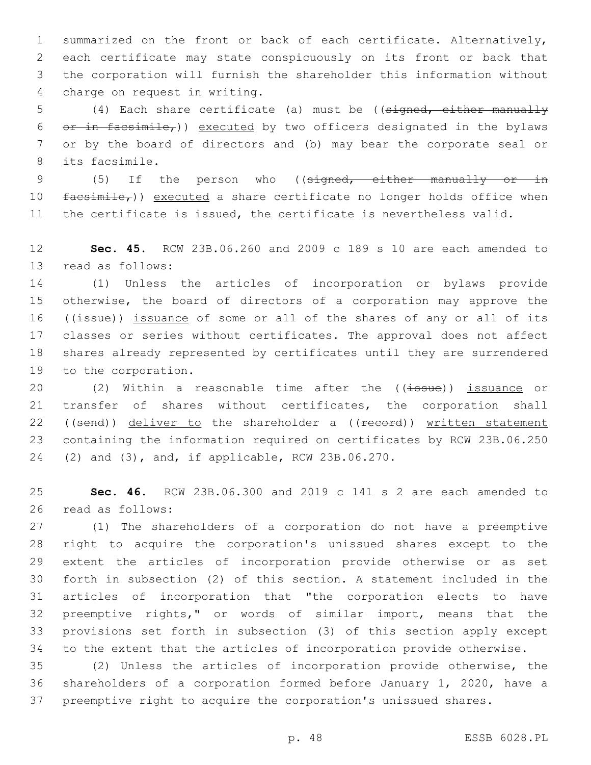summarized on the front or back of each certificate. Alternatively, each certificate may state conspicuously on its front or back that the corporation will furnish the shareholder this information without 4 charge on request in writing.

 (4) Each share certificate (a) must be ((signed, either manually 6 or in facsimile,)) executed by two officers designated in the bylaws or by the board of directors and (b) may bear the corporate seal or 8 its facsimile.

9 (5) If the person who ((<del>signed, either manually or in</del> 10 facsimile,)) executed a share certificate no longer holds office when the certificate is issued, the certificate is nevertheless valid.

 **Sec. 45.** RCW 23B.06.260 and 2009 c 189 s 10 are each amended to 13 read as follows:

 (1) Unless the articles of incorporation or bylaws provide otherwise, the board of directors of a corporation may approve the 16 ((issue)) issuance of some or all of the shares of any or all of its classes or series without certificates. The approval does not affect shares already represented by certificates until they are surrendered 19 to the corporation.

20 (2) Within a reasonable time after the ((issue)) issuance or transfer of shares without certificates, the corporation shall 22 ((send)) deliver to the shareholder a ((record)) written statement containing the information required on certificates by RCW 23B.06.250 24 (2) and (3), and, if applicable, RCW 23B.06.270.

 **Sec. 46.** RCW 23B.06.300 and 2019 c 141 s 2 are each amended to 26 read as follows:

 (1) The shareholders of a corporation do not have a preemptive right to acquire the corporation's unissued shares except to the extent the articles of incorporation provide otherwise or as set forth in subsection (2) of this section. A statement included in the articles of incorporation that "the corporation elects to have preemptive rights," or words of similar import, means that the provisions set forth in subsection (3) of this section apply except to the extent that the articles of incorporation provide otherwise.

 (2) Unless the articles of incorporation provide otherwise, the shareholders of a corporation formed before January 1, 2020, have a preemptive right to acquire the corporation's unissued shares.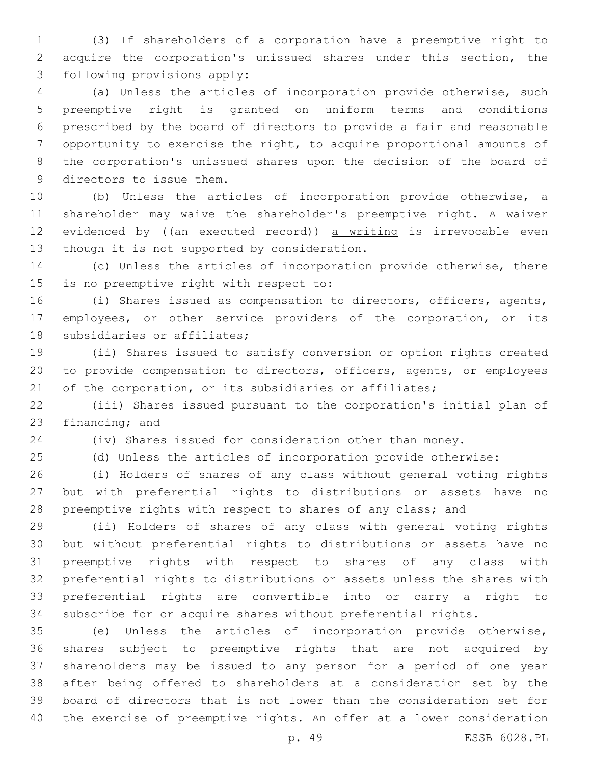(3) If shareholders of a corporation have a preemptive right to acquire the corporation's unissued shares under this section, the 3 following provisions apply:

 (a) Unless the articles of incorporation provide otherwise, such preemptive right is granted on uniform terms and conditions prescribed by the board of directors to provide a fair and reasonable opportunity to exercise the right, to acquire proportional amounts of the corporation's unissued shares upon the decision of the board of 9 directors to issue them.

 (b) Unless the articles of incorporation provide otherwise, a shareholder may waive the shareholder's preemptive right. A waiver 12 evidenced by ((an executed record)) a writing is irrevocable even 13 though it is not supported by consideration.

 (c) Unless the articles of incorporation provide otherwise, there 15 is no preemptive right with respect to:

 (i) Shares issued as compensation to directors, officers, agents, employees, or other service providers of the corporation, or its 18 subsidiaries or affiliates;

 (ii) Shares issued to satisfy conversion or option rights created to provide compensation to directors, officers, agents, or employees 21 of the corporation, or its subsidiaries or affiliates;

 (iii) Shares issued pursuant to the corporation's initial plan of 23 financing; and

(iv) Shares issued for consideration other than money.

(d) Unless the articles of incorporation provide otherwise:

 (i) Holders of shares of any class without general voting rights but with preferential rights to distributions or assets have no 28 preemptive rights with respect to shares of any class; and

 (ii) Holders of shares of any class with general voting rights but without preferential rights to distributions or assets have no preemptive rights with respect to shares of any class with preferential rights to distributions or assets unless the shares with preferential rights are convertible into or carry a right to subscribe for or acquire shares without preferential rights.

 (e) Unless the articles of incorporation provide otherwise, shares subject to preemptive rights that are not acquired by shareholders may be issued to any person for a period of one year after being offered to shareholders at a consideration set by the board of directors that is not lower than the consideration set for the exercise of preemptive rights. An offer at a lower consideration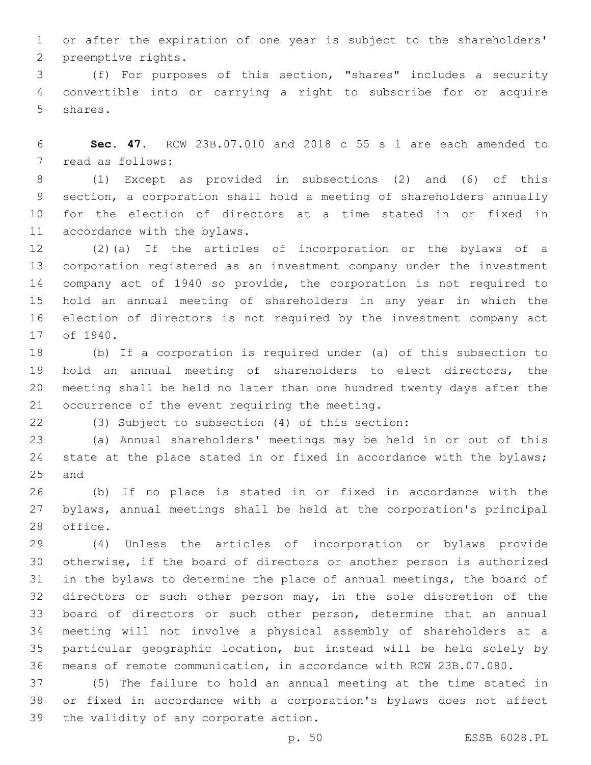or after the expiration of one year is subject to the shareholders' 2 preemptive rights.

 (f) For purposes of this section, "shares" includes a security convertible into or carrying a right to subscribe for or acquire 5 shares.

 **Sec. 47.** RCW 23B.07.010 and 2018 c 55 s 1 are each amended to 7 read as follows:

 (1) Except as provided in subsections (2) and (6) of this section, a corporation shall hold a meeting of shareholders annually for the election of directors at a time stated in or fixed in 11 accordance with the bylaws.

 (2)(a) If the articles of incorporation or the bylaws of a corporation registered as an investment company under the investment company act of 1940 so provide, the corporation is not required to hold an annual meeting of shareholders in any year in which the election of directors is not required by the investment company act 17 of 1940.

 (b) If a corporation is required under (a) of this subsection to hold an annual meeting of shareholders to elect directors, the meeting shall be held no later than one hundred twenty days after the 21 occurrence of the event requiring the meeting.

(3) Subject to subsection (4) of this section:

 (a) Annual shareholders' meetings may be held in or out of this 24 state at the place stated in or fixed in accordance with the bylaws; and

 (b) If no place is stated in or fixed in accordance with the bylaws, annual meetings shall be held at the corporation's principal 28 office.

 (4) Unless the articles of incorporation or bylaws provide otherwise, if the board of directors or another person is authorized in the bylaws to determine the place of annual meetings, the board of directors or such other person may, in the sole discretion of the board of directors or such other person, determine that an annual meeting will not involve a physical assembly of shareholders at a particular geographic location, but instead will be held solely by means of remote communication, in accordance with RCW 23B.07.080.

 (5) The failure to hold an annual meeting at the time stated in or fixed in accordance with a corporation's bylaws does not affect 39 the validity of any corporate action.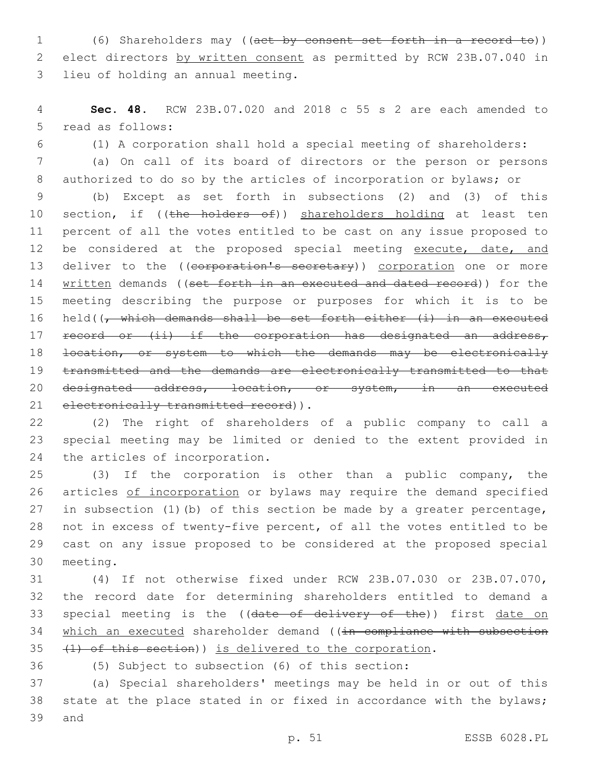1 (6) Shareholders may ((act by consent set forth in a record to)) 2 elect directors by written consent as permitted by RCW 23B.07.040 in 3 lieu of holding an annual meeting.

4 **Sec. 48.** RCW 23B.07.020 and 2018 c 55 s 2 are each amended to 5 read as follows:

6 (1) A corporation shall hold a special meeting of shareholders:

7 (a) On call of its board of directors or the person or persons 8 authorized to do so by the articles of incorporation or bylaws; or

9 (b) Except as set forth in subsections (2) and (3) of this 10 section, if ((the holders of)) shareholders holding at least ten 11 percent of all the votes entitled to be cast on any issue proposed to 12 be considered at the proposed special meeting execute, date, and 13 deliver to the ((corporation's secretary)) corporation one or more 14 written demands ((set forth in an executed and dated record)) for the 15 meeting describing the purpose or purposes for which it is to be 16 held( $\frac{1}{7}$  which demands shall be set forth either  $(i)$  in an executed 17 record or (ii) if the corporation has designated an address, 18 location, or system to which the demands may be electronically 19 transmitted and the demands are electronically transmitted to that 20 designated address, location, or system, in an executed 21 electronically transmitted record)).

22 (2) The right of shareholders of a public company to call a 23 special meeting may be limited or denied to the extent provided in 24 the articles of incorporation.

 (3) If the corporation is other than a public company, the articles of incorporation or bylaws may require the demand specified 27 in subsection (1)(b) of this section be made by a greater percentage, not in excess of twenty-five percent, of all the votes entitled to be cast on any issue proposed to be considered at the proposed special 30 meeting.

31 (4) If not otherwise fixed under RCW 23B.07.030 or 23B.07.070, 32 the record date for determining shareholders entitled to demand a 33 special meeting is the ((date of delivery of the)) first date on 34 which an executed shareholder demand ((in compliance with subsection 35 (1) of this section)) is delivered to the corporation.

36 (5) Subject to subsection (6) of this section:

37 (a) Special shareholders' meetings may be held in or out of this 38 state at the place stated in or fixed in accordance with the bylaws; 39 and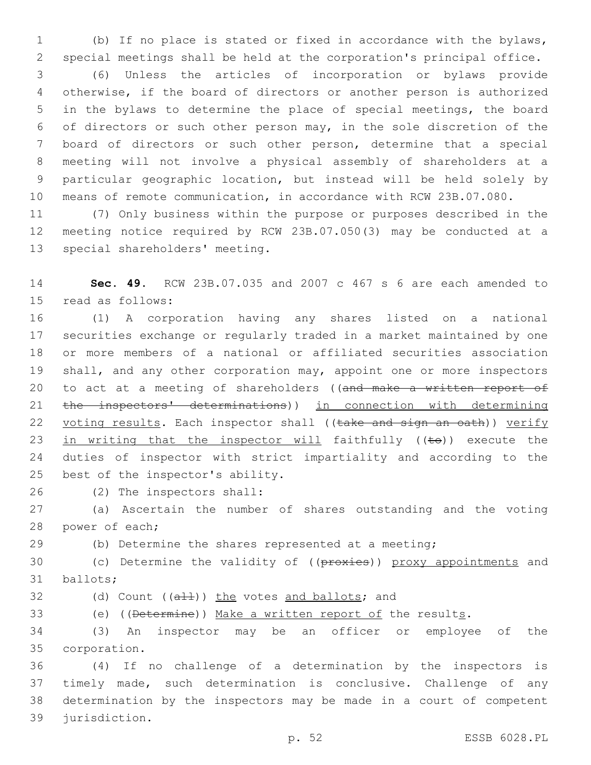(b) If no place is stated or fixed in accordance with the bylaws, special meetings shall be held at the corporation's principal office.

 (6) Unless the articles of incorporation or bylaws provide otherwise, if the board of directors or another person is authorized in the bylaws to determine the place of special meetings, the board of directors or such other person may, in the sole discretion of the board of directors or such other person, determine that a special meeting will not involve a physical assembly of shareholders at a particular geographic location, but instead will be held solely by means of remote communication, in accordance with RCW 23B.07.080.

 (7) Only business within the purpose or purposes described in the meeting notice required by RCW 23B.07.050(3) may be conducted at a 13 special shareholders' meeting.

 **Sec. 49.** RCW 23B.07.035 and 2007 c 467 s 6 are each amended to 15 read as follows:

 (1) A corporation having any shares listed on a national securities exchange or regularly traded in a market maintained by one or more members of a national or affiliated securities association shall, and any other corporation may, appoint one or more inspectors 20 to act at a meeting of shareholders ((and make a written report of the inspectors' determinations)) in connection with determining 22 voting results. Each inspector shall ((take and sign an oath)) verify 23 in writing that the inspector will faithfully  $(1+e)$  execute the duties of inspector with strict impartiality and according to the 25 best of the inspector's ability.

(2) The inspectors shall:26

 (a) Ascertain the number of shares outstanding and the voting 28 power of each;

(b) Determine the shares represented at a meeting;

30 (c) Determine the validity of ((proxies)) proxy appointments and 31 ballots;

32 (d) Count ( $(aH)$ ) the votes and ballots; and

33 (e) ((Determine)) Make a written report of the results.

 (3) An inspector may be an officer or employee of the corporation.35

 (4) If no challenge of a determination by the inspectors is timely made, such determination is conclusive. Challenge of any determination by the inspectors may be made in a court of competent 39 jurisdiction.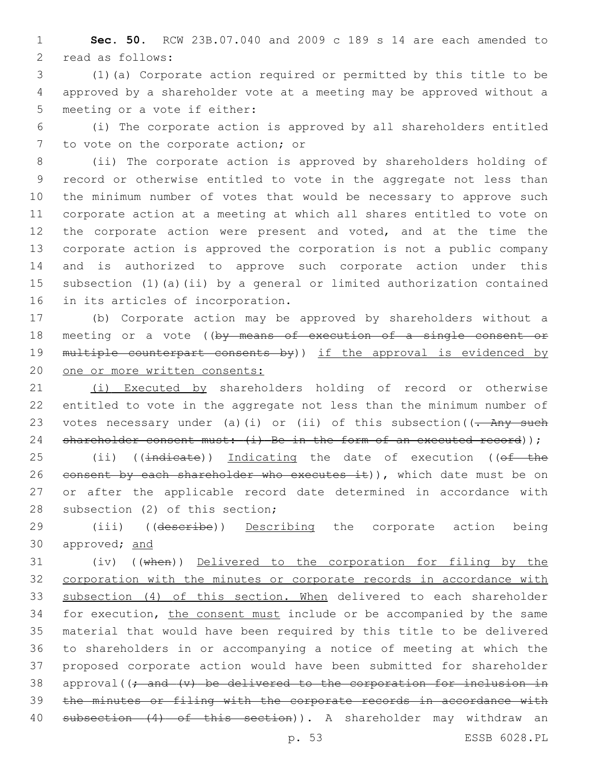1 **Sec. 50.** RCW 23B.07.040 and 2009 c 189 s 14 are each amended to 2 read as follows:

3 (1)(a) Corporate action required or permitted by this title to be 4 approved by a shareholder vote at a meeting may be approved without a 5 meeting or a vote if either:

6 (i) The corporate action is approved by all shareholders entitled 7 to vote on the corporate action; or

 (ii) The corporate action is approved by shareholders holding of record or otherwise entitled to vote in the aggregate not less than the minimum number of votes that would be necessary to approve such corporate action at a meeting at which all shares entitled to vote on the corporate action were present and voted, and at the time the corporate action is approved the corporation is not a public company and is authorized to approve such corporate action under this subsection (1)(a)(ii) by a general or limited authorization contained 16 in its articles of incorporation.

17 (b) Corporate action may be approved by shareholders without a 18 meeting or a vote ((by means of execution of a single consent or 19 multiple counterpart consents by)) if the approval is evidenced by 20 one or more written consents:

21 (i) Executed by shareholders holding of record or otherwise 22 entitled to vote in the aggregate not less than the minimum number of 23 votes necessary under (a)(i) or (ii) of this subsection((. Any such 24 shareholder consent must:  $(i)$  Be in the form of an executed record) ;

25 (ii) ((indicate)) Indicating the date of execution ((of the 26 consent by each shareholder who executes it)), which date must be on 27 or after the applicable record date determined in accordance with 28 subsection (2) of this section;

29 (iii) ((describe)) Describing the corporate action being 30 approved; and

31 (iv) ((when)) Delivered to the corporation for filing by the 32 corporation with the minutes or corporate records in accordance with 33 subsection (4) of this section. When delivered to each shareholder 34 for execution, the consent must include or be accompanied by the same 35 material that would have been required by this title to be delivered 36 to shareholders in or accompanying a notice of meeting at which the 37 proposed corporate action would have been submitted for shareholder 38 approval( $\left(\frac{1}{2}, \frac{1}{2}, \frac{1}{2}\right)$  be delivered to the corporation for inclusion in 39 the minutes or filing with the corporate records in accordance with 40 subsection (4) of this section)). A shareholder may withdraw an

p. 53 ESSB 6028.PL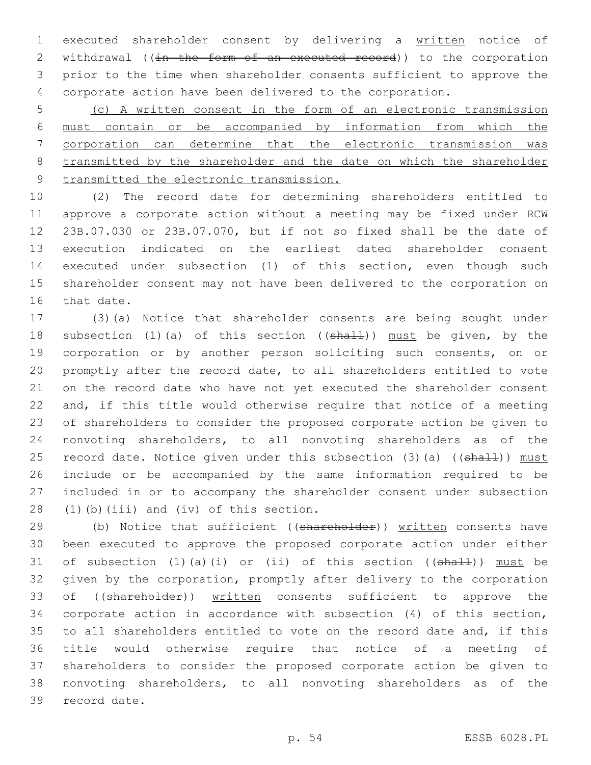executed shareholder consent by delivering a written notice of 2 withdrawal ((in the form of an executed record)) to the corporation prior to the time when shareholder consents sufficient to approve the corporate action have been delivered to the corporation.

 (c) A written consent in the form of an electronic transmission must contain or be accompanied by information from which the corporation can determine that the electronic transmission was transmitted by the shareholder and the date on which the shareholder 9 transmitted the electronic transmission.

 (2) The record date for determining shareholders entitled to approve a corporate action without a meeting may be fixed under RCW 23B.07.030 or 23B.07.070, but if not so fixed shall be the date of execution indicated on the earliest dated shareholder consent executed under subsection (1) of this section, even though such shareholder consent may not have been delivered to the corporation on 16 that date.

 (3)(a) Notice that shareholder consents are being sought under 18 subsection (1)(a) of this section ((shall)) must be given, by the corporation or by another person soliciting such consents, on or promptly after the record date, to all shareholders entitled to vote on the record date who have not yet executed the shareholder consent and, if this title would otherwise require that notice of a meeting of shareholders to consider the proposed corporate action be given to nonvoting shareholders, to all nonvoting shareholders as of the 25 record date. Notice given under this subsection (3)(a) ((shall)) must include or be accompanied by the same information required to be included in or to accompany the shareholder consent under subsection  $(1)$  (b)(iii) and (iv) of this section.

29 (b) Notice that sufficient ((shareholder)) written consents have been executed to approve the proposed corporate action under either 31 of subsection (1)(a)(i) or (ii) of this section ( $(\text{shall})$ ) must be given by the corporation, promptly after delivery to the corporation 33 of ((shareholder)) written consents sufficient to approve the corporate action in accordance with subsection (4) of this section, to all shareholders entitled to vote on the record date and, if this title would otherwise require that notice of a meeting of shareholders to consider the proposed corporate action be given to nonvoting shareholders, to all nonvoting shareholders as of the 39 record date.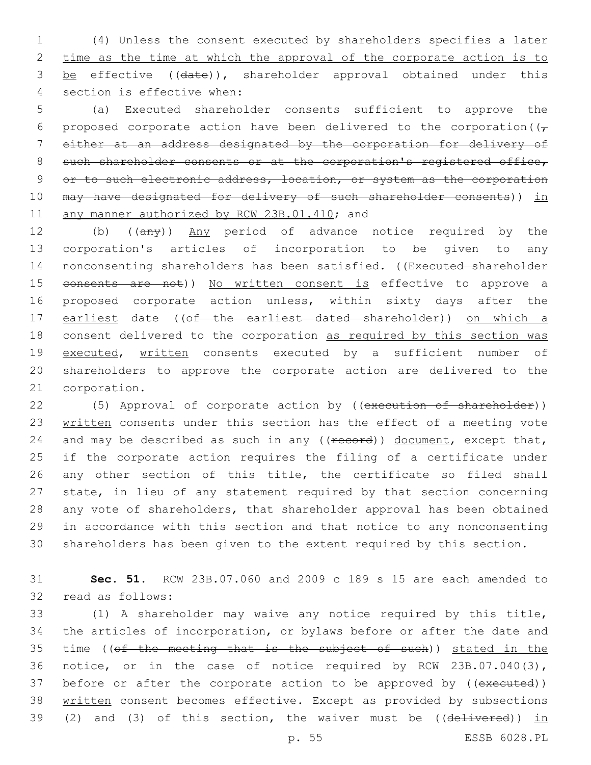1 (4) Unless the consent executed by shareholders specifies a later 2 time as the time at which the approval of the corporate action is to 3 be effective ((date)), shareholder approval obtained under this 4 section is effective when:

5 (a) Executed shareholder consents sufficient to approve the 6 proposed corporate action have been delivered to the corporation ( $(\tau)$ 7 either at an address designated by the corporation for delivery of 8 such shareholder consents or at the corporation's registered office, 9 or to such electronic address, location, or system as the corporation 10 may have designated for delivery of such shareholder consents)) in 11 any manner authorized by RCW 23B.01.410; and

12 (b) ((any)) Any period of advance notice required by the 13 corporation's articles of incorporation to be given to any 14 nonconsenting shareholders has been satisfied. ((Executed shareholder 15 consents are not)) No written consent is effective to approve a 16 proposed corporate action unless, within sixty days after the 17 earliest date ((of the earliest dated shareholder)) on which a 18 consent delivered to the corporation as required by this section was 19 executed, written consents executed by a sufficient number of 20 shareholders to approve the corporate action are delivered to the 21 corporation.

 (5) Approval of corporate action by ((execution of shareholder)) written consents under this section has the effect of a meeting vote 24 and may be described as such in any ((record)) document, except that, if the corporate action requires the filing of a certificate under any other section of this title, the certificate so filed shall state, in lieu of any statement required by that section concerning any vote of shareholders, that shareholder approval has been obtained in accordance with this section and that notice to any nonconsenting shareholders has been given to the extent required by this section.

31 **Sec. 51.** RCW 23B.07.060 and 2009 c 189 s 15 are each amended to 32 read as follows:

33 (1) A shareholder may waive any notice required by this title, 34 the articles of incorporation, or bylaws before or after the date and 35 time ((of the meeting that is the subject of such)) stated in the 36 notice, or in the case of notice required by RCW 23B.07.040(3), 37 before or after the corporate action to be approved by ((executed)) 38 written consent becomes effective. Except as provided by subsections 39 (2) and (3) of this section, the waiver must be (( $del}{ivered}$ )) in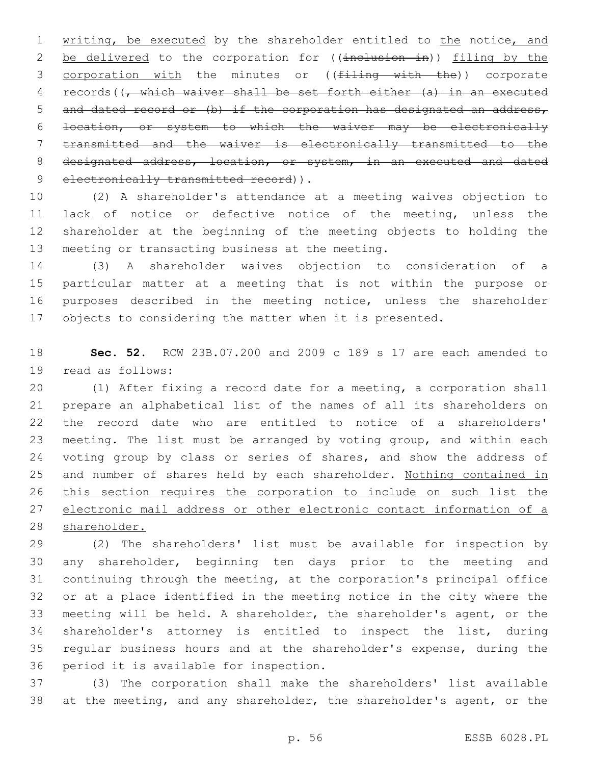1 writing, be executed by the shareholder entitled to the notice, and 2 be delivered to the corporation for ((inclusion in)) filing by the 3 corporation with the minutes or ((filing with the)) corporate 4 records( $\frac{1}{1}$  which waiver shall be set forth either  $\{a\}$  in an executed 5 and dated record or (b) if the corporation has designated an address, location, or system to which the waiver may be electronically transmitted and the waiver is electronically transmitted to the designated address, location, or system, in an executed and dated 9 electronically transmitted record)).

 (2) A shareholder's attendance at a meeting waives objection to lack of notice or defective notice of the meeting, unless the shareholder at the beginning of the meeting objects to holding the 13 meeting or transacting business at the meeting.

 (3) A shareholder waives objection to consideration of a particular matter at a meeting that is not within the purpose or purposes described in the meeting notice, unless the shareholder objects to considering the matter when it is presented.

 **Sec. 52.** RCW 23B.07.200 and 2009 c 189 s 17 are each amended to 19 read as follows:

 (1) After fixing a record date for a meeting, a corporation shall prepare an alphabetical list of the names of all its shareholders on the record date who are entitled to notice of a shareholders' meeting. The list must be arranged by voting group, and within each 24 voting group by class or series of shares, and show the address of 25 and number of shares held by each shareholder. Nothing contained in this section requires the corporation to include on such list the 27 electronic mail address or other electronic contact information of a shareholder.

 (2) The shareholders' list must be available for inspection by any shareholder, beginning ten days prior to the meeting and continuing through the meeting, at the corporation's principal office or at a place identified in the meeting notice in the city where the meeting will be held. A shareholder, the shareholder's agent, or the shareholder's attorney is entitled to inspect the list, during regular business hours and at the shareholder's expense, during the 36 period it is available for inspection.

 (3) The corporation shall make the shareholders' list available at the meeting, and any shareholder, the shareholder's agent, or the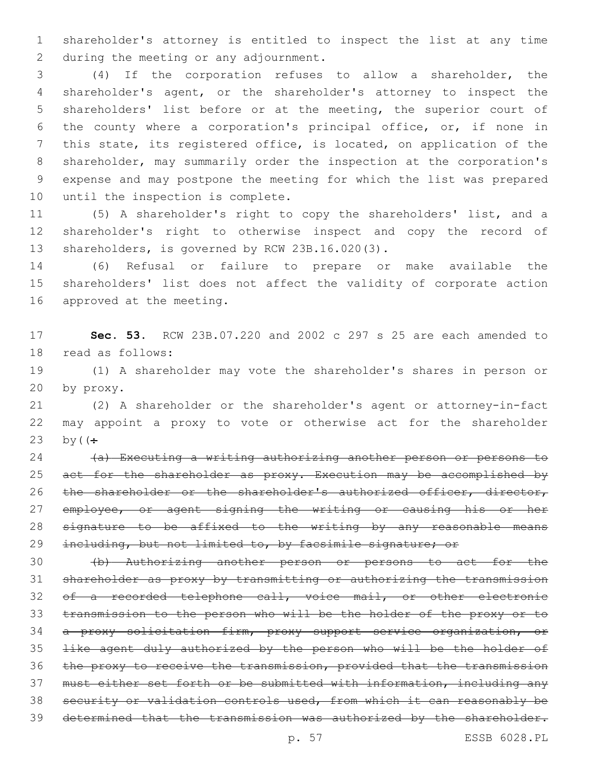shareholder's attorney is entitled to inspect the list at any time 2 during the meeting or any adjournment.

 (4) If the corporation refuses to allow a shareholder, the shareholder's agent, or the shareholder's attorney to inspect the shareholders' list before or at the meeting, the superior court of the county where a corporation's principal office, or, if none in this state, its registered office, is located, on application of the shareholder, may summarily order the inspection at the corporation's expense and may postpone the meeting for which the list was prepared 10 until the inspection is complete.

 (5) A shareholder's right to copy the shareholders' list, and a shareholder's right to otherwise inspect and copy the record of 13 shareholders, is governed by RCW 23B.16.020(3).

 (6) Refusal or failure to prepare or make available the shareholders' list does not affect the validity of corporate action 16 approved at the meeting.

 **Sec. 53.** RCW 23B.07.220 and 2002 c 297 s 25 are each amended to 18 read as follows:

 (1) A shareholder may vote the shareholder's shares in person or 20 by proxy.

 (2) A shareholder or the shareholder's agent or attorney-in-fact may appoint a proxy to vote or otherwise act for the shareholder 23 by  $($   $\div$ 

 (a) Executing a writing authorizing another person or persons to 25 act for the shareholder as proxy. Execution may be accomplished by 26 the shareholder or the shareholder's authorized officer, director, 27 employee, or agent signing the writing or causing his or her signature to be affixed to the writing by any reasonable means 29 including, but not limited to, by facsimile signature; or

 (b) Authorizing another person or persons to act for the shareholder as proxy by transmitting or authorizing the transmission of a recorded telephone call, voice mail, or other electronic transmission to the person who will be the holder of the proxy or to a proxy solicitation firm, proxy support service organization, or like agent duly authorized by the person who will be the holder of the proxy to receive the transmission, provided that the transmission must either set forth or be submitted with information, including any security or validation controls used, from which it can reasonably be determined that the transmission was authorized by the shareholder.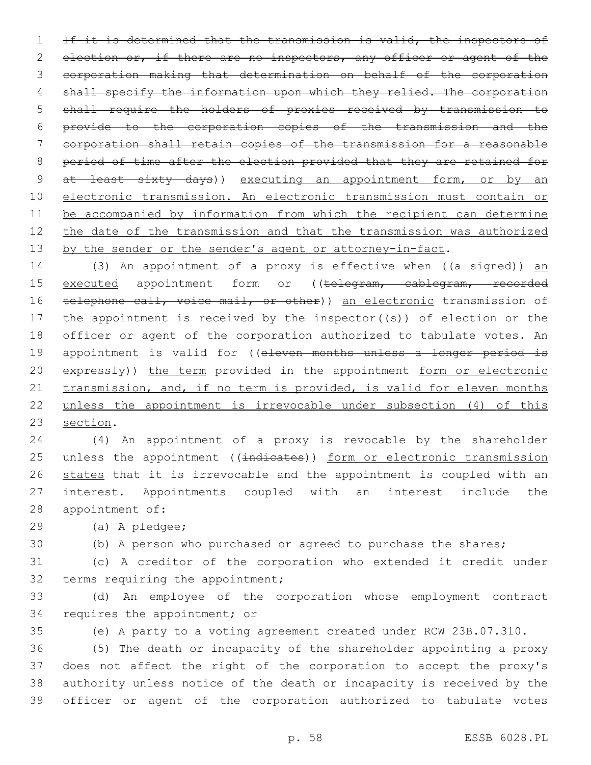1 If it is determined that the transmission is valid, the inspectors of 2 election or, if there are no inspectors, any officer or agent of the 3 corporation making that determination on behalf of the corporation 4 shall specify the information upon which they relied. The corporation 5 shall require the holders of proxies received by transmission to 6 provide to the corporation copies of the transmission and the 7 corporation shall retain copies of the transmission for a reasonable 8 period of time after the election provided that they are retained for 9 at least sixty days)) executing an appointment form, or by an 10 electronic transmission. An electronic transmission must contain or 11 be accompanied by information from which the recipient can determine 12 the date of the transmission and that the transmission was authorized 13 by the sender or the sender's agent or attorney-in-fact.

14 (3) An appointment of a proxy is effective when ((a signed)) an 15 executed appointment form or ((telegram, cablegram, recorded 16 telephone call, voice mail, or other)) an electronic transmission of 17 the appointment is received by the inspector( $(\theta)$ ) of election or the 18 officer or agent of the corporation authorized to tabulate votes. An 19 appointment is valid for ((eleven months unless a longer period is 20 expressly)) the term provided in the appointment form or electronic 21 transmission, and, if no term is provided, is valid for eleven months 22 unless the appointment is irrevocable under subsection (4) of this 23 section.

24 (4) An appointment of a proxy is revocable by the shareholder 25 unless the appointment ((indicates)) form or electronic transmission 26 states that it is irrevocable and the appointment is coupled with an 27 interest. Appointments coupled with an interest include the 28 appointment of:

29 (a) A pledgee;

30 (b) A person who purchased or agreed to purchase the shares;

31 (c) A creditor of the corporation who extended it credit under 32 terms requiring the appointment;

33 (d) An employee of the corporation whose employment contract 34 requires the appointment; or

35 (e) A party to a voting agreement created under RCW 23B.07.310.

 (5) The death or incapacity of the shareholder appointing a proxy does not affect the right of the corporation to accept the proxy's authority unless notice of the death or incapacity is received by the officer or agent of the corporation authorized to tabulate votes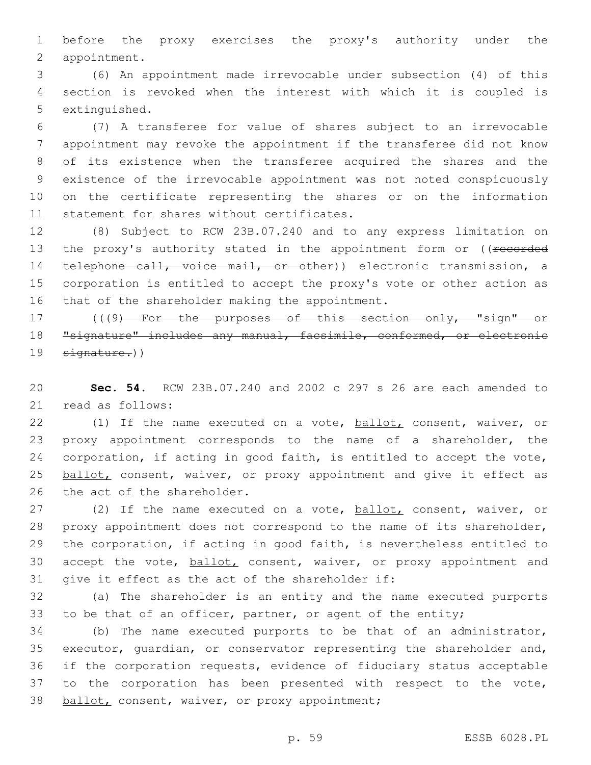1 before the proxy exercises the proxy's authority under the 2 appointment.

3 (6) An appointment made irrevocable under subsection (4) of this 4 section is revoked when the interest with which it is coupled is 5 extinguished.

 (7) A transferee for value of shares subject to an irrevocable appointment may revoke the appointment if the transferee did not know of its existence when the transferee acquired the shares and the existence of the irrevocable appointment was not noted conspicuously on the certificate representing the shares or on the information 11 statement for shares without certificates.

12 (8) Subject to RCW 23B.07.240 and to any express limitation on 13 the proxy's authority stated in the appointment form or ((recorded 14 telephone call, voice mail, or other)) electronic transmission, a 15 corporation is entitled to accept the proxy's vote or other action as 16 that of the shareholder making the appointment.

17 (((9) For the purposes of this section only, "sign" or 18 "signature" includes any manual, facsimile, conformed, or electronic 19 signature.))

20 **Sec. 54.** RCW 23B.07.240 and 2002 c 297 s 26 are each amended to 21 read as follows:

22 (1) If the name executed on a vote, ballot, consent, waiver, or 23 proxy appointment corresponds to the name of a shareholder, the 24 corporation, if acting in good faith, is entitled to accept the vote, 25 ballot, consent, waiver, or proxy appointment and give it effect as 26 the act of the shareholder.

27 (2) If the name executed on a vote, ballot, consent, waiver, or 28 proxy appointment does not correspond to the name of its shareholder, 29 the corporation, if acting in good faith, is nevertheless entitled to 30 accept the vote, ballot, consent, waiver, or proxy appointment and 31 give it effect as the act of the shareholder if:

32 (a) The shareholder is an entity and the name executed purports 33 to be that of an officer, partner, or agent of the entity;

 (b) The name executed purports to be that of an administrator, executor, guardian, or conservator representing the shareholder and, if the corporation requests, evidence of fiduciary status acceptable to the corporation has been presented with respect to the vote, 38 ballot, consent, waiver, or proxy appointment;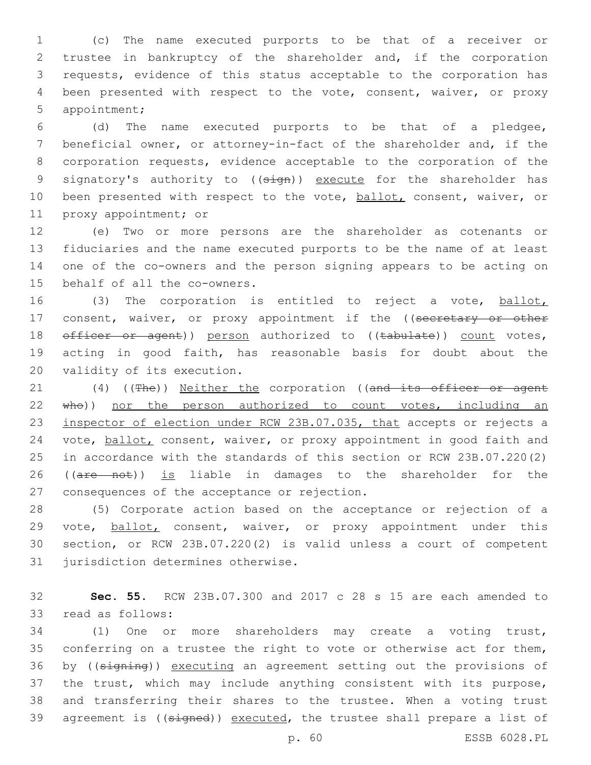(c) The name executed purports to be that of a receiver or trustee in bankruptcy of the shareholder and, if the corporation requests, evidence of this status acceptable to the corporation has been presented with respect to the vote, consent, waiver, or proxy 5 appointment;

6 (d) The name executed purports to be that of a pledgee, 7 beneficial owner, or attorney-in-fact of the shareholder and, if the 8 corporation requests, evidence acceptable to the corporation of the 9 signatory's authority to (( $\frac{1}{3}$ ) execute for the shareholder has 10 been presented with respect to the vote, ballot, consent, waiver, or 11 proxy appointment; or

 (e) Two or more persons are the shareholder as cotenants or fiduciaries and the name executed purports to be the name of at least one of the co-owners and the person signing appears to be acting on 15 behalf of all the co-owners.

16 (3) The corporation is entitled to reject a vote, ballot, 17 consent, waiver, or proxy appointment if the ((secretary or other 18 officer or agent)) person authorized to ((tabulate)) count votes, 19 acting in good faith, has reasonable basis for doubt about the 20 validity of its execution.

21 (4) ((The)) Neither the corporation ((and its officer or agent 22 who)) nor the person authorized to count votes, including an 23 inspector of election under RCW 23B.07.035, that accepts or rejects a 24 vote, ballot, consent, waiver, or proxy appointment in good faith and 25 in accordance with the standards of this section or RCW 23B.07.220(2) 26 ((are not)) is liable in damages to the shareholder for the 27 consequences of the acceptance or rejection.

28 (5) Corporate action based on the acceptance or rejection of a 29 vote, ballot, consent, waiver, or proxy appointment under this 30 section, or RCW 23B.07.220(2) is valid unless a court of competent 31 jurisdiction determines otherwise.

32 **Sec. 55.** RCW 23B.07.300 and 2017 c 28 s 15 are each amended to 33 read as follows:

34 (1) One or more shareholders may create a voting trust, 35 conferring on a trustee the right to vote or otherwise act for them, 36 by ((signing)) executing an agreement setting out the provisions of 37 the trust, which may include anything consistent with its purpose, 38 and transferring their shares to the trustee. When a voting trust 39 agreement is ((signed)) executed, the trustee shall prepare a list of

p. 60 ESSB 6028.PL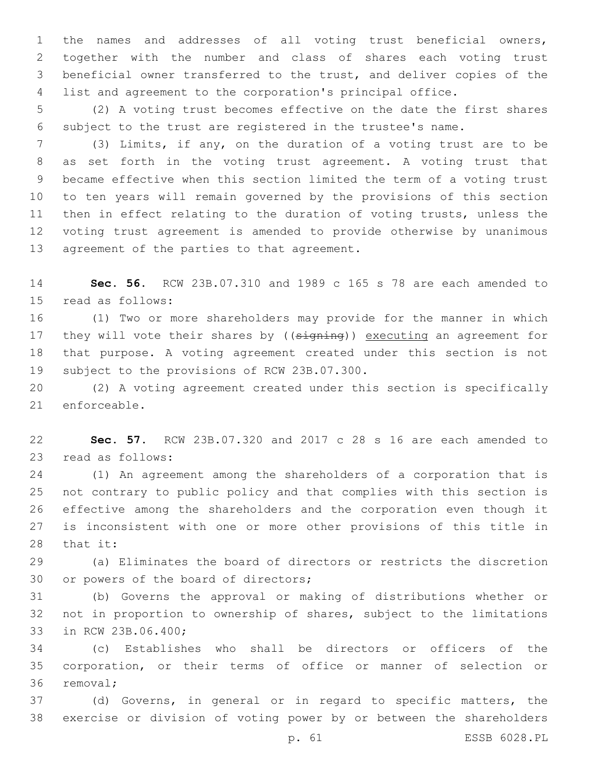the names and addresses of all voting trust beneficial owners, together with the number and class of shares each voting trust beneficial owner transferred to the trust, and deliver copies of the list and agreement to the corporation's principal office.

 (2) A voting trust becomes effective on the date the first shares subject to the trust are registered in the trustee's name.

 (3) Limits, if any, on the duration of a voting trust are to be as set forth in the voting trust agreement. A voting trust that became effective when this section limited the term of a voting trust to ten years will remain governed by the provisions of this section then in effect relating to the duration of voting trusts, unless the voting trust agreement is amended to provide otherwise by unanimous 13 agreement of the parties to that agreement.

 **Sec. 56.** RCW 23B.07.310 and 1989 c 165 s 78 are each amended to 15 read as follows:

 (1) Two or more shareholders may provide for the manner in which 17 they will vote their shares by ((signing)) executing an agreement for that purpose. A voting agreement created under this section is not 19 subject to the provisions of RCW 23B.07.300.

 (2) A voting agreement created under this section is specifically 21 enforceable.

 **Sec. 57.** RCW 23B.07.320 and 2017 c 28 s 16 are each amended to 23 read as follows:

 (1) An agreement among the shareholders of a corporation that is not contrary to public policy and that complies with this section is effective among the shareholders and the corporation even though it is inconsistent with one or more other provisions of this title in that it:

 (a) Eliminates the board of directors or restricts the discretion 30 or powers of the board of directors;

 (b) Governs the approval or making of distributions whether or not in proportion to ownership of shares, subject to the limitations 33 in RCW 23B.06.400;

 (c) Establishes who shall be directors or officers of the corporation, or their terms of office or manner of selection or 36 removal;

 (d) Governs, in general or in regard to specific matters, the exercise or division of voting power by or between the shareholders

p. 61 ESSB 6028.PL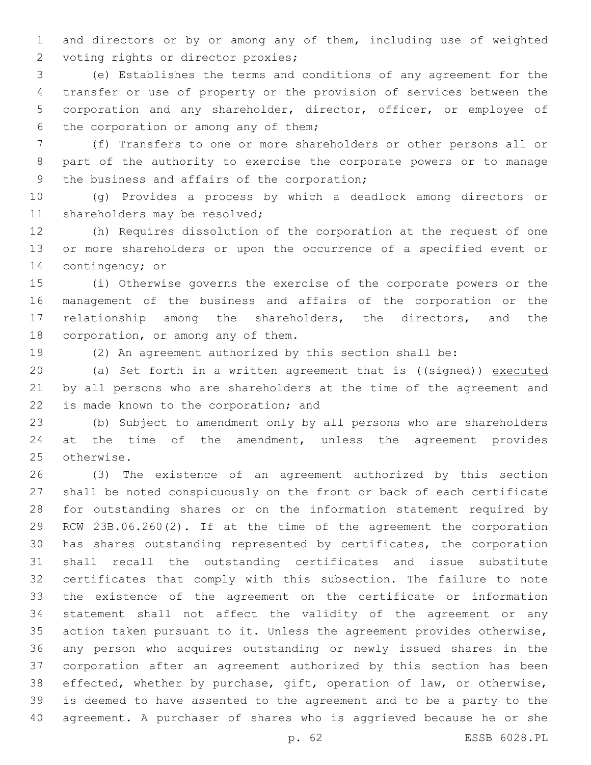and directors or by or among any of them, including use of weighted 2 voting rights or director proxies;

 (e) Establishes the terms and conditions of any agreement for the transfer or use of property or the provision of services between the corporation and any shareholder, director, officer, or employee of 6 the corporation or among any of them;

 (f) Transfers to one or more shareholders or other persons all or part of the authority to exercise the corporate powers or to manage 9 the business and affairs of the corporation;

 (g) Provides a process by which a deadlock among directors or 11 shareholders may be resolved;

 (h) Requires dissolution of the corporation at the request of one or more shareholders or upon the occurrence of a specified event or 14 contingency; or

 (i) Otherwise governs the exercise of the corporate powers or the management of the business and affairs of the corporation or the 17 relationship among the shareholders, the directors, and the 18 corporation, or among any of them.

(2) An agreement authorized by this section shall be:

20 (a) Set forth in a written agreement that is ((signed)) executed by all persons who are shareholders at the time of the agreement and 22 is made known to the corporation; and

 (b) Subject to amendment only by all persons who are shareholders 24 at the time of the amendment, unless the agreement provides 25 otherwise.

 (3) The existence of an agreement authorized by this section shall be noted conspicuously on the front or back of each certificate for outstanding shares or on the information statement required by RCW 23B.06.260(2). If at the time of the agreement the corporation has shares outstanding represented by certificates, the corporation shall recall the outstanding certificates and issue substitute certificates that comply with this subsection. The failure to note the existence of the agreement on the certificate or information statement shall not affect the validity of the agreement or any action taken pursuant to it. Unless the agreement provides otherwise, any person who acquires outstanding or newly issued shares in the corporation after an agreement authorized by this section has been effected, whether by purchase, gift, operation of law, or otherwise, is deemed to have assented to the agreement and to be a party to the agreement. A purchaser of shares who is aggrieved because he or she

p. 62 ESSB 6028.PL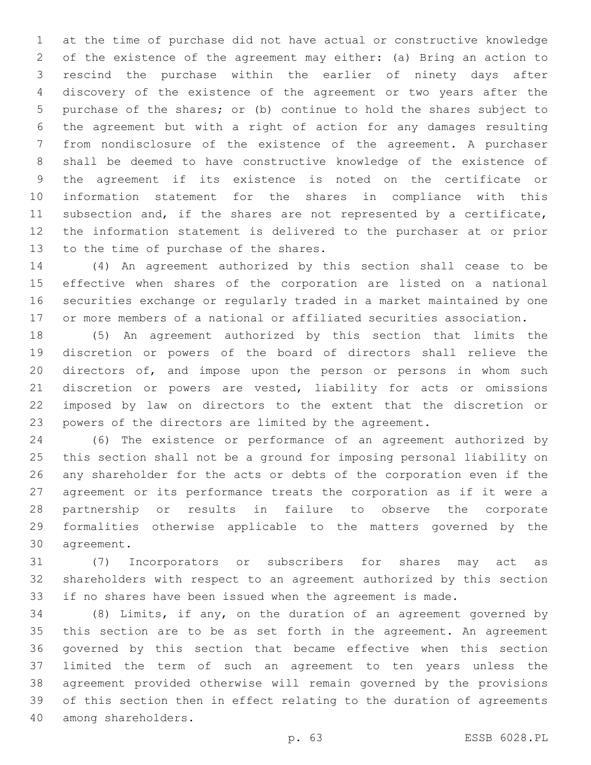at the time of purchase did not have actual or constructive knowledge of the existence of the agreement may either: (a) Bring an action to rescind the purchase within the earlier of ninety days after discovery of the existence of the agreement or two years after the purchase of the shares; or (b) continue to hold the shares subject to the agreement but with a right of action for any damages resulting from nondisclosure of the existence of the agreement. A purchaser shall be deemed to have constructive knowledge of the existence of the agreement if its existence is noted on the certificate or information statement for the shares in compliance with this subsection and, if the shares are not represented by a certificate, the information statement is delivered to the purchaser at or prior 13 to the time of purchase of the shares.

 (4) An agreement authorized by this section shall cease to be effective when shares of the corporation are listed on a national securities exchange or regularly traded in a market maintained by one or more members of a national or affiliated securities association.

 (5) An agreement authorized by this section that limits the discretion or powers of the board of directors shall relieve the directors of, and impose upon the person or persons in whom such discretion or powers are vested, liability for acts or omissions imposed by law on directors to the extent that the discretion or powers of the directors are limited by the agreement.

 (6) The existence or performance of an agreement authorized by this section shall not be a ground for imposing personal liability on any shareholder for the acts or debts of the corporation even if the agreement or its performance treats the corporation as if it were a partnership or results in failure to observe the corporate formalities otherwise applicable to the matters governed by the 30 agreement.

 (7) Incorporators or subscribers for shares may act as shareholders with respect to an agreement authorized by this section if no shares have been issued when the agreement is made.

 (8) Limits, if any, on the duration of an agreement governed by this section are to be as set forth in the agreement. An agreement governed by this section that became effective when this section limited the term of such an agreement to ten years unless the agreement provided otherwise will remain governed by the provisions of this section then in effect relating to the duration of agreements 40 among shareholders.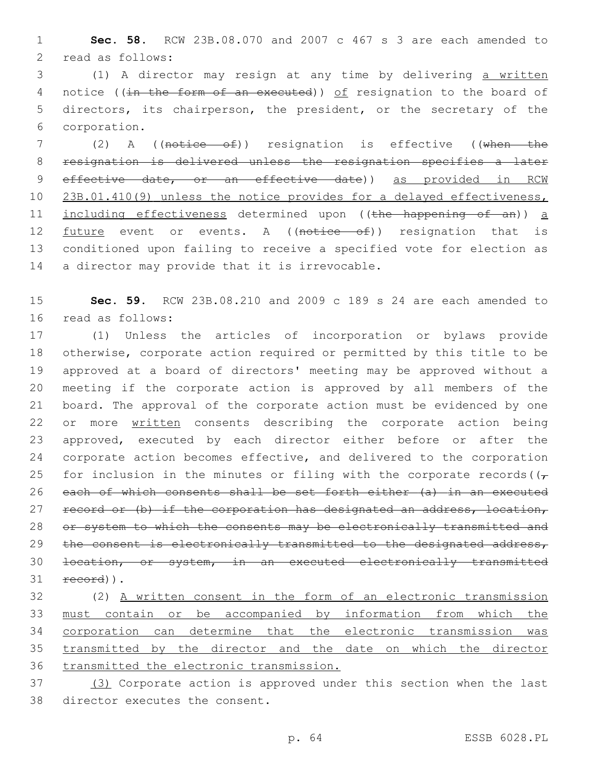1 **Sec. 58.** RCW 23B.08.070 and 2007 c 467 s 3 are each amended to 2 read as follows:

3 (1) A director may resign at any time by delivering a written 4 notice ((in the form of an executed)) of resignation to the board of 5 directors, its chairperson, the president, or the secretary of the corporation.6

7 (2) A ((notice of)) resignation is effective ((when the 8 resignation is delivered unless the resignation specifies a later 9 effective date, or an effective date)) as provided in RCW 10 23B.01.410(9) unless the notice provides for a delayed effectiveness, 11 including effectiveness determined upon ((the happening of an)) a 12 future event or events. A ((notice of)) resignation that is 13 conditioned upon failing to receive a specified vote for election as 14 a director may provide that it is irrevocable.

15 **Sec. 59.** RCW 23B.08.210 and 2009 c 189 s 24 are each amended to 16 read as follows:

17 (1) Unless the articles of incorporation or bylaws provide 18 otherwise, corporate action required or permitted by this title to be 19 approved at a board of directors' meeting may be approved without a 20 meeting if the corporate action is approved by all members of the 21 board. The approval of the corporate action must be evidenced by one 22 or more written consents describing the corporate action being 23 approved, executed by each director either before or after the 24 corporate action becomes effective, and delivered to the corporation 25 for inclusion in the minutes or filing with the corporate records ( $(\tau)$ 26 each of which consents shall be set forth either (a) in an executed 27 record or (b) if the corporation has designated an address, location, 28 or system to which the consents may be electronically transmitted and 29 the consent is electronically transmitted to the designated address, 30 location, or system, in an executed electronically transmitted  $31 \text{ record}$ ).

| 32 (2) A written consent in the form of an electronic transmission |  |  |  |  |  |  |  |
|--------------------------------------------------------------------|--|--|--|--|--|--|--|
| 33 must contain or be accompanied by information from which the    |  |  |  |  |  |  |  |
| 34 corporation can determine that the electronic transmission was  |  |  |  |  |  |  |  |
| 35 transmitted by the director and the date on which the director  |  |  |  |  |  |  |  |
| 36 transmitted the electronic transmission.                        |  |  |  |  |  |  |  |

37 (3) Corporate action is approved under this section when the last 38 director executes the consent.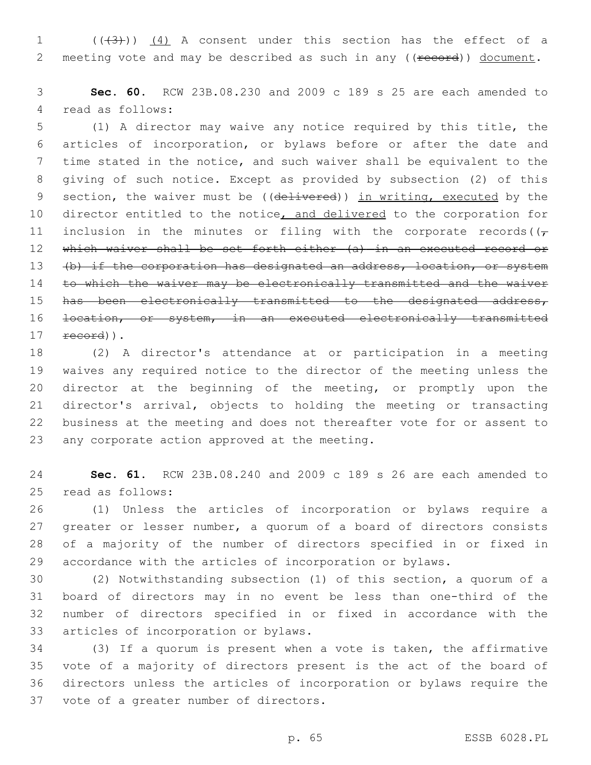1 (((43))) (4) A consent under this section has the effect of a 2 meeting vote and may be described as such in any ((record)) document.

 **Sec. 60.** RCW 23B.08.230 and 2009 c 189 s 25 are each amended to 4 read as follows:

 (1) A director may waive any notice required by this title, the articles of incorporation, or bylaws before or after the date and time stated in the notice, and such waiver shall be equivalent to the giving of such notice. Except as provided by subsection (2) of this 9 section, the waiver must be ((delivered)) in writing, executed by the 10 director entitled to the notice, and delivered to the corporation for 11 inclusion in the minutes or filing with the corporate records( $(\tau$  which waiver shall be set forth either (a) in an executed record or (b) if the corporation has designated an address, location, or system 14 to which the waiver may be electronically transmitted and the waiver 15 has been electronically transmitted to the designated address, location, or system, in an executed electronically transmitted  $17 \text{ record}$ ).

 (2) A director's attendance at or participation in a meeting waives any required notice to the director of the meeting unless the director at the beginning of the meeting, or promptly upon the director's arrival, objects to holding the meeting or transacting business at the meeting and does not thereafter vote for or assent to 23 any corporate action approved at the meeting.

 **Sec. 61.** RCW 23B.08.240 and 2009 c 189 s 26 are each amended to 25 read as follows:

 (1) Unless the articles of incorporation or bylaws require a greater or lesser number, a quorum of a board of directors consists of a majority of the number of directors specified in or fixed in accordance with the articles of incorporation or bylaws.

 (2) Notwithstanding subsection (1) of this section, a quorum of a board of directors may in no event be less than one-third of the number of directors specified in or fixed in accordance with the 33 articles of incorporation or bylaws.

 (3) If a quorum is present when a vote is taken, the affirmative vote of a majority of directors present is the act of the board of directors unless the articles of incorporation or bylaws require the 37 vote of a greater number of directors.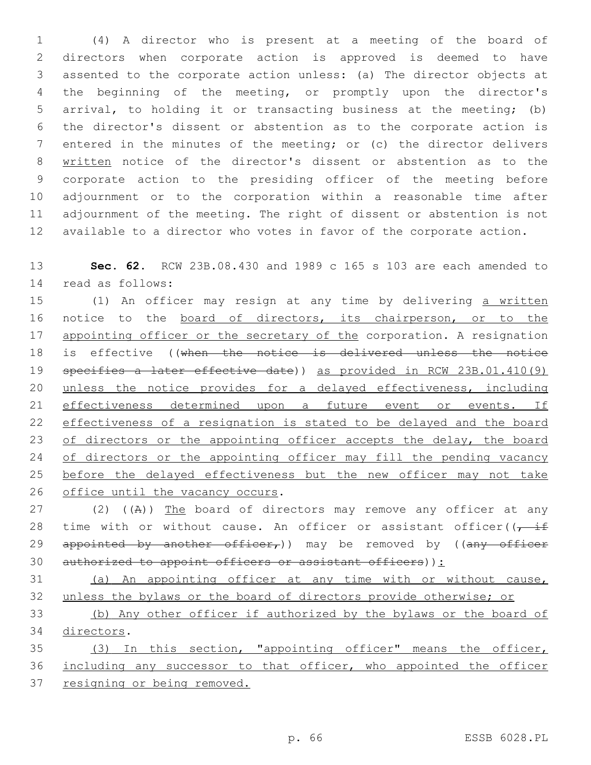(4) A director who is present at a meeting of the board of directors when corporate action is approved is deemed to have assented to the corporate action unless: (a) The director objects at the beginning of the meeting, or promptly upon the director's arrival, to holding it or transacting business at the meeting; (b) the director's dissent or abstention as to the corporate action is entered in the minutes of the meeting; or (c) the director delivers written notice of the director's dissent or abstention as to the corporate action to the presiding officer of the meeting before adjournment or to the corporation within a reasonable time after adjournment of the meeting. The right of dissent or abstention is not available to a director who votes in favor of the corporate action.

 **Sec. 62.** RCW 23B.08.430 and 1989 c 165 s 103 are each amended to read as follows:14

15 (1) An officer may resign at any time by delivering a written notice to the board of directors, its chairperson, or to the 17 appointing officer or the secretary of the corporation. A resignation is effective ((when the notice is delivered unless the notice specifies a later effective date)) as provided in RCW 23B.01.410(9) unless the notice provides for a delayed effectiveness, including 21 effectiveness determined upon a future event or events. If effectiveness of a resignation is stated to be delayed and the board 23 of directors or the appointing officer accepts the delay, the board 24 of directors or the appointing officer may fill the pending vacancy 25 before the delayed effectiveness but the new officer may not take 26 office until the vacancy occurs.

27 (2) ((A)) The board of directors may remove any officer at any 28 time with or without cause. An officer or assistant officer( $\sqrt{t}$  if 29 appointed by another officer<sub> $I$ </sub>)) may be removed by ((any officer 30 authorized to appoint officers or assistant officers)):

 (a) An appointing officer at any time with or without cause, unless the bylaws or the board of directors provide otherwise; or

 (b) Any other officer if authorized by the bylaws or the board of 34 directors.

 (3) In this section, "appointing officer" means the officer, 36 including any successor to that officer, who appointed the officer resigning or being removed.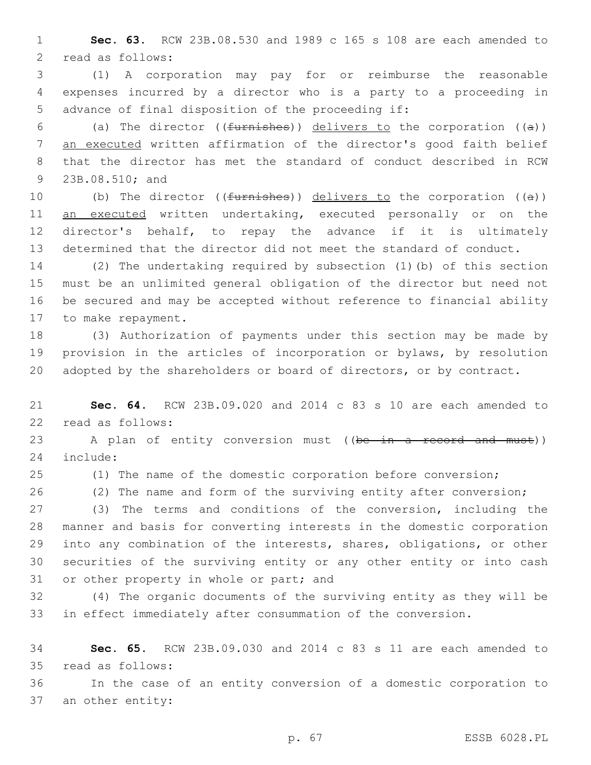**Sec. 63.** RCW 23B.08.530 and 1989 c 165 s 108 are each amended to 2 read as follows:

 (1) A corporation may pay for or reimburse the reasonable expenses incurred by a director who is a party to a proceeding in 5 advance of final disposition of the proceeding if:

6 (a) The director (( $f$ urnishes)) delivers to the corporation ((a)) an executed written affirmation of the director's good faith belief that the director has met the standard of conduct described in RCW 9 23B.08.510; and

10 (b) The director (( $furnishes$ )) delivers to the corporation ( $(a)$ ) 11 an executed written undertaking, executed personally or on the director's behalf, to repay the advance if it is ultimately determined that the director did not meet the standard of conduct.

 (2) The undertaking required by subsection (1)(b) of this section must be an unlimited general obligation of the director but need not be secured and may be accepted without reference to financial ability 17 to make repayment.

 (3) Authorization of payments under this section may be made by provision in the articles of incorporation or bylaws, by resolution adopted by the shareholders or board of directors, or by contract.

 **Sec. 64.** RCW 23B.09.020 and 2014 c 83 s 10 are each amended to 22 read as follows:

23 A plan of entity conversion must ((be in a record and must)) 24 include:

(1) The name of the domestic corporation before conversion;

(2) The name and form of the surviving entity after conversion;

 (3) The terms and conditions of the conversion, including the manner and basis for converting interests in the domestic corporation into any combination of the interests, shares, obligations, or other securities of the surviving entity or any other entity or into cash 31 or other property in whole or part; and

 (4) The organic documents of the surviving entity as they will be in effect immediately after consummation of the conversion.

 **Sec. 65.** RCW 23B.09.030 and 2014 c 83 s 11 are each amended to read as follows:35

 In the case of an entity conversion of a domestic corporation to 37 an other entity: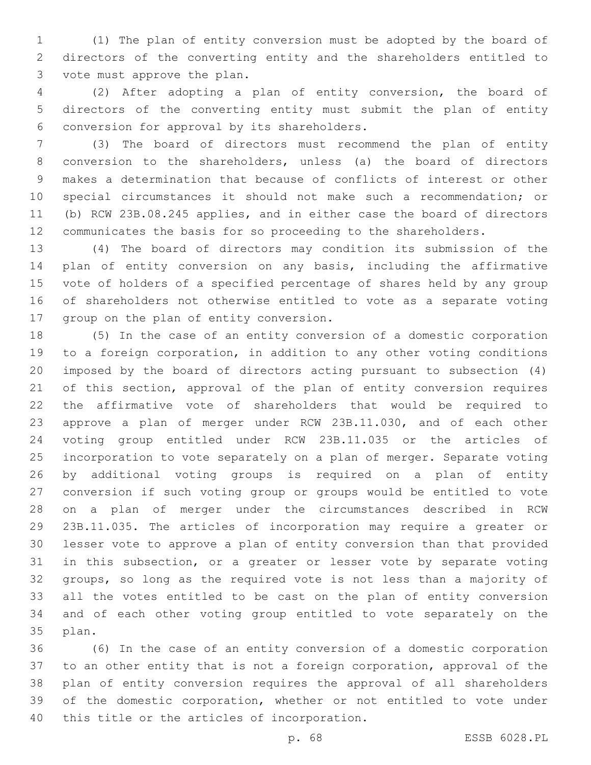(1) The plan of entity conversion must be adopted by the board of directors of the converting entity and the shareholders entitled to 3 vote must approve the plan.

 (2) After adopting a plan of entity conversion, the board of directors of the converting entity must submit the plan of entity conversion for approval by its shareholders.6

 (3) The board of directors must recommend the plan of entity conversion to the shareholders, unless (a) the board of directors makes a determination that because of conflicts of interest or other special circumstances it should not make such a recommendation; or (b) RCW 23B.08.245 applies, and in either case the board of directors communicates the basis for so proceeding to the shareholders.

 (4) The board of directors may condition its submission of the plan of entity conversion on any basis, including the affirmative vote of holders of a specified percentage of shares held by any group of shareholders not otherwise entitled to vote as a separate voting 17 group on the plan of entity conversion.

 (5) In the case of an entity conversion of a domestic corporation to a foreign corporation, in addition to any other voting conditions imposed by the board of directors acting pursuant to subsection (4) of this section, approval of the plan of entity conversion requires the affirmative vote of shareholders that would be required to approve a plan of merger under RCW 23B.11.030, and of each other voting group entitled under RCW 23B.11.035 or the articles of incorporation to vote separately on a plan of merger. Separate voting by additional voting groups is required on a plan of entity conversion if such voting group or groups would be entitled to vote on a plan of merger under the circumstances described in RCW 23B.11.035. The articles of incorporation may require a greater or lesser vote to approve a plan of entity conversion than that provided in this subsection, or a greater or lesser vote by separate voting groups, so long as the required vote is not less than a majority of all the votes entitled to be cast on the plan of entity conversion and of each other voting group entitled to vote separately on the 35 plan.

 (6) In the case of an entity conversion of a domestic corporation to an other entity that is not a foreign corporation, approval of the plan of entity conversion requires the approval of all shareholders of the domestic corporation, whether or not entitled to vote under 40 this title or the articles of incorporation.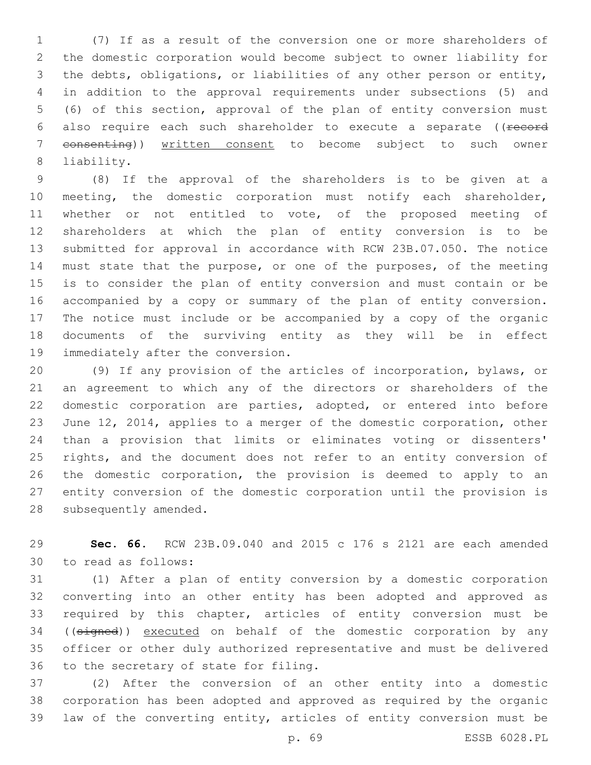(7) If as a result of the conversion one or more shareholders of the domestic corporation would become subject to owner liability for the debts, obligations, or liabilities of any other person or entity, in addition to the approval requirements under subsections (5) and (6) of this section, approval of the plan of entity conversion must 6 also require each such shareholder to execute a separate ((record consenting)) written consent to become subject to such owner 8 liability.

 (8) If the approval of the shareholders is to be given at a meeting, the domestic corporation must notify each shareholder, whether or not entitled to vote, of the proposed meeting of shareholders at which the plan of entity conversion is to be submitted for approval in accordance with RCW 23B.07.050. The notice must state that the purpose, or one of the purposes, of the meeting is to consider the plan of entity conversion and must contain or be accompanied by a copy or summary of the plan of entity conversion. The notice must include or be accompanied by a copy of the organic documents of the surviving entity as they will be in effect 19 immediately after the conversion.

 (9) If any provision of the articles of incorporation, bylaws, or an agreement to which any of the directors or shareholders of the domestic corporation are parties, adopted, or entered into before June 12, 2014, applies to a merger of the domestic corporation, other than a provision that limits or eliminates voting or dissenters' 25 rights, and the document does not refer to an entity conversion of the domestic corporation, the provision is deemed to apply to an entity conversion of the domestic corporation until the provision is 28 subsequently amended.

 **Sec. 66.** RCW 23B.09.040 and 2015 c 176 s 2121 are each amended 30 to read as follows:

 (1) After a plan of entity conversion by a domestic corporation converting into an other entity has been adopted and approved as required by this chapter, articles of entity conversion must be 34 ((signed)) executed on behalf of the domestic corporation by any officer or other duly authorized representative and must be delivered 36 to the secretary of state for filing.

 (2) After the conversion of an other entity into a domestic corporation has been adopted and approved as required by the organic law of the converting entity, articles of entity conversion must be

p. 69 ESSB 6028.PL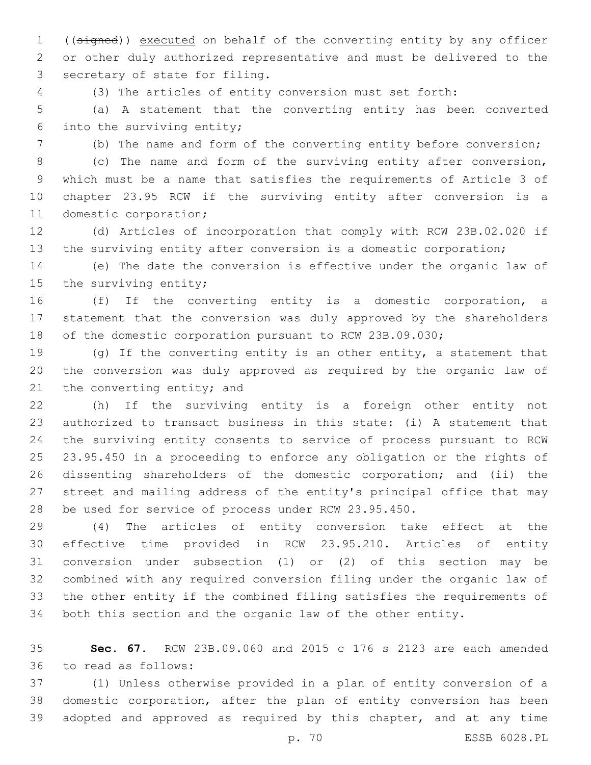((signed)) executed on behalf of the converting entity by any officer or other duly authorized representative and must be delivered to the 3 secretary of state for filing.

(3) The articles of entity conversion must set forth:

 (a) A statement that the converting entity has been converted 6 into the surviving entity;

(b) The name and form of the converting entity before conversion;

 (c) The name and form of the surviving entity after conversion, which must be a name that satisfies the requirements of Article 3 of chapter 23.95 RCW if the surviving entity after conversion is a 11 domestic corporation;

 (d) Articles of incorporation that comply with RCW 23B.02.020 if the surviving entity after conversion is a domestic corporation;

 (e) The date the conversion is effective under the organic law of 15 the surviving entity;

 (f) If the converting entity is a domestic corporation, a statement that the conversion was duly approved by the shareholders of the domestic corporation pursuant to RCW 23B.09.030;

 (g) If the converting entity is an other entity, a statement that the conversion was duly approved as required by the organic law of 21 the converting entity; and

 (h) If the surviving entity is a foreign other entity not authorized to transact business in this state: (i) A statement that the surviving entity consents to service of process pursuant to RCW 23.95.450 in a proceeding to enforce any obligation or the rights of dissenting shareholders of the domestic corporation; and (ii) the street and mailing address of the entity's principal office that may be used for service of process under RCW 23.95.450.

 (4) The articles of entity conversion take effect at the effective time provided in RCW 23.95.210. Articles of entity conversion under subsection (1) or (2) of this section may be combined with any required conversion filing under the organic law of the other entity if the combined filing satisfies the requirements of both this section and the organic law of the other entity.

 **Sec. 67.** RCW 23B.09.060 and 2015 c 176 s 2123 are each amended to read as follows:36

 (1) Unless otherwise provided in a plan of entity conversion of a domestic corporation, after the plan of entity conversion has been adopted and approved as required by this chapter, and at any time

p. 70 ESSB 6028.PL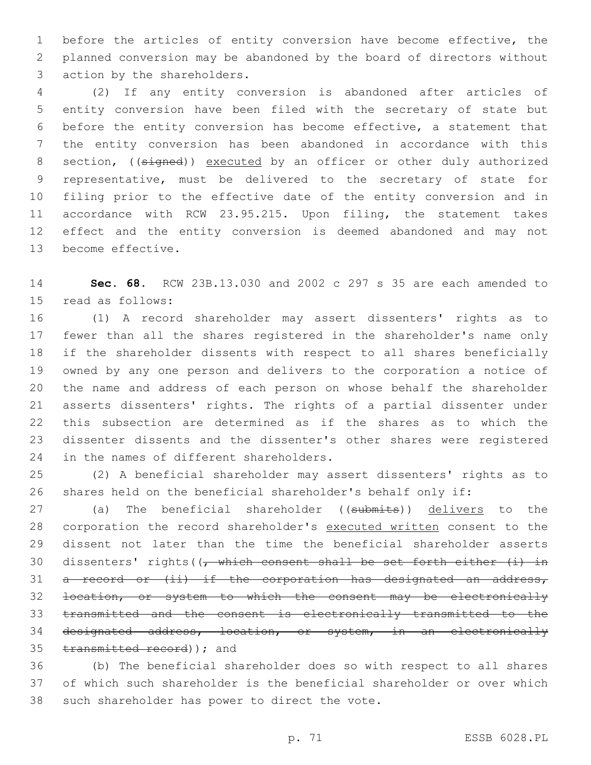before the articles of entity conversion have become effective, the planned conversion may be abandoned by the board of directors without 3 action by the shareholders.

 (2) If any entity conversion is abandoned after articles of entity conversion have been filed with the secretary of state but before the entity conversion has become effective, a statement that the entity conversion has been abandoned in accordance with this 8 section, ((signed)) executed by an officer or other duly authorized representative, must be delivered to the secretary of state for filing prior to the effective date of the entity conversion and in accordance with RCW 23.95.215. Upon filing, the statement takes effect and the entity conversion is deemed abandoned and may not 13 become effective.

 **Sec. 68.** RCW 23B.13.030 and 2002 c 297 s 35 are each amended to 15 read as follows:

 (1) A record shareholder may assert dissenters' rights as to fewer than all the shares registered in the shareholder's name only if the shareholder dissents with respect to all shares beneficially owned by any one person and delivers to the corporation a notice of the name and address of each person on whose behalf the shareholder asserts dissenters' rights. The rights of a partial dissenter under this subsection are determined as if the shares as to which the dissenter dissents and the dissenter's other shares were registered 24 in the names of different shareholders.

 (2) A beneficial shareholder may assert dissenters' rights as to shares held on the beneficial shareholder's behalf only if:

27 (a) The beneficial shareholder ((submits)) delivers to the 28 corporation the record shareholder's executed written consent to the dissent not later than the time the beneficial shareholder asserts 30 dissenters' rights( $\left(\frac{1}{r} + \frac{1}{r} + \frac{1}{r} + \frac{1}{r} + \frac{1}{r} + \frac{1}{r} + \frac{1}{r} + \frac{1}{r} + \frac{1}{r} + \frac{1}{r} + \frac{1}{r} + \frac{1}{r} + \frac{1}{r} + \frac{1}{r} + \frac{1}{r} + \frac{1}{r} + \frac{1}{r} + \frac{1}{r} + \frac{1}{r} + \frac{1}{r} + \frac{1}{r} + \frac{1}{r} + \frac{1}{r} + \frac{1}{r} + \frac{1$ 31  $a$  record or (ii) if the corporation has designated an address, location, or system to which the consent may be electronically transmitted and the consent is electronically transmitted to the designated address, location, or system, in an electronically 35 transmitted record)); and

 (b) The beneficial shareholder does so with respect to all shares of which such shareholder is the beneficial shareholder or over which 38 such shareholder has power to direct the vote.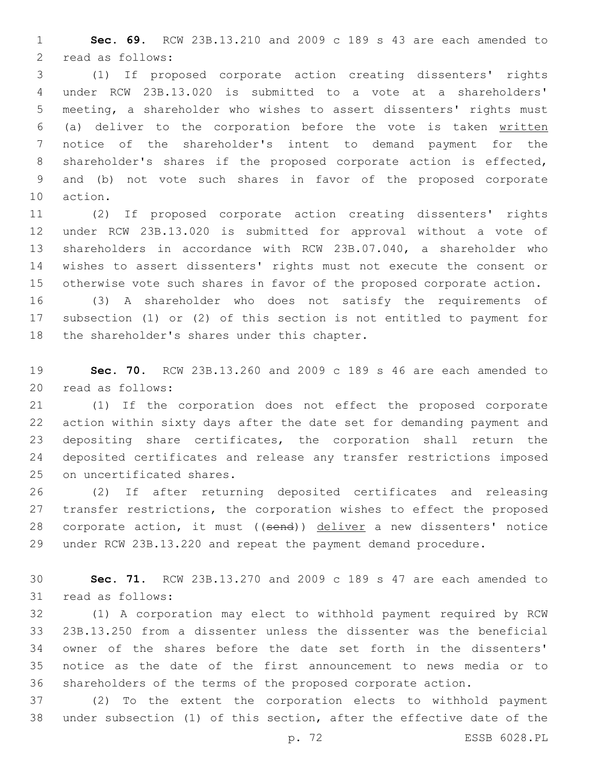**Sec. 69.** RCW 23B.13.210 and 2009 c 189 s 43 are each amended to 2 read as follows:

 (1) If proposed corporate action creating dissenters' rights under RCW 23B.13.020 is submitted to a vote at a shareholders' meeting, a shareholder who wishes to assert dissenters' rights must (a) deliver to the corporation before the vote is taken written notice of the shareholder's intent to demand payment for the shareholder's shares if the proposed corporate action is effected, and (b) not vote such shares in favor of the proposed corporate 10 action.

 (2) If proposed corporate action creating dissenters' rights under RCW 23B.13.020 is submitted for approval without a vote of shareholders in accordance with RCW 23B.07.040, a shareholder who wishes to assert dissenters' rights must not execute the consent or otherwise vote such shares in favor of the proposed corporate action.

 (3) A shareholder who does not satisfy the requirements of subsection (1) or (2) of this section is not entitled to payment for 18 the shareholder's shares under this chapter.

 **Sec. 70.** RCW 23B.13.260 and 2009 c 189 s 46 are each amended to 20 read as follows:

 (1) If the corporation does not effect the proposed corporate action within sixty days after the date set for demanding payment and depositing share certificates, the corporation shall return the deposited certificates and release any transfer restrictions imposed 25 on uncertificated shares.

 (2) If after returning deposited certificates and releasing transfer restrictions, the corporation wishes to effect the proposed 28 corporate action, it must ((send)) deliver a new dissenters' notice under RCW 23B.13.220 and repeat the payment demand procedure.

 **Sec. 71.** RCW 23B.13.270 and 2009 c 189 s 47 are each amended to 31 read as follows:

 (1) A corporation may elect to withhold payment required by RCW 23B.13.250 from a dissenter unless the dissenter was the beneficial owner of the shares before the date set forth in the dissenters' notice as the date of the first announcement to news media or to shareholders of the terms of the proposed corporate action.

 (2) To the extent the corporation elects to withhold payment under subsection (1) of this section, after the effective date of the

p. 72 ESSB 6028.PL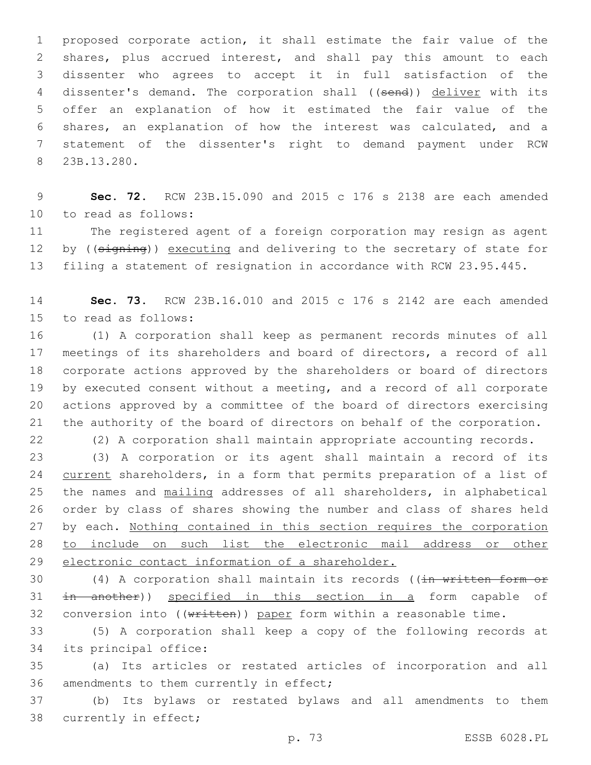proposed corporate action, it shall estimate the fair value of the shares, plus accrued interest, and shall pay this amount to each dissenter who agrees to accept it in full satisfaction of the 4 dissenter's demand. The corporation shall ((send)) deliver with its offer an explanation of how it estimated the fair value of the shares, an explanation of how the interest was calculated, and a statement of the dissenter's right to demand payment under RCW 23B.13.280.8

 **Sec. 72.** RCW 23B.15.090 and 2015 c 176 s 2138 are each amended 10 to read as follows:

 The registered agent of a foreign corporation may resign as agent 12 by ((signing)) executing and delivering to the secretary of state for filing a statement of resignation in accordance with RCW 23.95.445.

 **Sec. 73.** RCW 23B.16.010 and 2015 c 176 s 2142 are each amended 15 to read as follows:

 (1) A corporation shall keep as permanent records minutes of all meetings of its shareholders and board of directors, a record of all corporate actions approved by the shareholders or board of directors by executed consent without a meeting, and a record of all corporate actions approved by a committee of the board of directors exercising the authority of the board of directors on behalf of the corporation.

(2) A corporation shall maintain appropriate accounting records.

 (3) A corporation or its agent shall maintain a record of its current shareholders, in a form that permits preparation of a list of the names and mailing addresses of all shareholders, in alphabetical order by class of shares showing the number and class of shares held by each. Nothing contained in this section requires the corporation to include on such list the electronic mail address or other electronic contact information of a shareholder.

30 (4) A corporation shall maintain its records ((in written form or 31 in another)) specified in this section in a form capable of 32 conversion into ((written)) paper form within a reasonable time.

 (5) A corporation shall keep a copy of the following records at 34 its principal office:

 (a) Its articles or restated articles of incorporation and all 36 amendments to them currently in effect;

 (b) Its bylaws or restated bylaws and all amendments to them 38 currently in effect;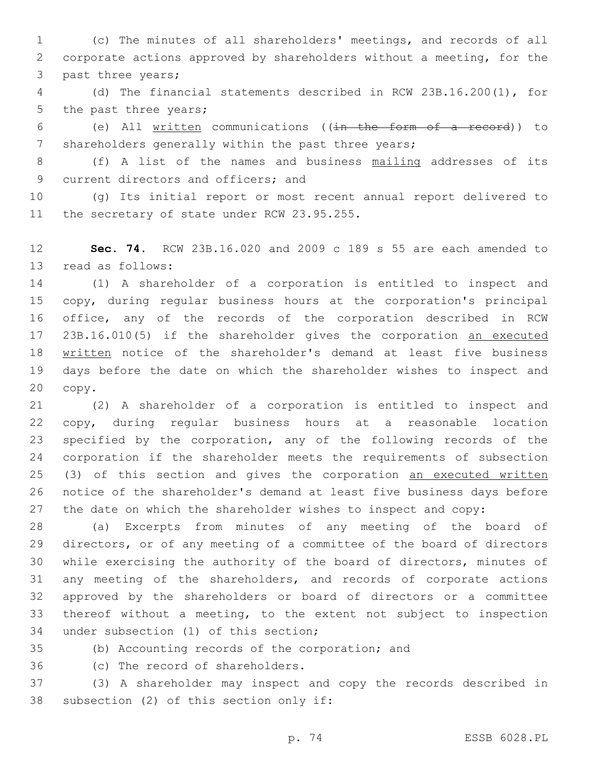(c) The minutes of all shareholders' meetings, and records of all corporate actions approved by shareholders without a meeting, for the 3 past three years;

 (d) The financial statements described in RCW 23B.16.200(1), for 5 the past three years;

 (e) All written communications ((in the form of a record)) to 7 shareholders generally within the past three years;

 (f) A list of the names and business mailing addresses of its 9 current directors and officers; and

 (g) Its initial report or most recent annual report delivered to 11 the secretary of state under RCW 23.95.255.

 **Sec. 74.** RCW 23B.16.020 and 2009 c 189 s 55 are each amended to 13 read as follows:

 (1) A shareholder of a corporation is entitled to inspect and copy, during regular business hours at the corporation's principal office, any of the records of the corporation described in RCW 23B.16.010(5) if the shareholder gives the corporation an executed written notice of the shareholder's demand at least five business days before the date on which the shareholder wishes to inspect and 20 copy.

 (2) A shareholder of a corporation is entitled to inspect and copy, during regular business hours at a reasonable location specified by the corporation, any of the following records of the corporation if the shareholder meets the requirements of subsection (3) of this section and gives the corporation an executed written notice of the shareholder's demand at least five business days before the date on which the shareholder wishes to inspect and copy:

 (a) Excerpts from minutes of any meeting of the board of directors, or of any meeting of a committee of the board of directors while exercising the authority of the board of directors, minutes of any meeting of the shareholders, and records of corporate actions approved by the shareholders or board of directors or a committee thereof without a meeting, to the extent not subject to inspection 34 under subsection (1) of this section;

(b) Accounting records of the corporation; and

36 (c) The record of shareholders.

 (3) A shareholder may inspect and copy the records described in 38 subsection (2) of this section only if: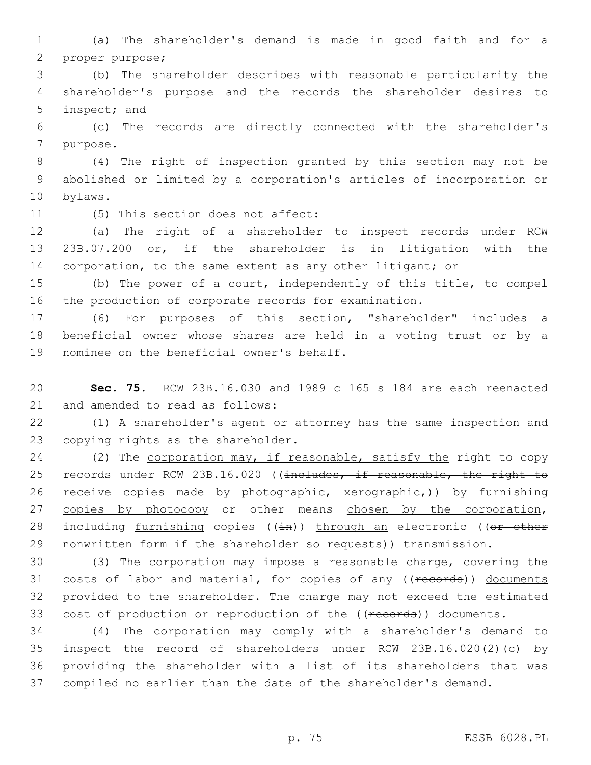1 (a) The shareholder's demand is made in good faith and for a 2 proper purpose;

3 (b) The shareholder describes with reasonable particularity the 4 shareholder's purpose and the records the shareholder desires to 5 inspect; and

6 (c) The records are directly connected with the shareholder's 7 purpose.

8 (4) The right of inspection granted by this section may not be 9 abolished or limited by a corporation's articles of incorporation or 10 bylaws.

11 (5) This section does not affect:

12 (a) The right of a shareholder to inspect records under RCW 13 23B.07.200 or, if the shareholder is in litigation with the 14 corporation, to the same extent as any other litigant; or

15 (b) The power of a court, independently of this title, to compel 16 the production of corporate records for examination.

17 (6) For purposes of this section, "shareholder" includes a 18 beneficial owner whose shares are held in a voting trust or by a 19 nominee on the beneficial owner's behalf.

20 **Sec. 75.** RCW 23B.16.030 and 1989 c 165 s 184 are each reenacted 21 and amended to read as follows:

22 (1) A shareholder's agent or attorney has the same inspection and 23 copying rights as the shareholder.

24 (2) The corporation may, if reasonable, satisfy the right to copy 25 records under RCW 23B.16.020 ((includes, if reasonable, the right to 26 receive copies made by photographic, xerographic,)) by furnishing 27 copies by photocopy or other means chosen by the corporation, 28 including furnishing copies  $((\pm n))$  through an electronic ((or other 29 nonwritten form if the shareholder so requests)) transmission.

30 (3) The corporation may impose a reasonable charge, covering the 31 costs of labor and material, for copies of any ((records)) documents 32 provided to the shareholder. The charge may not exceed the estimated 33 cost of production or reproduction of the ((records)) documents.

 (4) The corporation may comply with a shareholder's demand to inspect the record of shareholders under RCW 23B.16.020(2)(c) by providing the shareholder with a list of its shareholders that was compiled no earlier than the date of the shareholder's demand.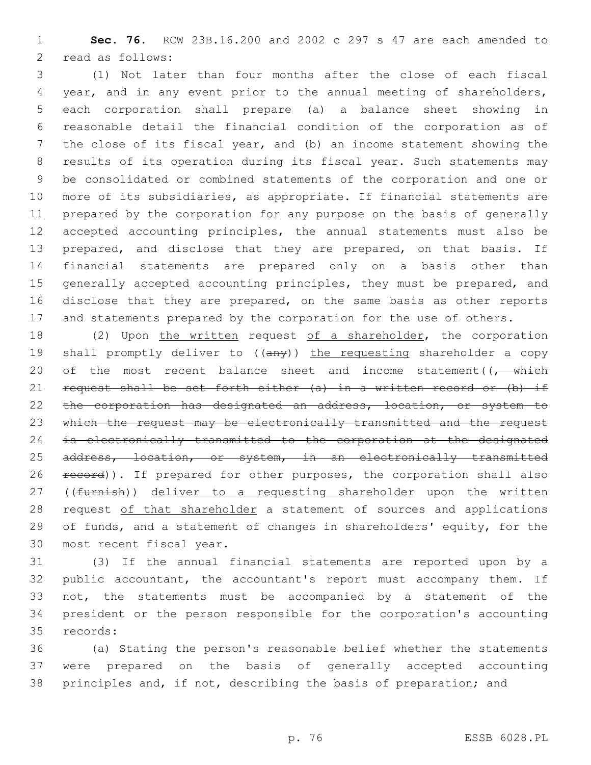1 **Sec. 76.** RCW 23B.16.200 and 2002 c 297 s 47 are each amended to 2 read as follows:

 (1) Not later than four months after the close of each fiscal year, and in any event prior to the annual meeting of shareholders, each corporation shall prepare (a) a balance sheet showing in reasonable detail the financial condition of the corporation as of the close of its fiscal year, and (b) an income statement showing the results of its operation during its fiscal year. Such statements may be consolidated or combined statements of the corporation and one or more of its subsidiaries, as appropriate. If financial statements are prepared by the corporation for any purpose on the basis of generally accepted accounting principles, the annual statements must also be 13 prepared, and disclose that they are prepared, on that basis. If financial statements are prepared only on a basis other than generally accepted accounting principles, they must be prepared, and 16 disclose that they are prepared, on the same basis as other reports 17 and statements prepared by the corporation for the use of others.

18 (2) Upon the written request of a shareholder, the corporation 19 shall promptly deliver to ((any)) the requesting shareholder a copy 20 of the most recent balance sheet and income statement( $\sqrt{\phantom{a}}$  which 21 request shall be set forth either (a) in a written record or (b) if 22 the corporation has designated an address, location, or system to 23 which the request may be electronically transmitted and the request 24 is electronically transmitted to the corporation at the designated 25 address, location, or system, in an electronically transmitted 26 record)). If prepared for other purposes, the corporation shall also 27 ((furnish)) deliver to a requesting shareholder upon the written 28 request of that shareholder a statement of sources and applications 29 of funds, and a statement of changes in shareholders' equity, for the 30 most recent fiscal year.

 (3) If the annual financial statements are reported upon by a public accountant, the accountant's report must accompany them. If not, the statements must be accompanied by a statement of the president or the person responsible for the corporation's accounting 35 records:

36 (a) Stating the person's reasonable belief whether the statements 37 were prepared on the basis of generally accepted accounting 38 principles and, if not, describing the basis of preparation; and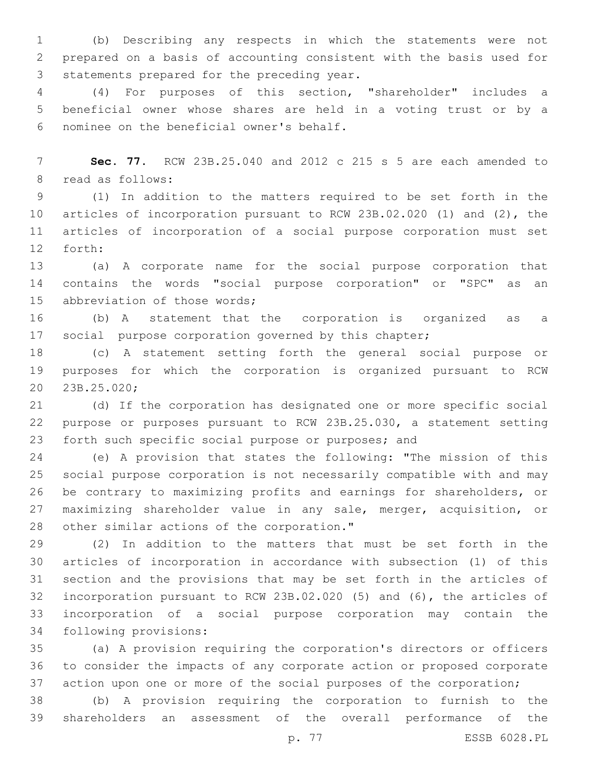(b) Describing any respects in which the statements were not prepared on a basis of accounting consistent with the basis used for 3 statements prepared for the preceding year.

 (4) For purposes of this section, "shareholder" includes a beneficial owner whose shares are held in a voting trust or by a 6 nominee on the beneficial owner's behalf.

 **Sec. 77.** RCW 23B.25.040 and 2012 c 215 s 5 are each amended to 8 read as follows:

 (1) In addition to the matters required to be set forth in the articles of incorporation pursuant to RCW 23B.02.020 (1) and (2), the articles of incorporation of a social purpose corporation must set 12 forth:

 (a) A corporate name for the social purpose corporation that contains the words "social purpose corporation" or "SPC" as an 15 abbreviation of those words;

 (b) A statement that the corporation is organized as a 17 social purpose corporation governed by this chapter;

 (c) A statement setting forth the general social purpose or purposes for which the corporation is organized pursuant to RCW 20 23B.25.020;

 (d) If the corporation has designated one or more specific social purpose or purposes pursuant to RCW 23B.25.030, a statement setting forth such specific social purpose or purposes; and

 (e) A provision that states the following: "The mission of this social purpose corporation is not necessarily compatible with and may be contrary to maximizing profits and earnings for shareholders, or maximizing shareholder value in any sale, merger, acquisition, or 28 other similar actions of the corporation."

 (2) In addition to the matters that must be set forth in the articles of incorporation in accordance with subsection (1) of this section and the provisions that may be set forth in the articles of incorporation pursuant to RCW 23B.02.020 (5) and (6), the articles of incorporation of a social purpose corporation may contain the 34 following provisions:

 (a) A provision requiring the corporation's directors or officers to consider the impacts of any corporate action or proposed corporate action upon one or more of the social purposes of the corporation;

 (b) A provision requiring the corporation to furnish to the shareholders an assessment of the overall performance of the

p. 77 ESSB 6028.PL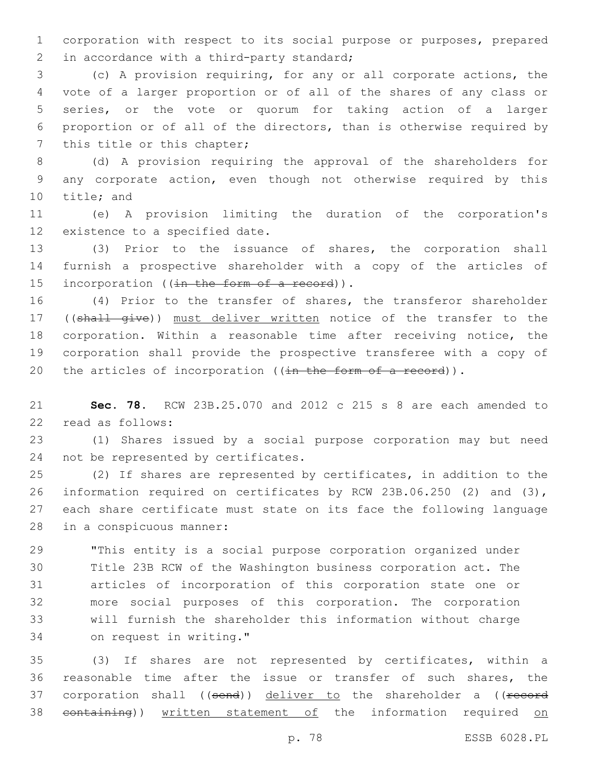corporation with respect to its social purpose or purposes, prepared 2 in accordance with a third-party standard;

 (c) A provision requiring, for any or all corporate actions, the vote of a larger proportion or of all of the shares of any class or series, or the vote or quorum for taking action of a larger proportion or of all of the directors, than is otherwise required by 7 this title or this chapter;

 (d) A provision requiring the approval of the shareholders for any corporate action, even though not otherwise required by this 10 title; and

 (e) A provision limiting the duration of the corporation's 12 existence to a specified date.

 (3) Prior to the issuance of shares, the corporation shall furnish a prospective shareholder with a copy of the articles of 15 incorporation ((in the form of a record)).

 (4) Prior to the transfer of shares, the transferor shareholder 17 ((shall give)) must deliver written notice of the transfer to the corporation. Within a reasonable time after receiving notice, the corporation shall provide the prospective transferee with a copy of 20 the articles of incorporation  $((\text{in the form of a record}))$ .

 **Sec. 78.** RCW 23B.25.070 and 2012 c 215 s 8 are each amended to 22 read as follows:

 (1) Shares issued by a social purpose corporation may but need 24 not be represented by certificates.

 (2) If shares are represented by certificates, in addition to the information required on certificates by RCW 23B.06.250 (2) and (3), each share certificate must state on its face the following language 28 in a conspicuous manner:

 "This entity is a social purpose corporation organized under Title 23B RCW of the Washington business corporation act. The articles of incorporation of this corporation state one or more social purposes of this corporation. The corporation will furnish the shareholder this information without charge 34 on request in writing."

 (3) If shares are not represented by certificates, within a reasonable time after the issue or transfer of such shares, the 37 corporation shall ((send)) deliver to the shareholder a ((record 38 eontaining)) written statement of the information required on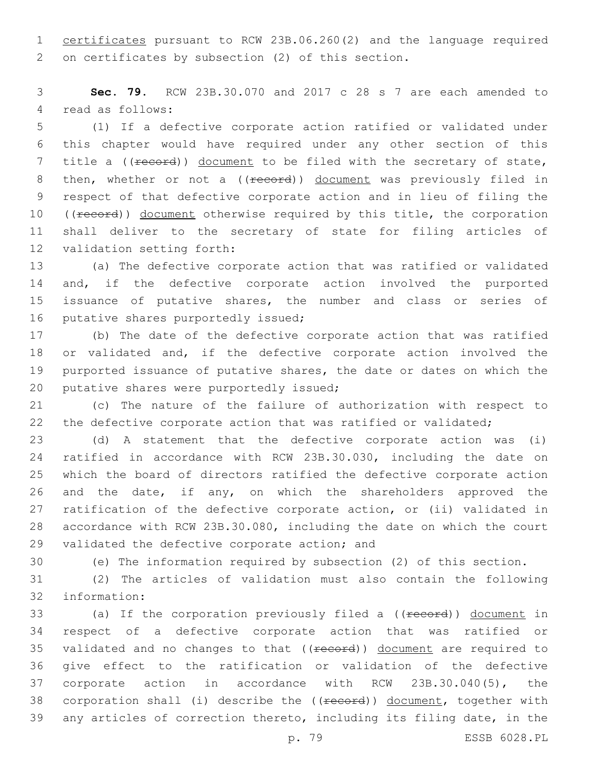1 certificates pursuant to RCW 23B.06.260(2) and the language required 2 on certificates by subsection (2) of this section.

3 **Sec. 79.** RCW 23B.30.070 and 2017 c 28 s 7 are each amended to 4 read as follows:

5 (1) If a defective corporate action ratified or validated under 6 this chapter would have required under any other section of this 7 title a ((record)) document to be filed with the secretary of state, 8 then, whether or not a ((record)) document was previously filed in 9 respect of that defective corporate action and in lieu of filing the 10 ((record)) document otherwise required by this title, the corporation 11 shall deliver to the secretary of state for filing articles of 12 validation setting forth:

13 (a) The defective corporate action that was ratified or validated 14 and, if the defective corporate action involved the purported 15 issuance of putative shares, the number and class or series of 16 putative shares purportedly issued;

 (b) The date of the defective corporate action that was ratified or validated and, if the defective corporate action involved the purported issuance of putative shares, the date or dates on which the 20 putative shares were purportedly issued;

21 (c) The nature of the failure of authorization with respect to 22 the defective corporate action that was ratified or validated;

 (d) A statement that the defective corporate action was (i) ratified in accordance with RCW 23B.30.030, including the date on which the board of directors ratified the defective corporate action 26 and the date, if any, on which the shareholders approved the ratification of the defective corporate action, or (ii) validated in accordance with RCW 23B.30.080, including the date on which the court 29 validated the defective corporate action; and

30 (e) The information required by subsection (2) of this section.

31 (2) The articles of validation must also contain the following 32 information:

33 (a) If the corporation previously filed a ((record)) document in 34 respect of a defective corporate action that was ratified or 35 validated and no changes to that ((record)) document are required to 36 give effect to the ratification or validation of the defective 37 corporate action in accordance with RCW 23B.30.040(5), the 38 corporation shall (i) describe the ((record)) document, together with 39 any articles of correction thereto, including its filing date, in the

p. 79 ESSB 6028.PL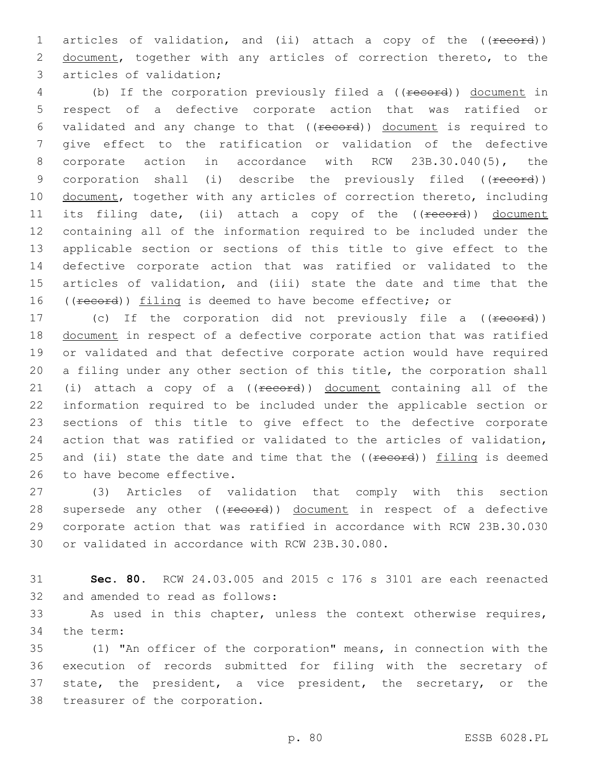1 articles of validation, and (ii) attach a copy of the ((record)) 2 document, together with any articles of correction thereto, to the 3 articles of validation;

 (b) If the corporation previously filed a ((record)) document in respect of a defective corporate action that was ratified or 6 validated and any change to that ((record)) document is required to give effect to the ratification or validation of the defective corporate action in accordance with RCW 23B.30.040(5), the 9 corporation shall (i) describe the previously filed ((record)) 10 document, together with any articles of correction thereto, including 11 its filing date, (ii) attach a copy of the ((record)) document containing all of the information required to be included under the applicable section or sections of this title to give effect to the defective corporate action that was ratified or validated to the articles of validation, and (iii) state the date and time that the 16 ((record)) filing is deemed to have become effective; or

17 (c) If the corporation did not previously file a ((record)) 18 document in respect of a defective corporate action that was ratified 19 or validated and that defective corporate action would have required 20 a filing under any other section of this title, the corporation shall 21 (i) attach a copy of a ((record)) document containing all of the 22 information required to be included under the applicable section or 23 sections of this title to give effect to the defective corporate 24 action that was ratified or validated to the articles of validation, 25 and (ii) state the date and time that the ((record)) filing is deemed 26 to have become effective.

27 (3) Articles of validation that comply with this section 28 supersede any other ((record)) document in respect of a defective 29 corporate action that was ratified in accordance with RCW 23B.30.030 30 or validated in accordance with RCW 23B.30.080.

31 **Sec. 80.** RCW 24.03.005 and 2015 c 176 s 3101 are each reenacted 32 and amended to read as follows:

33 As used in this chapter, unless the context otherwise requires, 34 the term:

35 (1) "An officer of the corporation" means, in connection with the 36 execution of records submitted for filing with the secretary of 37 state, the president, a vice president, the secretary, or the 38 treasurer of the corporation.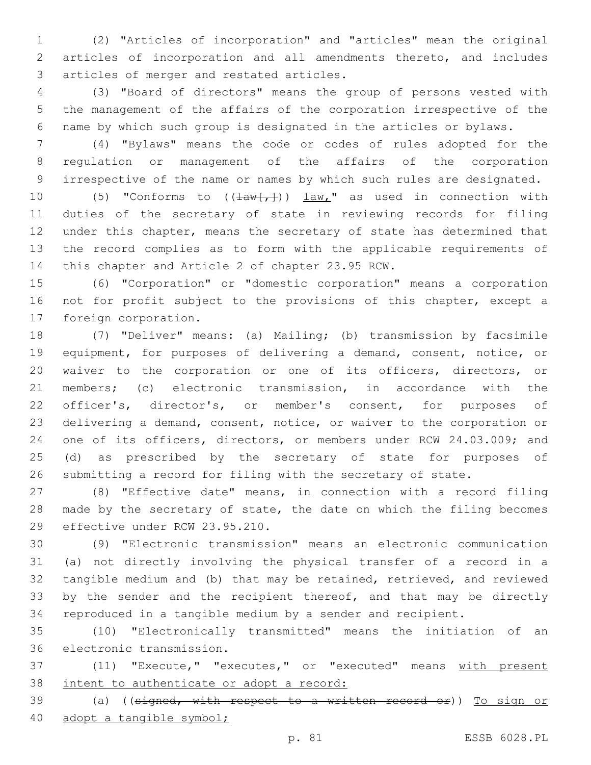(2) "Articles of incorporation" and "articles" mean the original articles of incorporation and all amendments thereto, and includes 3 articles of merger and restated articles.

 (3) "Board of directors" means the group of persons vested with the management of the affairs of the corporation irrespective of the name by which such group is designated in the articles or bylaws.

 (4) "Bylaws" means the code or codes of rules adopted for the regulation or management of the affairs of the corporation irrespective of the name or names by which such rules are designated.

10 (5) "Conforms to  $(\pm \text{aw}, \pm)$ )  $\pm \text{aw}, \pm$  as used in connection with duties of the secretary of state in reviewing records for filing under this chapter, means the secretary of state has determined that the record complies as to form with the applicable requirements of 14 this chapter and Article 2 of chapter 23.95 RCW.

 (6) "Corporation" or "domestic corporation" means a corporation 16 not for profit subject to the provisions of this chapter, except a 17 foreign corporation.

 (7) "Deliver" means: (a) Mailing; (b) transmission by facsimile equipment, for purposes of delivering a demand, consent, notice, or waiver to the corporation or one of its officers, directors, or members; (c) electronic transmission, in accordance with the officer's, director's, or member's consent, for purposes of delivering a demand, consent, notice, or waiver to the corporation or one of its officers, directors, or members under RCW 24.03.009; and (d) as prescribed by the secretary of state for purposes of submitting a record for filing with the secretary of state.

 (8) "Effective date" means, in connection with a record filing made by the secretary of state, the date on which the filing becomes 29 effective under RCW 23.95.210.

 (9) "Electronic transmission" means an electronic communication (a) not directly involving the physical transfer of a record in a tangible medium and (b) that may be retained, retrieved, and reviewed 33 by the sender and the recipient thereof, and that may be directly reproduced in a tangible medium by a sender and recipient.

 (10) "Electronically transmitted" means the initiation of an 36 electronic transmission.

37 (11) "Execute," "executes," or "executed" means with present intent to authenticate or adopt a record:

 (a) ((signed, with respect to a written record or)) To sign or adopt a tangible symbol;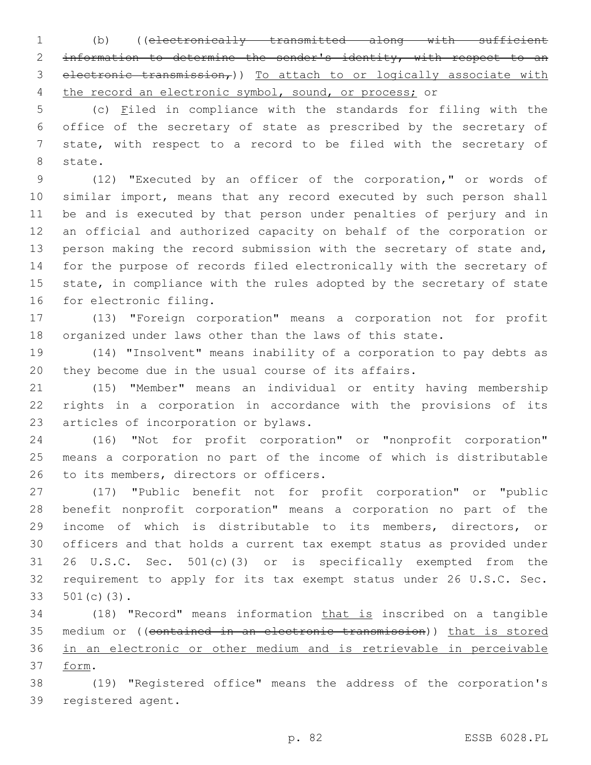(b) ((electronically transmitted along with sufficient 2 information to determine the sender's identity, with respect to an 3 electronic transmission,)) To attach to or logically associate with 4 the record an electronic symbol, sound, or process; or

 (c) Filed in compliance with the standards for filing with the office of the secretary of state as prescribed by the secretary of state, with respect to a record to be filed with the secretary of 8 state.

 (12) "Executed by an officer of the corporation," or words of similar import, means that any record executed by such person shall be and is executed by that person under penalties of perjury and in an official and authorized capacity on behalf of the corporation or person making the record submission with the secretary of state and, for the purpose of records filed electronically with the secretary of 15 state, in compliance with the rules adopted by the secretary of state 16 for electronic filing.

 (13) "Foreign corporation" means a corporation not for profit organized under laws other than the laws of this state.

 (14) "Insolvent" means inability of a corporation to pay debts as they become due in the usual course of its affairs.

 (15) "Member" means an individual or entity having membership rights in a corporation in accordance with the provisions of its 23 articles of incorporation or bylaws.

 (16) "Not for profit corporation" or "nonprofit corporation" means a corporation no part of the income of which is distributable 26 to its members, directors or officers.

 (17) "Public benefit not for profit corporation" or "public benefit nonprofit corporation" means a corporation no part of the income of which is distributable to its members, directors, or officers and that holds a current tax exempt status as provided under 26 U.S.C. Sec. 501(c)(3) or is specifically exempted from the requirement to apply for its tax exempt status under 26 U.S.C. Sec.  $501(c)(3)$ .

 (18) "Record" means information that is inscribed on a tangible medium or ((contained in an electronic transmission)) that is stored in an electronic or other medium and is retrievable in perceivable 37 form.

 (19) "Registered office" means the address of the corporation's 39 registered agent.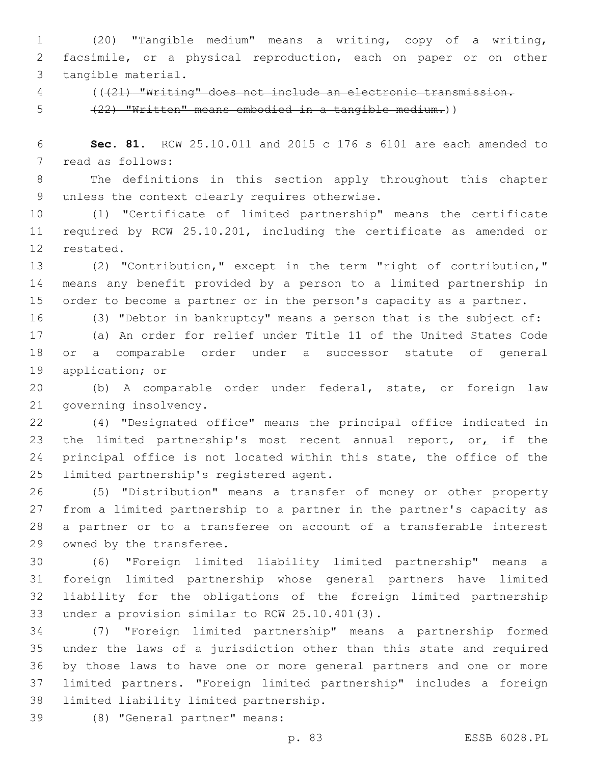(20) "Tangible medium" means a writing, copy of a writing, facsimile, or a physical reproduction, each on paper or on other 3 tangible material.

## (((21) "Writing" does not include an electronic transmission.

(22) "Written" means embodied in a tangible medium.))

 **Sec. 81.** RCW 25.10.011 and 2015 c 176 s 6101 are each amended to 7 read as follows:

 The definitions in this section apply throughout this chapter 9 unless the context clearly requires otherwise.

 (1) "Certificate of limited partnership" means the certificate required by RCW 25.10.201, including the certificate as amended or 12 restated.

 (2) "Contribution," except in the term "right of contribution," means any benefit provided by a person to a limited partnership in 15 order to become a partner or in the person's capacity as a partner.

(3) "Debtor in bankruptcy" means a person that is the subject of:

 (a) An order for relief under Title 11 of the United States Code or a comparable order under a successor statute of general 19 application; or

 (b) A comparable order under federal, state, or foreign law 21 governing insolvency.

 (4) "Designated office" means the principal office indicated in 23 the limited partnership's most recent annual report, or, if the principal office is not located within this state, the office of the 25 limited partnership's registered agent.

 (5) "Distribution" means a transfer of money or other property from a limited partnership to a partner in the partner's capacity as a partner or to a transferee on account of a transferable interest 29 owned by the transferee.

 (6) "Foreign limited liability limited partnership" means a foreign limited partnership whose general partners have limited liability for the obligations of the foreign limited partnership 33 under a provision similar to RCW 25.10.401(3).

 (7) "Foreign limited partnership" means a partnership formed under the laws of a jurisdiction other than this state and required by those laws to have one or more general partners and one or more limited partners. "Foreign limited partnership" includes a foreign 38 limited liability limited partnership.

(8) "General partner" means:39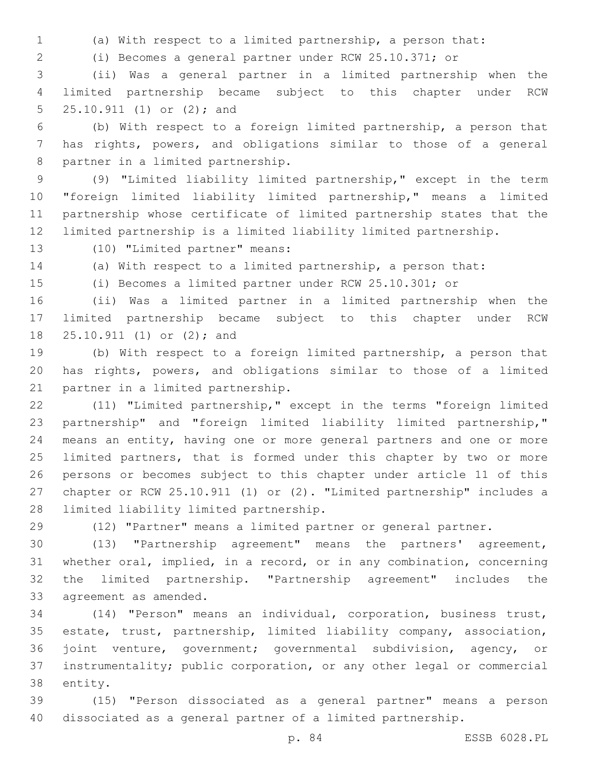(a) With respect to a limited partnership, a person that:

(i) Becomes a general partner under RCW 25.10.371; or

 (ii) Was a general partner in a limited partnership when the limited partnership became subject to this chapter under RCW 5 25.10.911 (1) or (2); and

 (b) With respect to a foreign limited partnership, a person that has rights, powers, and obligations similar to those of a general 8 partner in a limited partnership.

 (9) "Limited liability limited partnership," except in the term "foreign limited liability limited partnership," means a limited partnership whose certificate of limited partnership states that the limited partnership is a limited liability limited partnership.

13 (10) "Limited partner" means:

(a) With respect to a limited partnership, a person that:

(i) Becomes a limited partner under RCW 25.10.301; or

 (ii) Was a limited partner in a limited partnership when the limited partnership became subject to this chapter under RCW 18 25.10.911 (1) or (2); and

 (b) With respect to a foreign limited partnership, a person that has rights, powers, and obligations similar to those of a limited 21 partner in a limited partnership.

 (11) "Limited partnership," except in the terms "foreign limited partnership" and "foreign limited liability limited partnership," means an entity, having one or more general partners and one or more limited partners, that is formed under this chapter by two or more persons or becomes subject to this chapter under article 11 of this chapter or RCW 25.10.911 (1) or (2). "Limited partnership" includes a 28 limited liability limited partnership.

(12) "Partner" means a limited partner or general partner.

 (13) "Partnership agreement" means the partners' agreement, whether oral, implied, in a record, or in any combination, concerning the limited partnership. "Partnership agreement" includes the 33 agreement as amended.

 (14) "Person" means an individual, corporation, business trust, estate, trust, partnership, limited liability company, association, joint venture, government; governmental subdivision, agency, or instrumentality; public corporation, or any other legal or commercial 38 entity.

 (15) "Person dissociated as a general partner" means a person dissociated as a general partner of a limited partnership.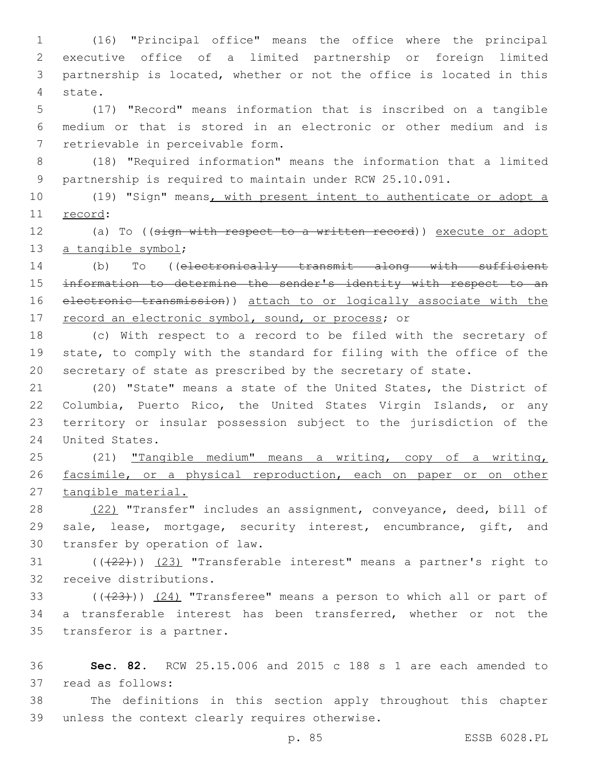(16) "Principal office" means the office where the principal executive office of a limited partnership or foreign limited partnership is located, whether or not the office is located in this 4 state.

5 (17) "Record" means information that is inscribed on a tangible 6 medium or that is stored in an electronic or other medium and is 7 retrievable in perceivable form.

8 (18) "Required information" means the information that a limited 9 partnership is required to maintain under RCW 25.10.091.

10 (19) "Sign" means, with present intent to authenticate or adopt a 11 record:

12 (a) To ((sign with respect to a written record)) execute or adopt 13 a tangible symbol;

14 (b) To ((electronically transmit along with sufficient 15 information to determine the sender's identity with respect to an 16 electronic transmission)) attach to or logically associate with the 17 record an electronic symbol, sound, or process; or

18 (c) With respect to a record to be filed with the secretary of 19 state, to comply with the standard for filing with the office of the 20 secretary of state as prescribed by the secretary of state.

 (20) "State" means a state of the United States, the District of Columbia, Puerto Rico, the United States Virgin Islands, or any territory or insular possession subject to the jurisdiction of the 24 United States.

25 (21) "Tangible medium" means a writing, copy of a writing, 26 facsimile, or a physical reproduction, each on paper or on other 27 tangible material.

28 (22) "Transfer" includes an assignment, conveyance, deed, bill of 29 sale, lease, mortgage, security interest, encumbrance, gift, and 30 transfer by operation of law.

31 (( $(22)$ )) (23) "Transferable interest" means a partner's right to 32 receive distributions.

33 (((23))) (24) "Transferee" means a person to which all or part of 34 a transferable interest has been transferred, whether or not the 35 transferor is a partner.

36 **Sec. 82.** RCW 25.15.006 and 2015 c 188 s 1 are each amended to 37 read as follows:

38 The definitions in this section apply throughout this chapter 39 unless the context clearly requires otherwise.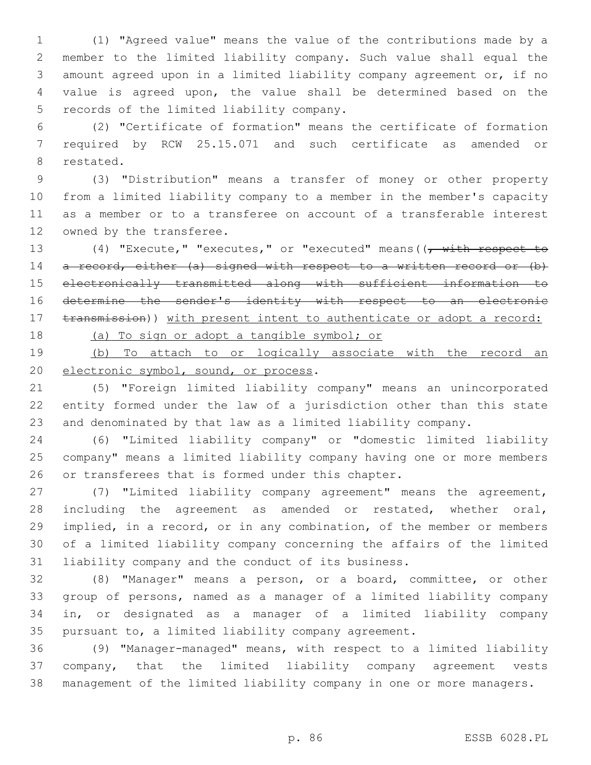(1) "Agreed value" means the value of the contributions made by a member to the limited liability company. Such value shall equal the amount agreed upon in a limited liability company agreement or, if no value is agreed upon, the value shall be determined based on the 5 records of the limited liability company.

 (2) "Certificate of formation" means the certificate of formation required by RCW 25.15.071 and such certificate as amended or 8 restated.

 (3) "Distribution" means a transfer of money or other property from a limited liability company to a member in the member's capacity as a member or to a transferee on account of a transferable interest 12 owned by the transferee.

13 (4) "Execute," "executes," or "executed" means((, with respect to 14 a record, either (a) signed with respect to a written record or (b) electronically transmitted along with sufficient information to determine the sender's identity with respect to an electronic 17 transmission)) with present intent to authenticate or adopt a record:

18 (a) To sign or adopt a tangible symbol; or

 (b) To attach to or logically associate with the record an 20 electronic symbol, sound, or process.

 (5) "Foreign limited liability company" means an unincorporated entity formed under the law of a jurisdiction other than this state and denominated by that law as a limited liability company.

 (6) "Limited liability company" or "domestic limited liability company" means a limited liability company having one or more members 26 or transferees that is formed under this chapter.

 (7) "Limited liability company agreement" means the agreement, including the agreement as amended or restated, whether oral, implied, in a record, or in any combination, of the member or members of a limited liability company concerning the affairs of the limited liability company and the conduct of its business.

 (8) "Manager" means a person, or a board, committee, or other group of persons, named as a manager of a limited liability company in, or designated as a manager of a limited liability company pursuant to, a limited liability company agreement.

 (9) "Manager-managed" means, with respect to a limited liability company, that the limited liability company agreement vests management of the limited liability company in one or more managers.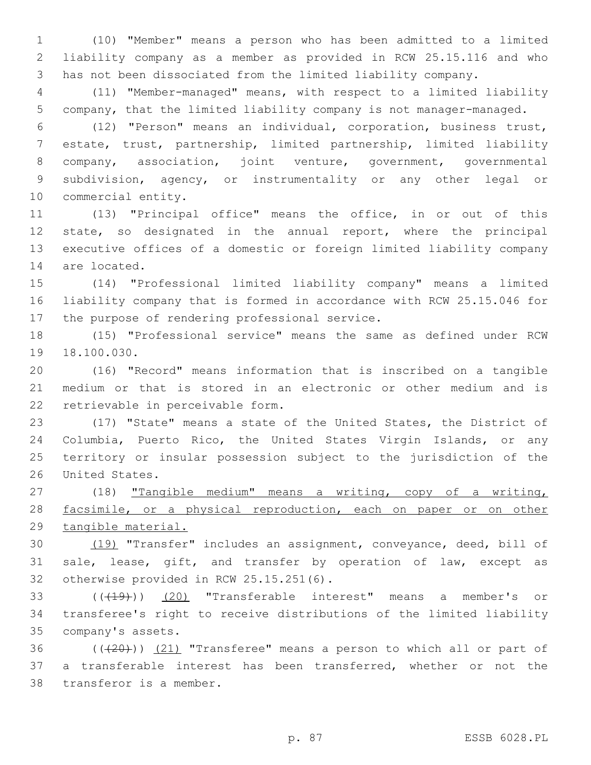(10) "Member" means a person who has been admitted to a limited liability company as a member as provided in RCW 25.15.116 and who has not been dissociated from the limited liability company.

 (11) "Member-managed" means, with respect to a limited liability company, that the limited liability company is not manager-managed.

 (12) "Person" means an individual, corporation, business trust, estate, trust, partnership, limited partnership, limited liability company, association, joint venture, government, governmental subdivision, agency, or instrumentality or any other legal or 10 commercial entity.

 (13) "Principal office" means the office, in or out of this state, so designated in the annual report, where the principal executive offices of a domestic or foreign limited liability company 14 are located.

 (14) "Professional limited liability company" means a limited liability company that is formed in accordance with RCW 25.15.046 for 17 the purpose of rendering professional service.

 (15) "Professional service" means the same as defined under RCW 18.100.030.

 (16) "Record" means information that is inscribed on a tangible medium or that is stored in an electronic or other medium and is 22 retrievable in perceivable form.

 (17) "State" means a state of the United States, the District of Columbia, Puerto Rico, the United States Virgin Islands, or any territory or insular possession subject to the jurisdiction of the 26 United States.

 (18) "Tangible medium" means a writing, copy of a writing, 28 facsimile, or a physical reproduction, each on paper or on other tangible material.

 (19) "Transfer" includes an assignment, conveyance, deed, bill of sale, lease, gift, and transfer by operation of law, except as 32 otherwise provided in RCW 25.15.251(6).

 (((19))) (20) "Transferable interest" means a member's or transferee's right to receive distributions of the limited liability 35 company's assets.

36  $((+20))$   $(21)$  "Transferee" means a person to which all or part of a transferable interest has been transferred, whether or not the 38 transferor is a member.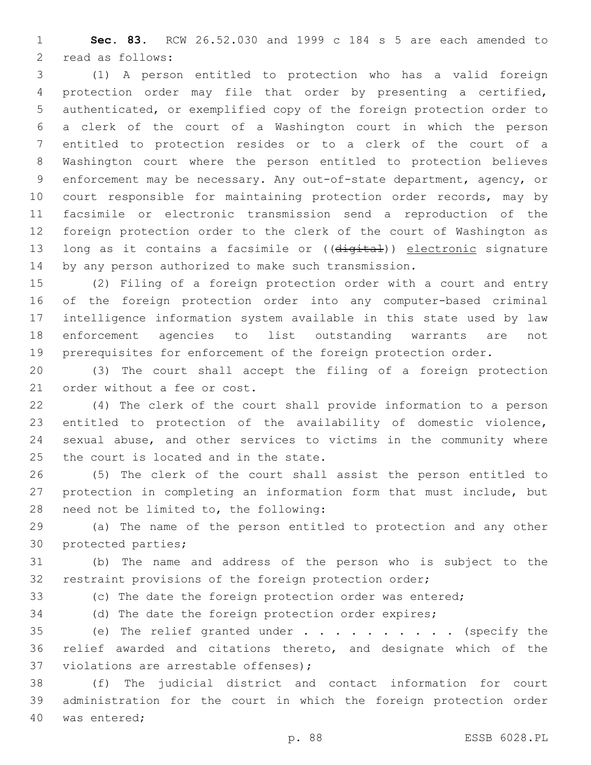**Sec. 83.** RCW 26.52.030 and 1999 c 184 s 5 are each amended to 2 read as follows:

 (1) A person entitled to protection who has a valid foreign protection order may file that order by presenting a certified, authenticated, or exemplified copy of the foreign protection order to a clerk of the court of a Washington court in which the person entitled to protection resides or to a clerk of the court of a Washington court where the person entitled to protection believes enforcement may be necessary. Any out-of-state department, agency, or court responsible for maintaining protection order records, may by facsimile or electronic transmission send a reproduction of the foreign protection order to the clerk of the court of Washington as 13 long as it contains a facsimile or ((digital)) electronic signature by any person authorized to make such transmission.

 (2) Filing of a foreign protection order with a court and entry of the foreign protection order into any computer-based criminal intelligence information system available in this state used by law enforcement agencies to list outstanding warrants are not prerequisites for enforcement of the foreign protection order.

 (3) The court shall accept the filing of a foreign protection 21 order without a fee or cost.

 (4) The clerk of the court shall provide information to a person entitled to protection of the availability of domestic violence, sexual abuse, and other services to victims in the community where 25 the court is located and in the state.

 (5) The clerk of the court shall assist the person entitled to protection in completing an information form that must include, but 28 need not be limited to, the following:

 (a) The name of the person entitled to protection and any other 30 protected parties;

 (b) The name and address of the person who is subject to the restraint provisions of the foreign protection order;

(c) The date the foreign protection order was entered;

(d) The date the foreign protection order expires;

35 (e) The relief granted under . . . . . . . . . (specify the relief awarded and citations thereto, and designate which of the 37 violations are arrestable offenses);

 (f) The judicial district and contact information for court administration for the court in which the foreign protection order 40 was entered;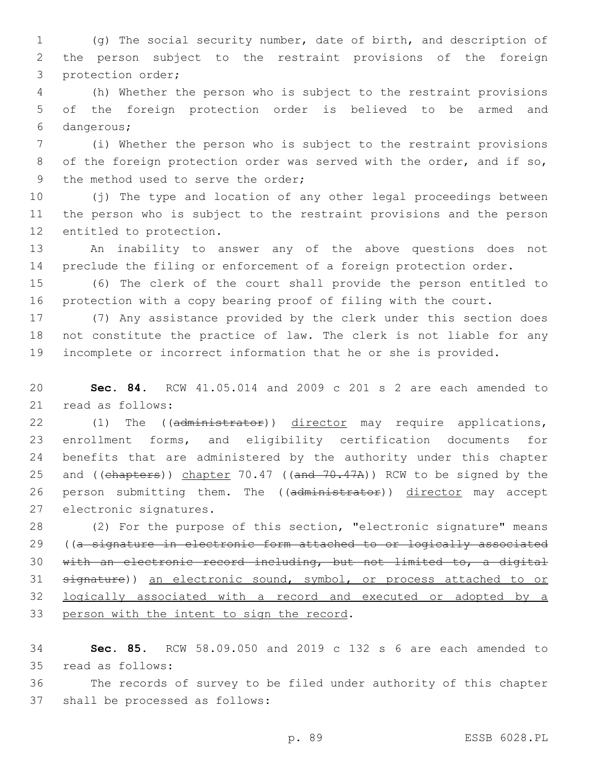(g) The social security number, date of birth, and description of the person subject to the restraint provisions of the foreign 3 protection order;

 (h) Whether the person who is subject to the restraint provisions of the foreign protection order is believed to be armed and dangerous;6

 (i) Whether the person who is subject to the restraint provisions 8 of the foreign protection order was served with the order, and if so, 9 the method used to serve the order;

 (j) The type and location of any other legal proceedings between the person who is subject to the restraint provisions and the person 12 entitled to protection.

 An inability to answer any of the above questions does not preclude the filing or enforcement of a foreign protection order.

 (6) The clerk of the court shall provide the person entitled to protection with a copy bearing proof of filing with the court.

 (7) Any assistance provided by the clerk under this section does not constitute the practice of law. The clerk is not liable for any incomplete or incorrect information that he or she is provided.

 **Sec. 84.** RCW 41.05.014 and 2009 c 201 s 2 are each amended to 21 read as follows:

22 (1) The ((administrator)) director may require applications, enrollment forms, and eligibility certification documents for benefits that are administered by the authority under this chapter 25 and ((chapters)) chapter 70.47 ((and 70.47A)) RCW to be signed by the 26 person submitting them. The ((administrator)) director may accept 27 electronic signatures.

 (2) For the purpose of this section, "electronic signature" means ((a signature in electronic form attached to or logically associated with an electronic record including, but not limited to, a digital signature)) an electronic sound, symbol, or process attached to or logically associated with a record and executed or adopted by a 33 person with the intent to sign the record.

 **Sec. 85.** RCW 58.09.050 and 2019 c 132 s 6 are each amended to read as follows:35

 The records of survey to be filed under authority of this chapter 37 shall be processed as follows:

p. 89 ESSB 6028.PL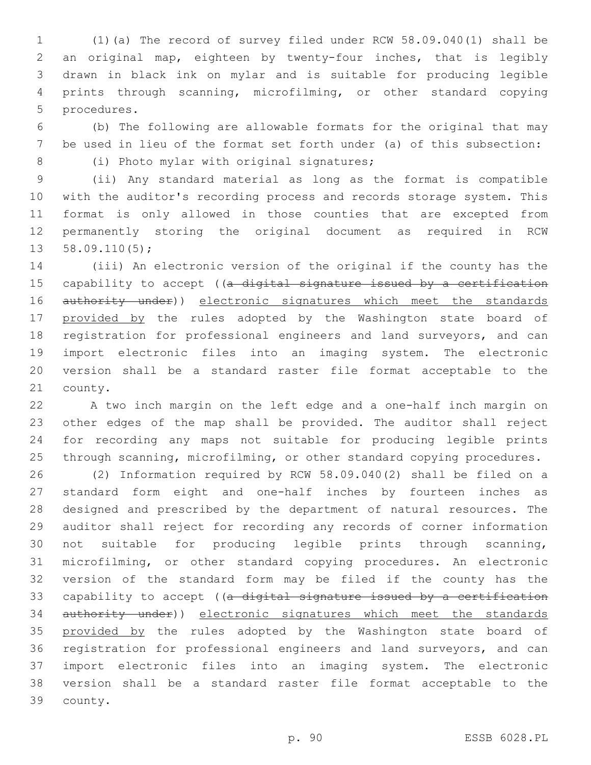(1)(a) The record of survey filed under RCW 58.09.040(1) shall be an original map, eighteen by twenty-four inches, that is legibly drawn in black ink on mylar and is suitable for producing legible prints through scanning, microfilming, or other standard copying 5 procedures.

 (b) The following are allowable formats for the original that may be used in lieu of the format set forth under (a) of this subsection:

8 (i) Photo mylar with original signatures;

 (ii) Any standard material as long as the format is compatible with the auditor's recording process and records storage system. This format is only allowed in those counties that are excepted from permanently storing the original document as required in RCW 58.09.110(5);

 (iii) An electronic version of the original if the county has the 15 capability to accept ((a digital signature issued by a certification 16 authority under)) electronic signatures which meet the standards 17 provided by the rules adopted by the Washington state board of registration for professional engineers and land surveyors, and can import electronic files into an imaging system. The electronic version shall be a standard raster file format acceptable to the 21 county.

 A two inch margin on the left edge and a one-half inch margin on other edges of the map shall be provided. The auditor shall reject for recording any maps not suitable for producing legible prints through scanning, microfilming, or other standard copying procedures.

 (2) Information required by RCW 58.09.040(2) shall be filed on a standard form eight and one-half inches by fourteen inches as designed and prescribed by the department of natural resources. The auditor shall reject for recording any records of corner information not suitable for producing legible prints through scanning, microfilming, or other standard copying procedures. An electronic version of the standard form may be filed if the county has the 33 capability to accept ((a digital signature issued by a certification authority under)) electronic signatures which meet the standards 35 provided by the rules adopted by the Washington state board of registration for professional engineers and land surveyors, and can import electronic files into an imaging system. The electronic version shall be a standard raster file format acceptable to the 39 county.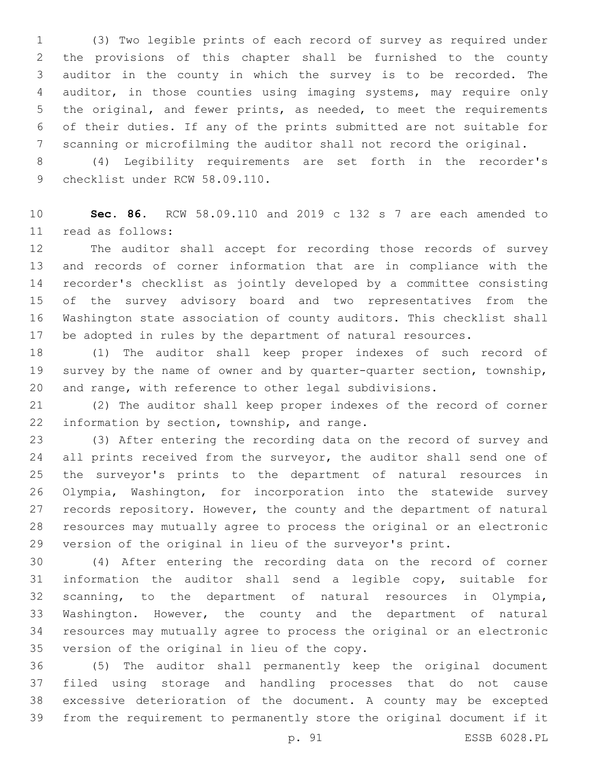(3) Two legible prints of each record of survey as required under the provisions of this chapter shall be furnished to the county auditor in the county in which the survey is to be recorded. The auditor, in those counties using imaging systems, may require only the original, and fewer prints, as needed, to meet the requirements of their duties. If any of the prints submitted are not suitable for scanning or microfilming the auditor shall not record the original.

 (4) Legibility requirements are set forth in the recorder's 9 checklist under RCW 58.09.110.

 **Sec. 86.** RCW 58.09.110 and 2019 c 132 s 7 are each amended to read as follows:11

 The auditor shall accept for recording those records of survey and records of corner information that are in compliance with the recorder's checklist as jointly developed by a committee consisting of the survey advisory board and two representatives from the Washington state association of county auditors. This checklist shall be adopted in rules by the department of natural resources.

 (1) The auditor shall keep proper indexes of such record of survey by the name of owner and by quarter-quarter section, township, and range, with reference to other legal subdivisions.

 (2) The auditor shall keep proper indexes of the record of corner 22 information by section, township, and range.

 (3) After entering the recording data on the record of survey and 24 all prints received from the surveyor, the auditor shall send one of the surveyor's prints to the department of natural resources in Olympia, Washington, for incorporation into the statewide survey 27 records repository. However, the county and the department of natural resources may mutually agree to process the original or an electronic version of the original in lieu of the surveyor's print.

 (4) After entering the recording data on the record of corner information the auditor shall send a legible copy, suitable for scanning, to the department of natural resources in Olympia, Washington. However, the county and the department of natural resources may mutually agree to process the original or an electronic 35 version of the original in lieu of the copy.

 (5) The auditor shall permanently keep the original document filed using storage and handling processes that do not cause excessive deterioration of the document. A county may be excepted from the requirement to permanently store the original document if it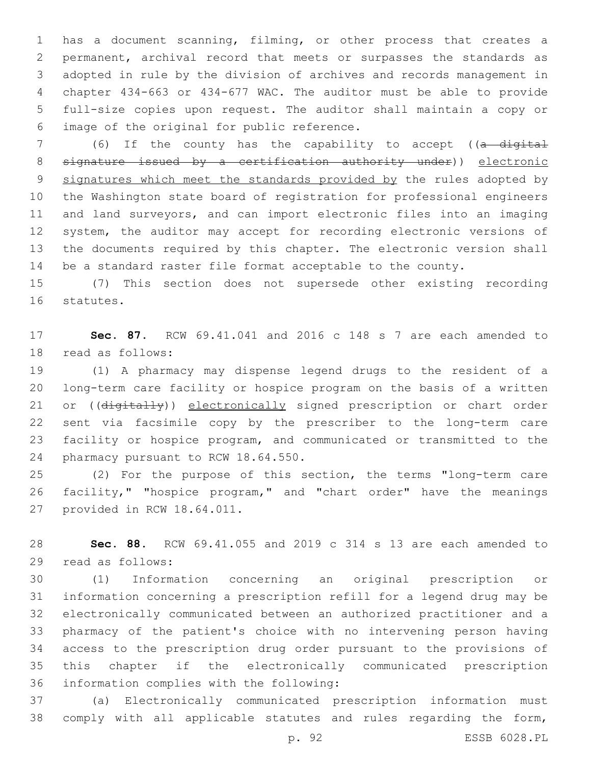has a document scanning, filming, or other process that creates a permanent, archival record that meets or surpasses the standards as adopted in rule by the division of archives and records management in chapter 434-663 or 434-677 WAC. The auditor must be able to provide full-size copies upon request. The auditor shall maintain a copy or 6 image of the original for public reference.

7 (6) If the county has the capability to accept ((a digital signature issued by a certification authority under)) electronic 9 signatures which meet the standards provided by the rules adopted by the Washington state board of registration for professional engineers and land surveyors, and can import electronic files into an imaging system, the auditor may accept for recording electronic versions of the documents required by this chapter. The electronic version shall be a standard raster file format acceptable to the county.

 (7) This section does not supersede other existing recording 16 statutes.

 **Sec. 87.** RCW 69.41.041 and 2016 c 148 s 7 are each amended to 18 read as follows:

 (1) A pharmacy may dispense legend drugs to the resident of a long-term care facility or hospice program on the basis of a written 21 or ((digitally)) electronically signed prescription or chart order sent via facsimile copy by the prescriber to the long-term care facility or hospice program, and communicated or transmitted to the 24 pharmacy pursuant to RCW 18.64.550.

 (2) For the purpose of this section, the terms "long-term care facility," "hospice program," and "chart order" have the meanings 27 provided in RCW 18.64.011.

 **Sec. 88.** RCW 69.41.055 and 2019 c 314 s 13 are each amended to 29 read as follows:

 (1) Information concerning an original prescription or information concerning a prescription refill for a legend drug may be electronically communicated between an authorized practitioner and a pharmacy of the patient's choice with no intervening person having access to the prescription drug order pursuant to the provisions of this chapter if the electronically communicated prescription 36 information complies with the following:

 (a) Electronically communicated prescription information must comply with all applicable statutes and rules regarding the form,

p. 92 ESSB 6028.PL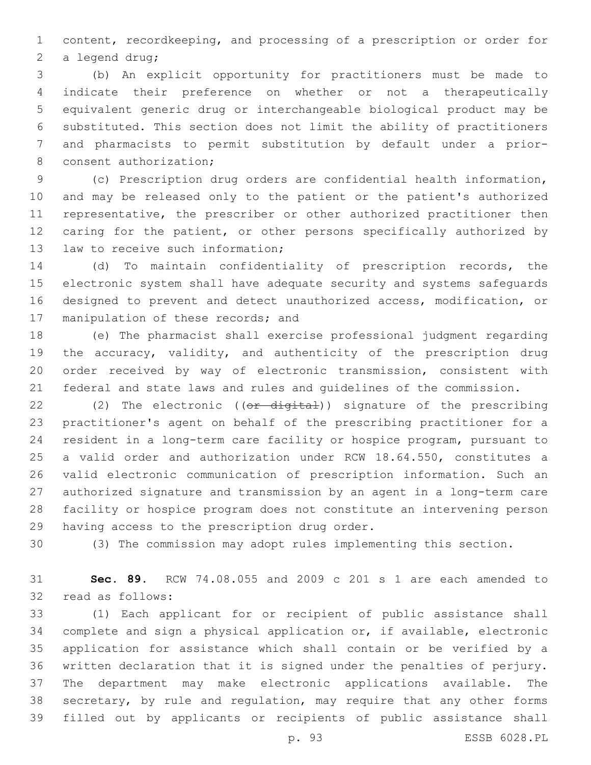content, recordkeeping, and processing of a prescription or order for 2 a legend drug;

 (b) An explicit opportunity for practitioners must be made to indicate their preference on whether or not a therapeutically equivalent generic drug or interchangeable biological product may be substituted. This section does not limit the ability of practitioners and pharmacists to permit substitution by default under a prior-8 consent authorization;

 (c) Prescription drug orders are confidential health information, and may be released only to the patient or the patient's authorized representative, the prescriber or other authorized practitioner then 12 caring for the patient, or other persons specifically authorized by 13 law to receive such information;

 (d) To maintain confidentiality of prescription records, the electronic system shall have adequate security and systems safeguards designed to prevent and detect unauthorized access, modification, or 17 manipulation of these records; and

 (e) The pharmacist shall exercise professional judgment regarding the accuracy, validity, and authenticity of the prescription drug order received by way of electronic transmission, consistent with federal and state laws and rules and guidelines of the commission.

22 (2) The electronic ((or digital)) signature of the prescribing practitioner's agent on behalf of the prescribing practitioner for a resident in a long-term care facility or hospice program, pursuant to a valid order and authorization under RCW 18.64.550, constitutes a valid electronic communication of prescription information. Such an authorized signature and transmission by an agent in a long-term care facility or hospice program does not constitute an intervening person 29 having access to the prescription drug order.

(3) The commission may adopt rules implementing this section.

 **Sec. 89.** RCW 74.08.055 and 2009 c 201 s 1 are each amended to 32 read as follows:

 (1) Each applicant for or recipient of public assistance shall complete and sign a physical application or, if available, electronic application for assistance which shall contain or be verified by a written declaration that it is signed under the penalties of perjury. The department may make electronic applications available. The secretary, by rule and regulation, may require that any other forms filled out by applicants or recipients of public assistance shall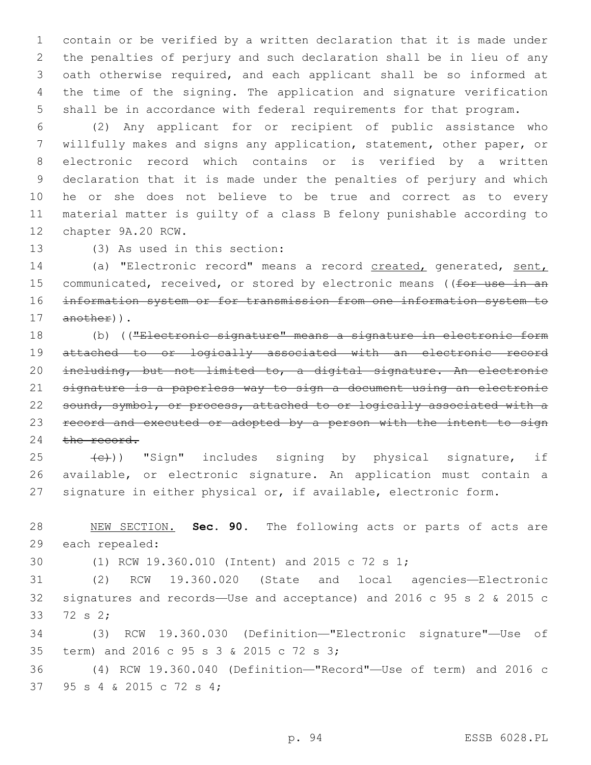contain or be verified by a written declaration that it is made under the penalties of perjury and such declaration shall be in lieu of any oath otherwise required, and each applicant shall be so informed at the time of the signing. The application and signature verification shall be in accordance with federal requirements for that program.

 (2) Any applicant for or recipient of public assistance who willfully makes and signs any application, statement, other paper, or electronic record which contains or is verified by a written declaration that it is made under the penalties of perjury and which he or she does not believe to be true and correct as to every material matter is guilty of a class B felony punishable according to 12 chapter 9A.20 RCW.

13 (3) As used in this section:

14 (a) "Electronic record" means a record created, generated, sent, 15 communicated, received, or stored by electronic means ((for use in an information system or for transmission from one information system to 17 another)).

 (b) (("Electronic signature" means a signature in electronic form attached to or logically associated with an electronic record including, but not limited to, a digital signature. An electronic signature is a paperless way to sign a document using an electronic 22 sound, symbol, or process, attached to or logically associated with a 23 record and executed or adopted by a person with the intent to sign 24 the record.

 $(25 \leftarrow +e)$ ) "Sign" includes signing by physical signature, if available, or electronic signature. An application must contain a signature in either physical or, if available, electronic form.

 NEW SECTION. **Sec. 90.** The following acts or parts of acts are each repealed:

(1) RCW 19.360.010 (Intent) and 2015 c 72 s 1;

 (2) RCW 19.360.020 (State and local agencies—Electronic signatures and records—Use and acceptance) and 2016 c 95 s 2 & 2015 c 33 72 s 2;

 (3) RCW 19.360.030 (Definition—"Electronic signature"—Use of 35 term) and 2016 c 95 s 3 & 2015 c 72 s 3;

 (4) RCW 19.360.040 (Definition—"Record"—Use of term) and 2016 c 37 95 s 4 & 2015 c 72 s 4;